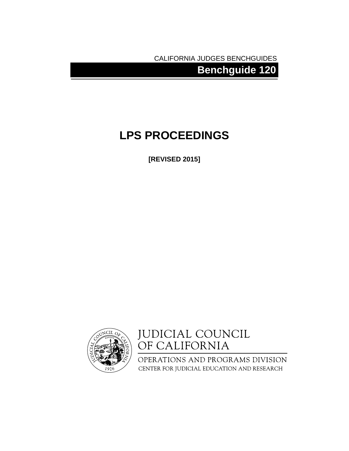CALIFORNIA JUDGES BENCHGUIDES

**Benchguide 120**

## **LPS PROCEEDINGS**

**[REVISED 2015]**



# JUDICIAL COUNCIL<br>OF CALIFORNIA

OPERATIONS AND PROGRAMS DIVISION CENTER FOR JUDICIAL EDUCATION AND RESEARCH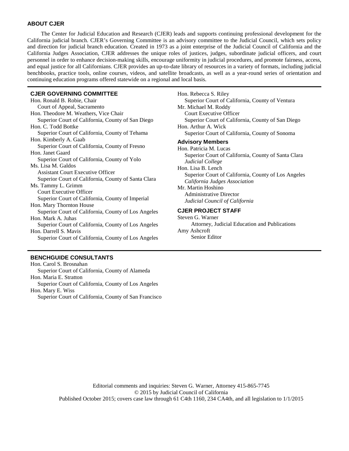#### **ABOUT CJER**

The Center for Judicial Education and Research (CJER) leads and supports continuing professional development for the California judicial branch. CJER's Governing Committee is an advisory committee to the Judicial Council, which sets policy and direction for judicial branch education. Created in 1973 as a joint enterprise of the Judicial Council of California and the California Judges Association, CJER addresses the unique roles of justices, judges, subordinate judicial officers, and court personnel in order to enhance decision-making skills, encourage uniformity in judicial procedures, and promote fairness, access, and equal justice for all Californians. CJER provides an up-to-date library of resources in a variety of formats, including judicial benchbooks, practice tools, online courses, videos, and satellite broadcasts, as well as a year-round series of orientation and continuing education programs offered statewide on a regional and local basis.

#### **CJER GOVERNING COMMITTEE**

Hon. Ronald B. Robie, Chair Court of Appeal, Sacramento Hon. Theodore M. Weathers, Vice Chair Superior Court of California, County of San Diego Hon. C. Todd Bottke Superior Court of California, County of Tehama Hon. Kimberly A. Gaab Superior Court of California, County of Fresno Hon. Janet Gaard Superior Court of California, County of Yolo Ms. Lisa M. Galdos Assistant Court Executive Officer Superior Court of California, County of Santa Clara Ms. Tammy L. Grimm Court Executive Officer Superior Court of California, County of Imperial Hon. Mary Thornton House Superior Court of California, County of Los Angeles Hon. Mark A. Juhas Superior Court of California, County of Los Angeles Hon. Darrell S. Mavis Superior Court of California, County of Los Angeles

#### Hon. Rebecca S. Riley Superior Court of California, County of Ventura Mr. Michael M. Roddy Court Executive Officer Superior Court of California, County of San Diego Hon. Arthur A. Wick Superior Court of California, County of Sonoma **Advisory Members** Hon. Patricia M. Lucas Superior Court of California, County of Santa Clara *Judicial College* Hon. Lisa B. Lench Superior Court of California, County of Los Angeles *California Judges Association* Mr. Martin Hoshino Administrative Director *Judicial Council of California* **CJER PROJECT STAFF**

#### Steven G. Warner Attorney, Judicial Education and Publications Amy Ashcroft Senior Editor

#### **BENCHGUIDE CONSULTANTS**

Hon. Carol S. Brosnahan Superior Court of California, County of Alameda Hon. Maria E. Stratton Superior Court of California, County of Los Angeles Hon. Mary E. Wiss Superior Court of California, County of San Francisco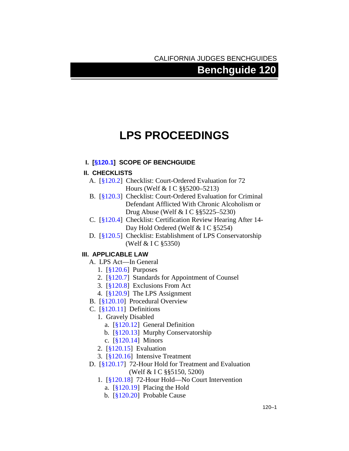### CALIFORNIA JUDGES BENCHGUIDES

## **LPS PROCEEDINGS**

#### **I. [[§120.1\]](#page-5-0) SCOPE OF BENCHGUIDE**

#### **II. CHECKLISTS**

- A. [[§120.2\]](#page-6-0) Checklist: Court-Ordered Evaluation for 72 Hours (Welf & I C §§5200–5213)
- B. [[§120.3\]](#page-6-1) Checklist: Court-Ordered Evaluation for Criminal Defendant Afflicted With Chronic Alcoholism or Drug Abuse (Welf & I C §§5225–5230)
- C. [[§120.4\]](#page-7-0) Checklist: Certification Review Hearing After 14- Day Hold Ordered (Welf & I C §5254)
- D. [[§120.5\]](#page-8-0) Checklist: Establishment of LPS Conservatorship (Welf & I C §5350)

#### **III. APPLICABLE LAW**

- A. LPS Act—In General
	- 1. [[§120.6\]](#page-9-0) Purposes
	- 2. [[§120.7\]](#page-11-0) Standards for Appointment of Counsel
	- 3. [[§120.8\]](#page-11-1) Exclusions From Act
	- 4. [[§120.9\]](#page-11-2) The LPS Assignment
- B. [[§120.10\]](#page-12-0) Procedural Overview
- C. [[§120.11\]](#page-13-0) Definitions
	- 1. Gravely Disabled
		- a.  $\left[\frac{8120.12}{\right]}$  General Definition
		- b. [[§120.13\]](#page-15-0) Murphy Conservatorship
		- c. [[§120.14\]](#page-15-1) Minors
	- 2. [[§120.15\]](#page-15-2) Evaluation
	- 3. [[§120.16\]](#page-16-0) Intensive Treatment
- D. [[§120.17\]](#page-16-1) 72-Hour Hold for Treatment and Evaluation (Welf & I C §§5150, 5200)
	- 1. [[§120.18\]](#page-16-2) 72-Hour Hold—No Court Intervention
		- a. [[§120.19\]](#page-16-3) Placing the Hold
		- b. [[§120.20\]](#page-17-0) Probable Cause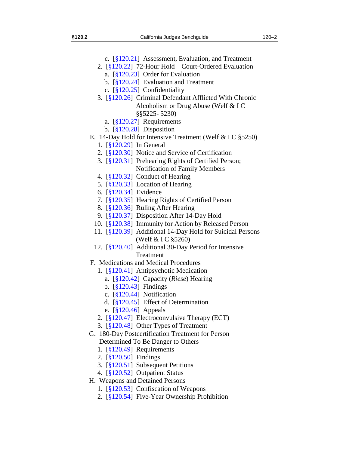- c. [[§120.21\]](#page-18-0) Assessment, Evaluation, and Treatment
- 2. [[§120.22\]](#page-18-1) 72-Hour Hold—Court-Ordered Evaluation
	- a. [[§120.23\]](#page-19-0) Order for Evaluation
	- b. [[§120.24\]](#page-19-1) Evaluation and Treatment
	- c. [[§120.25\]](#page-19-2) Confidentiality
- 3. [[§120.26\]](#page-21-0) Criminal Defendant Afflicted With Chronic Alcoholism or Drug Abuse (Welf & I C §§5225- 5230)
	- a. [[§120.27\]](#page-21-1) Requirements
	- b. [[§120.28\]](#page-21-2) Disposition
- E. 14-Day Hold for Intensive Treatment (Welf & I C §5250)
	- 1. [[§120.29\]](#page-22-0) In General
	- 2. [[§120.30\]](#page-22-1) Notice and Service of Certification
	- 3. [[§120.31\]](#page-23-0) Prehearing Rights of Certified Person; Notification of Family Members
	- 4. [[§120.32\]](#page-23-1) Conduct of Hearing
	- 5. [[§120.33\]](#page-24-0) Location of Hearing
	- 6. [[§120.34\]](#page-24-1) Evidence
	- 7. [[§120.35\]](#page-25-0) Hearing Rights of Certified Person
	- 8. [[§120.36\]](#page-25-1) Ruling After Hearing
	- 9. [[§120.37\]](#page-26-0) Disposition After 14-Day Hold
	- 10. [[§120.38\]](#page-27-0) Immunity for Action by Released Person
	- 11. [[§120.39\]](#page-27-1) Additional 14-Day Hold for Suicidal Persons (Welf & I C §5260)
	- 12. [[§120.40\]](#page-28-0) Additional 30-Day Period for Intensive Treatment
- F. Medications and Medical Procedures
	- 1. [[§120.41\]](#page-29-0) Antipsychotic Medication
		- a. [[§120.42\]](#page-30-0) Capacity (*Riese*) Hearing
		- b. [[§120.43\]](#page-31-0) Findings
		- c. [[§120.44\]](#page-32-0) Notification
		- d. [[§120.45\]](#page-32-1) Effect of Determination
		- e. [[§120.46\]](#page-33-0) Appeals
	- 2. [[§120.47\]](#page-33-1) Electroconvulsive Therapy (ECT)
	- 3. [[§120.48\]](#page-35-0) Other Types of Treatment
- G. 180-Day Postcertification Treatment for Person Determined To Be Danger to Others
	- 1. [[§120.49\]](#page-35-1) Requirements
	- 2. [[§120.50\]](#page-36-0) Findings
	- 3. [[§120.51\]](#page-37-0) Subsequent Petitions
	- 4. [[§120.52\]](#page-37-1) Outpatient Status
- H. Weapons and Detained Persons
	- 1. [[§120.53\]](#page-38-0) Confiscation of Weapons
	- 2. [[§120.54\]](#page-39-0) Five-Year Ownership Prohibition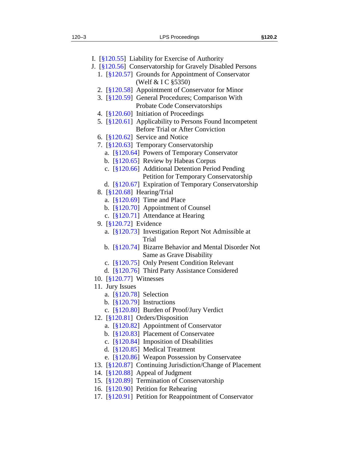- I. [[§120.55\]](#page-39-1) Liability for Exercise of Authority
- J. [[§120.56\]](#page-40-0) Conservatorship for Gravely Disabled Persons
	- 1. [[§120.57\]](#page-41-0) Grounds for Appointment of Conservator (Welf & I C §5350)
	- 2. [[§120.58\]](#page-41-1) Appointment of Conservator for Minor
	- 3. [[§120.59\]](#page-41-2) General Procedures; Comparison With Probate Code Conservatorships
	- 4. [[§120.60\]](#page-43-0) Initiation of Proceedings
	- 5. [[§120.61\]](#page-43-1) Applicability to Persons Found Incompetent Before Trial or After Conviction
	- 6. [[§120.62\]](#page-45-0) Service and Notice
	- 7. [[§120.63\]](#page-46-0) Temporary Conservatorship
		- a. [[§120.64\]](#page-47-0) Powers of Temporary Conservator
		- b. [[§120.65\]](#page-47-1) Review by Habeas Corpus
		- c. [[§120.66\]](#page-48-0) Additional Detention Period Pending Petition for Temporary Conservatorship
		- d. [[§120.67\]](#page-48-1) Expiration of Temporary Conservatorship
	- 8. [[§120.68\]](#page-48-2) Hearing/Trial
		- a.  $\left[\frac{8120.69}{\right]}$  Time and Place
		- b. [[§120.70\]](#page-50-1) Appointment of Counsel
		- c. [[§120.71\]](#page-51-0) Attendance at Hearing
	- 9. [[§120.72\]](#page-52-0) Evidence
		- a. [[§120.73\]](#page-53-0) Investigation Report Not Admissible at Trial
		- b. [[§120.74\]](#page-53-1) Bizarre Behavior and Mental Disorder Not Same as Grave Disability
		- c. [[§120.75\]](#page-53-2) Only Present Condition Relevant
		- d. [[§120.76\]](#page-54-0) Third Party Assistance Considered
- 10. [[§120.77\]](#page-54-1) Witnesses
- 11. Jury Issues
	- a. [[§120.78\]](#page-55-0) Selection
	- b. [[§120.79\]](#page-55-1) Instructions
	- c. [[§120.80\]](#page-56-0) Burden of Proof/Jury Verdict
- 12. [[§120.81\]](#page-56-1) Orders/Disposition
	- a. [[§120.82\]](#page-57-0) Appointment of Conservator
	- b. [[§120.83\]](#page-58-0) Placement of Conservatee
	- c. [[§120.84\]](#page-58-1) Imposition of Disabilities
	- d. [[§120.85\]](#page-58-2) Medical Treatment
	- e. [[§120.86\]](#page-59-0) Weapon Possession by Conservatee
- 13. [[§120.87\]](#page-60-0) Continuing Jurisdiction/Change of Placement
- 14. [[§120.88\]](#page-60-1) Appeal of Judgment
- 15. [[§120.89\]](#page-60-2) Termination of Conservatorship
- 16. [[§120.90\]](#page-61-0) Petition for Rehearing
- 17. [[§120.91\]](#page-62-0) Petition for Reappointment of Conservator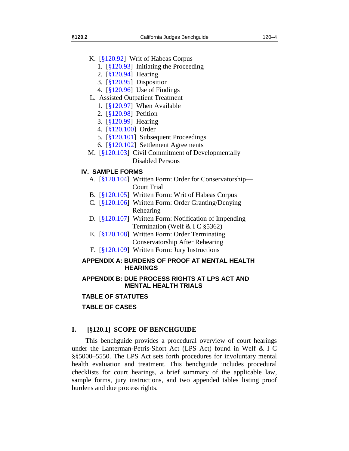- K. [[§120.92\]](#page-63-0) Writ of Habeas Corpus
	- 1. [[§120.93\]](#page-65-0) Initiating the Proceeding
	- 2. [[§120.94\]](#page-65-1) Hearing
	- 3. [[§120.95\]](#page-66-0) Disposition
	- 4. [[§120.96\]](#page-66-1) Use of Findings
- L. Assisted Outpatient Treatment
	- 1. [[§120.97\]](#page-66-2) When Available
	- 2. [[§120.98\]](#page-67-0) Petition
	- 3. [[§120.99\]](#page-68-0) Hearing
	- 4. [[§120.100\]](#page-68-1) Order
	- 5. [[§120.101\]](#page-69-0) Subsequent Proceedings
	- 6. [[§120.102\]](#page-70-0) Settlement Agreements
- M. [[§120.103\]](#page-70-1) Civil Commitment of Developmentally Disabled Persons

#### **IV. SAMPLE FORMS**

- A. [[§120.104\]](#page-72-0) Written Form: Order for Conservatorship— Court Trial
- B. [[§120.105\]](#page-74-0) Written Form: Writ of Habeas Corpus
- C. [[§120.106\]](#page-75-0) Written Form: Order Granting/Denying Rehearing
- D. [[§120.107\]](#page-75-1) Written Form: Notification of Impending Termination (Welf & I C §5362)
- E. [[§120.108\]](#page-75-2) Written Form: Order Terminating Conservatorship After Rehearing
- F. [[§120.109\]](#page-76-0) Written Form: Jury Instructions

#### **APPENDIX A: BURDENS OF PROOF AT MENTAL HEALTH HEARINGS**

#### **APPENDIX B: DUE PROCESS RIGHTS AT LPS ACT AND MENTAL HEALTH TRIALS**

#### **TABLE OF STATUTES**

<span id="page-5-0"></span>**TABLE OF CASES**

#### **I. [§120.1] SCOPE OF BENCHGUIDE**

This benchguide provides a procedural overview of court hearings under the Lanterman-Petris-Short Act (LPS Act) found in Welf & I C §§5000–5550. The LPS Act sets forth procedures for involuntary mental health evaluation and treatment. This benchguide includes procedural checklists for court hearings, a brief summary of the applicable law, sample forms, jury instructions, and two appended tables listing proof burdens and due process rights.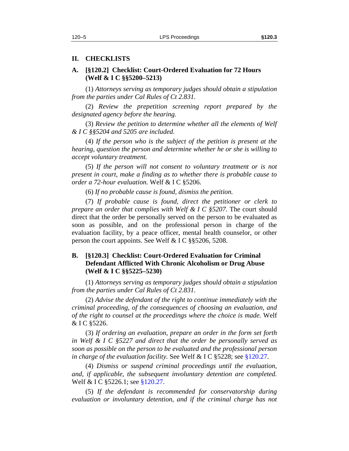#### **II. CHECKLISTS**

#### <span id="page-6-0"></span>**A. [§120.2] Checklist: Court-Ordered Evaluation for 72 Hours (Welf & I C §§5200–5213)**

(1) *Attorneys serving as temporary judges should obtain a stipulation from the parties under Cal Rules of Ct 2.831.*

(2) *Review the prepetition screening report prepared by the designated agency before the hearing.*

(3) *Review the petition to determine whether all the elements of Welf & I C §§5204 and 5205 are included.*

(4) *If the person who is the subject of the petition is present at the hearing, question the person and determine whether he or she is willing to accept voluntary treatment.*

(5) *If the person will not consent to voluntary treatment or is not present in court, make a finding as to whether there is probable cause to order a 72-hour evaluation.* Welf & I C §5206.

(6) *If no probable cause is found, dismiss the petition.*

(7) *If probable cause is found, direct the petitioner or clerk to prepare an order that complies with Welf & I C §5207*. The court should direct that the order be personally served on the person to be evaluated as soon as possible, and on the professional person in charge of the evaluation facility, by a peace officer, mental health counselor, or other person the court appoints. See Welf & I C §§5206, 5208.

#### <span id="page-6-1"></span>**B. [§120.3] Checklist: Court-Ordered Evaluation for Criminal Defendant Afflicted With Chronic Alcoholism or Drug Abuse (Welf & I C §§5225–5230)**

(1) *Attorneys serving as temporary judges should obtain a stipulation from the parties under Cal Rules of Ct 2.831.*

(2) *Advise the defendant of the right to continue immediately with the criminal proceeding, of the consequences of choosing an evaluation, and of the right to counsel at the proceedings where the choice is made.* Welf & I C §5226.

(3) *If ordering an evaluation, prepare an order in the form set forth in Welf & I C §5227 and direct that the order be personally served as soon as possible on the person to be evaluated and the professional person in charge of the evaluation facility.* See Welf & I C §5228; see [§120.27.](#page-21-1)

(4) *Dismiss or suspend criminal proceedings until the evaluation, and, if applicable, the subsequent involuntary detention are completed.*  Welf & I C §5226.1; see [§120.27.](#page-21-1)

(5) *If the defendant is recommended for conservatorship during evaluation or involuntary detention, and if the criminal charge has not*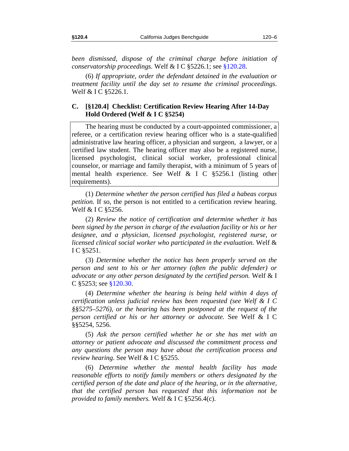*been dismissed, dispose of the criminal charge before initiation of conservatorship proceedings.* Welf & I C §5226.1; see [§120.28.](#page-21-2)

(6) *If appropriate, order the defendant detained in the evaluation or treatment facility until the day set to resume the criminal proceedings.* Welf & I C §5226.1.

#### <span id="page-7-0"></span>**C. [§120.4] Checklist: Certification Review Hearing After 14-Day Hold Ordered (Welf & I C §5254)**

The hearing must be conducted by a court-appointed commissioner, a referee, or a certification review hearing officer who is a state-qualified administrative law hearing officer, a physician and surgeon, a lawyer, or a certified law student. The hearing officer may also be a registered nurse, licensed psychologist, clinical social worker, professional clinical counselor, or marriage and family therapist, with a minimum of 5 years of mental health experience. See Welf & I C §5256.1 (listing other requirements).

(1) *Determine whether the person certified has filed a habeas corpus petition.* If so, the person is not entitled to a certification review hearing. Welf & I C §5256.

(2) *Review the notice of certification and determine whether it has been signed by the person in charge of the evaluation facility or his or her designee, and a physician, licensed psychologist, registered nurse, or licensed clinical social worker who participated in the evaluation.* Welf & I C §5251.

(3) *Determine whether the notice has been properly served on the person and sent to his or her attorney (often the public defender) or advocate or any other person designated by the certified person.* Welf & I C §5253; see [§120.30.](#page-22-1)

(4) *Determine whether the hearing is being held within 4 days of certification unless judicial review has been requested (see Welf & I C §§5275–5276), or the hearing has been postponed at the request of the person certified or his or her attorney or advocate.* See Welf & I C §§5254, 5256.

(5) *Ask the person certified whether he or she has met with an attorney or patient advocate and discussed the commitment process and any questions the person may have about the certification process and review hearing*. See Welf & I C §5255.

(6) *Determine whether the mental health facility has made reasonable efforts to notify family members or others designated by the certified person of the date and place of the hearing, or in the alternative, that the certified person has requested that this information not be provided to family members.* Welf & I C §5256.4(c).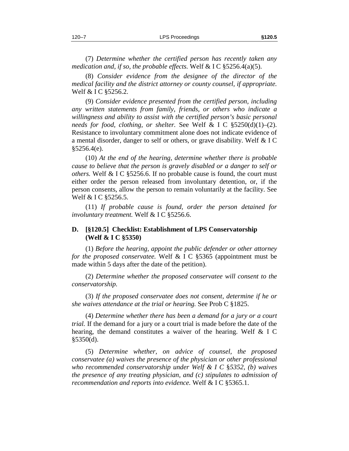(7) *Determine whether the certified person has recently taken any medication and, if so, the probable effects.* Welf & I C §5256.4(a)(5).

(8) *Consider evidence from the designee of the director of the medical facility and the district attorney or county counsel, if appropriate.*  Welf & I C §5256.2.

(9) *Consider evidence presented from the certified person, including any written statements from family, friends, or others who indicate a willingness and ability to assist with the certified person's basic personal needs for food, clothing, or shelter.* See Welf & I C §5250(d)(1)–(2). Resistance to involuntary commitment alone does not indicate evidence of a mental disorder, danger to self or others, or grave disability. Welf & I C §5256.4(e).

(10) *At the end of the hearing, determine whether there is probable cause to believe that the person is gravely disabled or a danger to self or others.* Welf & I C §5256.6. If no probable cause is found, the court must either order the person released from involuntary detention, or, if the person consents, allow the person to remain voluntarily at the facility. See Welf & I C §5256.5.

(11) *If probable cause is found, order the person detained for involuntary treatment.* Welf & I C §5256.6.

#### <span id="page-8-0"></span>**D. [§120.5] Checklist: Establishment of LPS Conservatorship (Welf & I C §5350)**

(1) *Before the hearing, appoint the public defender or other attorney for the proposed conservatee.* Welf & I C §5365 (appointment must be made within 5 days after the date of the petition).

(2) *Determine whether the proposed conservatee will consent to the conservatorship.* 

(3) *If the proposed conservatee does not consent, determine if he or she waives attendance at the trial or hearing.* See Prob C §1825.

(4) *Determine whether there has been a demand for a jury or a court trial.* If the demand for a jury or a court trial is made before the date of the hearing, the demand constitutes a waiver of the hearing. Welf & I C §5350(d).

(5) *Determine whether, on advice of counsel, the proposed conservatee (a) waives the presence of the physician or other professional who recommended conservatorship under Welf & I C* §*5352, (b) waives the presence of any treating physician, and (c) stipulates to admission of recommendation and reports into evidence.* Welf & I C §5365.1.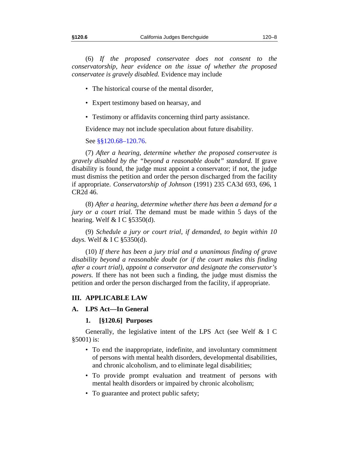(6) *If the proposed conservatee does not consent to the conservatorship, hear evidence on the issue of whether the proposed conservatee is gravely disabled.* Evidence may include

- The historical course of the mental disorder,
- Expert testimony based on hearsay, and
- Testimony or affidavits concerning third party assistance.

Evidence may not include speculation about future disability.

See §[§120.68–](#page-48-2)[120.76.](#page-54-0)

(7) *After a hearing, determine whether the proposed conservatee is gravely disabled by the "beyond a reasonable doubt" standard.* If grave disability is found, the judge must appoint a conservator; if not, the judge must dismiss the petition and order the person discharged from the facility if appropriate. *Conservatorship of Johnson* (1991) 235 CA3d 693, 696, 1 CR2d 46.

(8) *After a hearing, determine whether there has been a demand for a jury or a court trial.* The demand must be made within 5 days of the hearing. Welf & I C  $\S 5350(d)$ .

(9) *Schedule a jury or court trial, if demanded, to begin within 10 days.* Welf & I C §5350(d).

(10) *If there has been a jury trial and a unanimous finding of grave disability beyond a reasonable doubt (or if the court makes this finding after a court trial), appoint a conservator and designate the conservator's powers.* If there has not been such a finding, the judge must dismiss the petition and order the person discharged from the facility, if appropriate.

#### **III. APPLICABLE LAW**

#### **A. LPS Act—In General**

#### <span id="page-9-0"></span>**1. [§120.6] Purposes**

Generally, the legislative intent of the LPS Act (see Welf & I C §5001) is:

- To end the inappropriate, indefinite, and involuntary commitment of persons with mental health disorders, developmental disabilities, and chronic alcoholism, and to eliminate legal disabilities;
- To provide prompt evaluation and treatment of persons with mental health disorders or impaired by chronic alcoholism;
- To guarantee and protect public safety;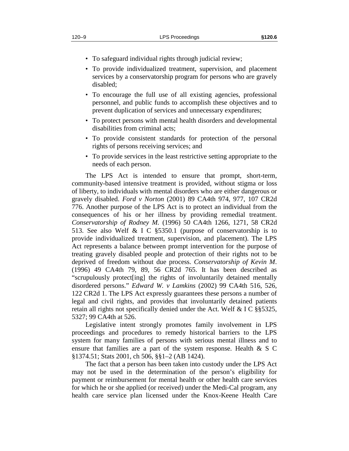- To safeguard individual rights through judicial review;
- To provide individualized treatment, supervision, and placement services by a conservatorship program for persons who are gravely disabled;
- To encourage the full use of all existing agencies, professional personnel, and public funds to accomplish these objectives and to prevent duplication of services and unnecessary expenditures;
- To protect persons with mental health disorders and developmental disabilities from criminal acts;
- To provide consistent standards for protection of the personal rights of persons receiving services; and
- To provide services in the least restrictive setting appropriate to the needs of each person.

The LPS Act is intended to ensure that prompt, short-term, community-based intensive treatment is provided, without stigma or loss of liberty, to individuals with mental disorders who are either dangerous or gravely disabled. *Ford v Norton* (2001) 89 CA4th 974, 977, 107 CR2d 776. Another purpose of the LPS Act is to protect an individual from the consequences of his or her illness by providing remedial treatment. *Conservatorship of Rodney M.* (1996) 50 CA4th 1266, 1271, 58 CR2d 513. See also Welf & I C §5350.1 (purpose of conservatorship is to provide individualized treatment, supervision, and placement). The LPS Act represents a balance between prompt intervention for the purpose of treating gravely disabled people and protection of their rights not to be deprived of freedom without due process. *Conservatorship of Kevin M*. (1996) 49 CA4th 79, 89, 56 CR2d 765. It has been described as "scrupulously protect[ing] the rights of involuntarily detained mentally disordered persons." *Edward W. v Lamkins* (2002) 99 CA4th 516, 526, 122 CR2d 1. The LPS Act expressly guarantees these persons a number of legal and civil rights, and provides that involuntarily detained patients retain all rights not specifically denied under the Act. Welf & I C §§5325, 5327; 99 CA4th at 526.

Legislative intent strongly promotes family involvement in LPS proceedings and procedures to remedy historical barriers to the LPS system for many families of persons with serious mental illness and to ensure that families are a part of the system response. Health  $\& S \, C$ §1374.51; Stats 2001, ch 506, §§1–2 (AB 1424).

The fact that a person has been taken into custody under the LPS Act may not be used in the determination of the person's eligibility for payment or reimbursement for mental health or other health care services for which he or she applied (or received) under the Medi-Cal program, any health care service plan licensed under the Knox-Keene Health Care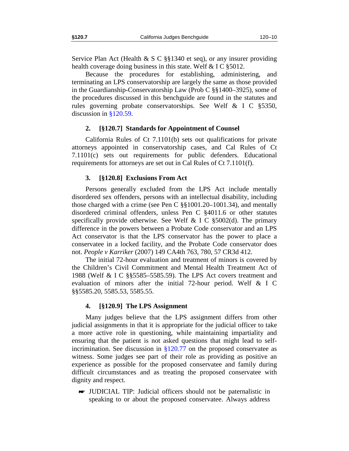Service Plan Act (Health & S C §§1340 et seq), or any insurer providing health coverage doing business in this state. Welf & I C §5012.

Because the procedures for establishing, administering, and terminating an LPS conservatorship are largely the same as those provided in the Guardianship-Conservatorship Law (Prob C §§1400–3925), some of the procedures discussed in this benchguide are found in the statutes and rules governing probate conservatorships. See Welf & I C §5350, discussion in [§120.59.](#page-41-2)

#### <span id="page-11-0"></span>**2. [§120.7] Standards for Appointment of Counsel**

California Rules of Ct 7.1101(b) sets out qualifications for private attorneys appointed in conservatorship cases, and Cal Rules of Ct 7.1101(c) sets out requirements for public defenders. Educational requirements for attorneys are set out in Cal Rules of Ct 7.1101(f).

#### <span id="page-11-1"></span>**3. [§120.8] Exclusions From Act**

Persons generally excluded from the LPS Act include mentally disordered sex offenders, persons with an intellectual disability, including those charged with a crime (see Pen C §§1001.20–1001.34), and mentally disordered criminal offenders, unless Pen C §4011.6 or other statutes specifically provide otherwise. See Welf & I C  $\S5002(d)$ . The primary difference in the powers between a Probate Code conservator and an LPS Act conservator is that the LPS conservator has the power to place a conservatee in a locked facility, and the Probate Code conservator does not. *People v Karriker* (2007) 149 CA4th 763, 780, 57 CR3d 412.

The initial 72-hour evaluation and treatment of minors is covered by the Children's Civil Commitment and Mental Health Treatment Act of 1988 (Welf & I C §§5585–5585.59). The LPS Act covers treatment and evaluation of minors after the initial 72-hour period. Welf & I C §§5585.20, 5585.53, 5585.55.

#### <span id="page-11-2"></span>**4. [§120.9] The LPS Assignment**

Many judges believe that the LPS assignment differs from other judicial assignments in that it is appropriate for the judicial officer to take a more active role in questioning, while maintaining impartiality and ensuring that the patient is not asked questions that might lead to selfincrimination. See discussion in [§120.77](#page-54-1) on the proposed conservatee as witness. Some judges see part of their role as providing as positive an experience as possible for the proposed conservatee and family during difficult circumstances and as treating the proposed conservatee with dignity and respect.

 JUDICIAL TIP: Judicial officers should not be paternalistic in speaking to or about the proposed conservatee. Always address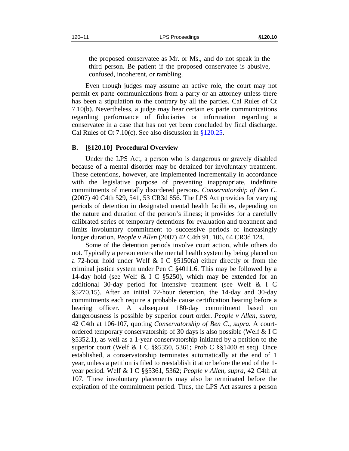the proposed conservatee as Mr. or Ms., and do not speak in the third person. Be patient if the proposed conservatee is abusive, confused, incoherent, or rambling.

Even though judges may assume an active role, the court may not permit ex parte communications from a party or an attorney unless there has been a stipulation to the contrary by all the parties. Cal Rules of Ct 7.10(b). Nevertheless, a judge may hear certain ex parte communications regarding performance of fiduciaries or information regarding a conservatee in a case that has not yet been concluded by final discharge. Cal Rules of Ct 7.10(c). See also discussion in [§120.25.](#page-19-2)

#### <span id="page-12-0"></span>**B. [§120.10] Procedural Overview**

Under the LPS Act, a person who is dangerous or gravely disabled because of a mental disorder may be detained for involuntary treatment. These detentions, however, are implemented incrementally in accordance with the legislative purpose of preventing inappropriate, indefinite commitments of mentally disordered persons. *Conservatorship of Ben C*. (2007) 40 C4th 529, 541, 53 CR3d 856. The LPS Act provides for varying periods of detention in designated mental health facilities, depending on the nature and duration of the person's illness; it provides for a carefully calibrated series of temporary detentions for evaluation and treatment and limits involuntary commitment to successive periods of increasingly longer duration. *People v Allen* (2007) 42 C4th 91, 106, 64 CR3d 124.

Some of the detention periods involve court action, while others do not. Typically a person enters the mental health system by being placed on a 72-hour hold under Welf & I C §5150(a) either directly or from the criminal justice system under Pen C §4011.6. This may be followed by a 14-day hold (see Welf & I C §5250), which may be extended for an additional 30-day period for intensive treatment (see Welf & I C §5270.15). After an initial 72-hour detention, the 14-day and 30-day commitments each require a probable cause certification hearing before a hearing officer. A subsequent 180-day commitment based on dangerousness is possible by superior court order. *People v Allen, supra,*  42 C4th at 106-107, quoting *Conservatorship of Ben C., supra.* A courtordered temporary conservatorship of 30 days is also possible (Welf & I C §5352.1), as well as a 1-year conservatorship initiated by a petition to the superior court (Welf & I C §§5350, 5361; Prob C §§1400 et seq). Once established, a conservatorship terminates automatically at the end of 1 year, unless a petition is filed to reestablish it at or before the end of the 1 year period. Welf & I C §§5361, 5362; *People v Allen, supra,* 42 C4th at 107. These involuntary placements may also be terminated before the expiration of the commitment period. Thus, the LPS Act assures a person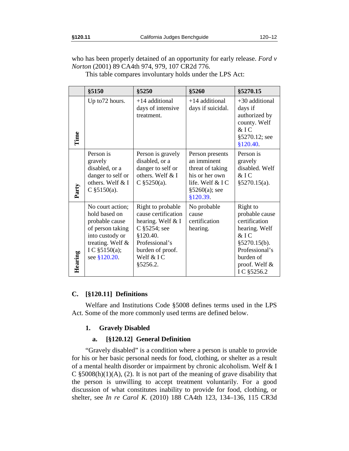who has been properly detained of an opportunity for early release. *Ford v Norton* (2001) 89 CA4th 974, 979, 107 CR2d 776.

This table compares involuntary holds under the LPS Act:

|         | \$5150                                                                                                                                            | §5250                                                                                                                                                      | §5260                                                                                                                  | §5270.15                                                                                                                                             |
|---------|---------------------------------------------------------------------------------------------------------------------------------------------------|------------------------------------------------------------------------------------------------------------------------------------------------------------|------------------------------------------------------------------------------------------------------------------------|------------------------------------------------------------------------------------------------------------------------------------------------------|
| Time    | Up to 72 hours.                                                                                                                                   | $+14$ additional<br>days of intensive<br>treatment.                                                                                                        | $+14$ additional<br>days if suicidal.                                                                                  | +30 additional<br>days if<br>authorized by<br>county. Welf<br>$&$ IC<br>§5270.12; see<br>\$120.40.                                                   |
| Party   | Person is<br>gravely<br>disabled, or a<br>danger to self or<br>others. Welf & I<br>$C$ §5150(a).                                                  | Person is gravely<br>disabled, or a<br>danger to self or<br>others. Welf & I<br>C $$5250(a)$ .                                                             | Person presents<br>an imminent<br>threat of taking<br>his or her own<br>life. Welf & IC<br>$§5260(a);$ see<br>§120.39. | Person is<br>gravely<br>disabled. Welf<br>$&$ IC<br>§5270.15(a).                                                                                     |
| Hearing | No court action;<br>hold based on<br>probable cause<br>of person taking<br>into custody or<br>treating. Welf &<br>I C $$5150(a);$<br>see §120.20. | Right to probable<br>cause certification<br>hearing. Welf & I<br>C §5254; see<br>§120.40.<br>Professional's<br>burden of proof.<br>Welf & I C<br>\$5256.2. | No probable<br>cause<br>certification<br>hearing.                                                                      | Right to<br>probable cause<br>certification<br>hearing. Welf<br>$&$ IC<br>§5270.15(b).<br>Professional's<br>burden of<br>proof. Welf &<br>IC §5256.2 |

#### <span id="page-13-0"></span>**C. [§120.11] Definitions**

Welfare and Institutions Code §5008 defines terms used in the LPS Act. Some of the more commonly used terms are defined below.

#### **1. Gravely Disabled**

#### <span id="page-13-1"></span>**a. [§120.12] General Definition**

"Gravely disabled" is a condition where a person is unable to provide for his or her basic personal needs for food, clothing, or shelter as a result of a mental health disorder or impairment by chronic alcoholism. Welf & I  $C \$ \$5008(h)(1)(A), (2). It is not part of the meaning of grave disability that the person is unwilling to accept treatment voluntarily. For a good discussion of what constitutes inability to provide for food, clothing, or shelter, see *In re Carol K.* (2010) 188 CA4th 123, 134–136, 115 CR3d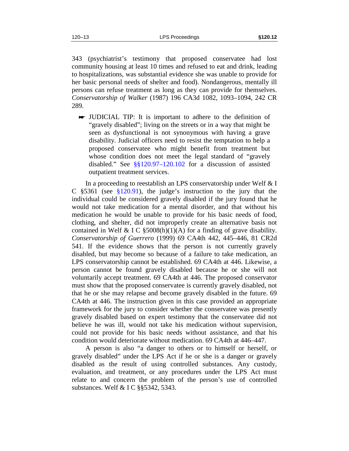343 (psychiatrist's testimony that proposed conservatee had lost community housing at least 10 times and refused to eat and drink, leading to hospitalizations, was substantial evidence she was unable to provide for her basic personal needs of shelter and food). Nondangerous, mentally ill persons can refuse treatment as long as they can provide for themselves. *Conservatorship of Walker* (1987) 196 CA3d 1082, 1093–1094, 242 CR 289.

 JUDICIAL TIP: It is important to adhere to the definition of "gravely disabled"; living on the streets or in a way that might be seen as dysfunctional is not synonymous with having a grave disability. Judicial officers need to resist the temptation to help a proposed conservatee who might benefit from treatment but whose condition does not meet the legal standard of "gravely disabled." See §[§120.97](#page-66-2)[–120.102](#page-70-0) for a discussion of assisted outpatient treatment services.

In a proceeding to reestablish an LPS conservatorship under Welf & I C §5361 (see [§120.91\)](#page-62-0), the judge's instruction to the jury that the individual could be considered gravely disabled if the jury found that he would not take medication for a mental disorder, and that without his medication he would be unable to provide for his basic needs of food, clothing, and shelter, did not improperly create an alternative basis not contained in Welf & I C  $\S5008(h)(1)(A)$  for a finding of grave disability. *Conservatorship of Guerrero* (1999) 69 CA4th 442, 445–446, 81 CR2d 541. If the evidence shows that the person is not currently gravely disabled, but may become so because of a failure to take medication, an LPS conservatorship cannot be established. 69 CA4th at 446. Likewise, a person cannot be found gravely disabled because he or she will not voluntarily accept treatment. 69 CA4th at 446. The proposed conservator must show that the proposed conservatee is currently gravely disabled, not that he or she may relapse and become gravely disabled in the future. 69 CA4th at 446. The instruction given in this case provided an appropriate framework for the jury to consider whether the conservatee was presently gravely disabled based on expert testimony that the conservatee did not believe he was ill, would not take his medication without supervision, could not provide for his basic needs without assistance, and that his condition would deteriorate without medication. 69 CA4th at 446–447.

A person is also "a danger to others or to himself or herself, or gravely disabled" under the LPS Act if he or she is a danger or gravely disabled as the result of using controlled substances. Any custody, evaluation, and treatment, or any procedures under the LPS Act must relate to and concern the problem of the person's use of controlled substances. Welf & I C §§5342, 5343.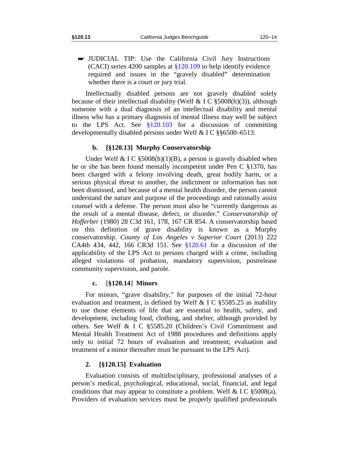JUDICIAL TIP: Use the California Civil Jury Instructions (CACI) series 4200 samples at [§120.109](#page-76-0) to help identify evidence required and issues in the "gravely disabled" determination whether there is a court or jury trial.

Intellectually disabled persons are not gravely disabled solely because of their intellectual disability (Welf & I C  $\S 5008(h)(3)$ ), although someone with a dual diagnosis of an intellectual disability and mental illness who has a primary diagnosis of mental illness may well be subject to the LPS Act. See [§120.103](#page-70-1) for a discussion of committing developmentally disabled persons under Welf & I C §§6500–6513.

#### <span id="page-15-0"></span>**b. [§120.13] Murphy Conservatorship**

Under Welf & I C  $\S5008(h)(1)(B)$ , a person is gravely disabled when he or she has been found mentally incompetent under Pen C §1370, has been charged with a felony involving death, great bodily harm, or a serious physical threat to another, the indictment or information has not been dismissed, and because of a mental health disorder, the person cannot understand the nature and purpose of the proceedings and rationally assist counsel with a defense. The person must also be "currently dangerous as the result of a mental disease, defect, or disorder." *Conservatorship of Hofferber* (1980) 28 C3d 161, 178, 167 CR 854. A conservatorship based on this definition of grave disability is known as a Murphy conservatorship. *County of Los Angeles v Superior Court* (2013) 222 CA4th 434, 442, 166 CR3d 151. See [§120.61](#page-43-1) for a discussion of the applicability of the LPS Act to persons charged with a crime, including alleged violations of probation, mandatory supervision, postrelease community supervision, and parole.

#### <span id="page-15-1"></span>**c.** [**§120.14**] **Minors**

For minors, "grave disability," for purposes of the initial 72-hour evaluation and treatment, is defined by Welf & I C §5585.25 as inability to use those elements of life that are essential to health, safety, and development, including food, clothing, and shelter, although provided by others. See Welf & I C §5585.20 (Children's Civil Commitment and Mental Health Treatment Act of 1988 procedures and definitions apply only to initial 72 hours of evaluation and treatment; evaluation and treatment of a minor thereafter must be pursuant to the LPS Act).

#### <span id="page-15-2"></span>**2. [§120.15] Evaluation**

Evaluation consists of multidisciplinary, professional analyses of a person's medical, psychological, educational, social, financial, and legal conditions that may appear to constitute a problem. Welf & I C  $\S5008(a)$ . Providers of evaluation services must be properly qualified professionals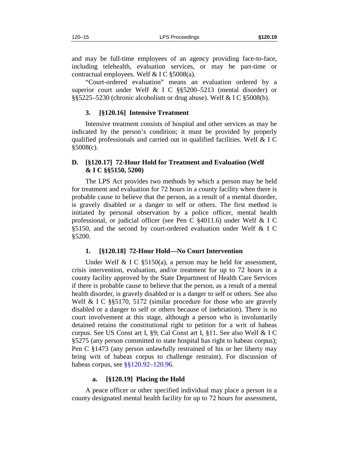and may be full-time employees of an agency providing face-to-face, including telehealth, evaluation services, or may be part-time or contractual employees. Welf & I C §5008(a).

"Court-ordered evaluation" means an evaluation ordered by a superior court under Welf & I C §§5200–5213 (mental disorder) or §§5225–5230 (chronic alcoholism or drug abuse). Welf & I C §5008(b).

#### <span id="page-16-0"></span>**3. [§120.16] Intensive Treatment**

Intensive treatment consists of hospital and other services as may be indicated by the person's condition; it must be provided by properly qualified professionals and carried out in qualified facilities. Welf & I C §5008(c).

#### <span id="page-16-1"></span>**D. [§120.17] 72-Hour Hold for Treatment and Evaluation (Welf & I C §§5150, 5200)**

The LPS Act provides two methods by which a person may be held for treatment and evaluation for 72 hours in a county facility when there is probable cause to believe that the person, as a result of a mental disorder, is gravely disabled or a danger to self or others. The first method is initiated by personal observation by a police officer, mental health professional, or judicial officer (see Pen C §4011.6) under Welf & I C §5150, and the second by court-ordered evaluation under Welf & I C §5200.

#### <span id="page-16-2"></span>**1. [§120.18] 72-Hour Hold—No Court Intervention**

Under Welf & I C §5150(a), a person may be held for assessment, crisis intervention, evaluation, and/or treatment for up to 72 hours in a county facility approved by the State Department of Health Care Services if there is probable cause to believe that the person, as a result of a mental health disorder, is gravely disabled or is a danger to self or others. See also Welf & I C §§5170, 5172 (similar procedure for those who are gravely disabled or a danger to self or others because of inebriation). There is no court involvement at this stage, although a person who is involuntarily detained retains the constitutional right to petition for a writ of habeas corpus. See US Const art I, §9; Cal Const art I, §11. See also Welf & I C §5275 (any person committed to state hospital has right to habeas corpus); Pen C §1473 (any person unlawfully restrained of his or her liberty may bring writ of habeas corpus to challenge restraint). For discussion of habeas corpus, see §[§120.92–](#page-63-0)[120.96.](#page-66-1)

#### <span id="page-16-3"></span>**a. [§120.19] Placing the Hold**

A peace officer or other specified individual may place a person in a county designated mental health facility for up to 72 hours for assessment,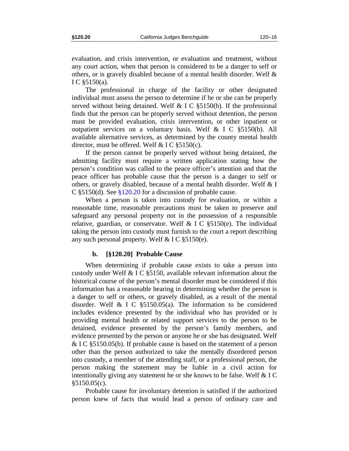evaluation, and crisis intervention, or evaluation and treatment, without any court action, when that person is considered to be a danger to self or others, or is gravely disabled because of a mental health disorder. Welf & I C §5150(a).

The professional in charge of the facility or other designated individual must assess the person to determine if he or she can be properly served without being detained. Welf & I C §5150(b). If the professional finds that the person can be properly served without detention, the person must be provided evaluation, crisis intervention, or other inpatient or outpatient services on a voluntary basis. Welf & I C §5150(b). All available alternative services, as determined by the county mental health director, must be offered. Welf & I C  $\S 5150(c)$ .

If the person cannot be properly served without being detained, the admitting facility must require a written application stating how the person's condition was called to the peace officer's attention and that the peace officer has probable cause that the person is a danger to self or others, or gravely disabled, because of a mental health disorder. Welf & I C  $\S 5150(d)$ . See  $\S 120.20$  for a discussion of probable cause.

When a person is taken into custody for evaluation, or within a reasonable time, reasonable precautions must be taken to preserve and safeguard any personal property not in the possession of a responsible relative, guardian, or conservator. Welf & I C  $\S5150(e)$ . The individual taking the person into custody must furnish to the court a report describing any such personal property. Welf  $&$  I C  $\S 5150(e)$ .

#### <span id="page-17-0"></span>**b. [§120.20] Probable Cause**

When determining if probable cause exists to take a person into custody under Welf & I C §5150, available relevant information about the historical course of the person's mental disorder must be considered if this information has a reasonable bearing in determining whether the person is a danger to self or others, or gravely disabled, as a result of the mental disorder. Welf & I C §5150.05(a). The information to be considered includes evidence presented by the individual who has provided or is providing mental health or related support services to the person to be detained, evidence presented by the person's family members, and evidence presented by the person or anyone he or she has designated. Welf & I C §5150.05(b). If probable cause is based on the statement of a person other than the person authorized to take the mentally disordered person into custody, a member of the attending staff, or a professional person, the person making the statement may be liable in a civil action for intentionally giving any statement he or she knows to be false. Welf  $\&$  I C §5150.05(c).

Probable cause for involuntary detention is satisfied if the authorized person knew of facts that would lead a person of ordinary care and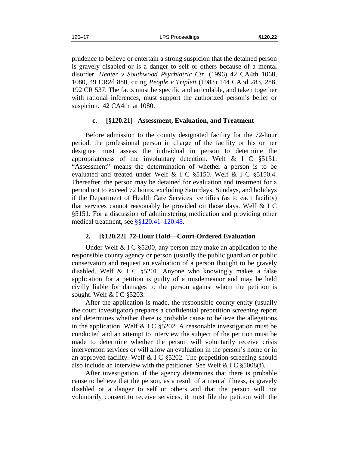prudence to believe or entertain a strong suspicion that the detained person is gravely disabled or is a danger to self or others because of a mental disorder. *Heater v Southwood Psychiatric Ctr.* (1996) 42 CA4th 1068, 1080, 49 CR2d 880, citing *People v Triplett* (1983) 144 CA3d 283, 288, 192 CR 537. The facts must be specific and articulable, and taken together with rational inferences, must support the authorized person's belief or suspicion. 42 CA4th at 1080.

#### <span id="page-18-0"></span>**c. [§120.21] Assessment, Evaluation, and Treatment**

Before admission to the county designated facility for the 72-hour period, the professional person in charge of the facility or his or her designee must assess the individual in person to determine the appropriateness of the involuntary detention. Welf  $\&$  I C §5151. "Assessment" means the determination of whether a person is to be evaluated and treated under Welf & I C §5150. Welf & I C §5150.4. Thereafter, the person may be detained for evaluation and treatment for a period not to exceed 72 hours, excluding Saturdays, Sundays, and holidays if the Department of Health Care Services certifies (as to each facility) that services cannot reasonably be provided on those days. Welf & I C §5151. For a discussion of administering medication and providing other medical treatment, see §[§120.41](#page-29-0)[–120.48.](#page-35-0)

#### <span id="page-18-1"></span>**2. [§120.22] 72-Hour Hold—Court-Ordered Evaluation**

Under Welf & I C §5200, any person may make an application to the responsible county agency or person (usually the public guardian or public conservator) and request an evaluation of a person thought to be gravely disabled. Welf & I C §5201. Anyone who knowingly makes a false application for a petition is guilty of a misdemeanor and may be held civilly liable for damages to the person against whom the petition is sought. Welf & I C §5203.

After the application is made, the responsible county entity (usually the court investigator) prepares a confidential prepetition screening report and determines whether there is probable cause to believe the allegations in the application. Welf & I C  $\S$ 5202. A reasonable investigation must be conducted and an attempt to interview the subject of the petition must be made to determine whether the person will voluntarily receive crisis intervention services or will allow an evaluation in the person's home or in an approved facility. Welf & I C  $\S$ 5202. The prepetition screening should also include an interview with the petitioner. See Welf & I C  $\S 5008(f)$ .

After investigation, if the agency determines that there is probable cause to believe that the person, as a result of a mental illness, is gravely disabled or a danger to self or others and that the person will not voluntarily consent to receive services, it must file the petition with the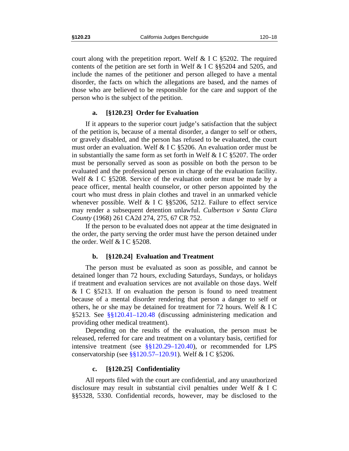court along with the prepetition report. Welf & I C §5202. The required contents of the petition are set forth in Welf & I C  $\S$ §5204 and 5205, and include the names of the petitioner and person alleged to have a mental disorder, the facts on which the allegations are based, and the names of those who are believed to be responsible for the care and support of the person who is the subject of the petition.

#### <span id="page-19-0"></span>**a. [§120.23] Order for Evaluation**

If it appears to the superior court judge's satisfaction that the subject of the petition is, because of a mental disorder, a danger to self or others, or gravely disabled, and the person has refused to be evaluated, the court must order an evaluation. Welf & I C §5206. An evaluation order must be in substantially the same form as set forth in Welf & I C  $\S 5207$ . The order must be personally served as soon as possible on both the person to be evaluated and the professional person in charge of the evaluation facility. Welf & I C §5208. Service of the evaluation order must be made by a peace officer, mental health counselor, or other person appointed by the court who must dress in plain clothes and travel in an unmarked vehicle whenever possible. Welf & I C §§5206, 5212. Failure to effect service may render a subsequent detention unlawful. *Culbertson v Santa Clara County* (1968) 261 CA2d 274, 275, 67 CR 752.

If the person to be evaluated does not appear at the time designated in the order, the party serving the order must have the person detained under the order. Welf & I C §5208.

#### <span id="page-19-1"></span>**b. [§120.24] Evaluation and Treatment**

The person must be evaluated as soon as possible, and cannot be detained longer than 72 hours, excluding Saturdays, Sundays, or holidays if treatment and evaluation services are not available on those days. Welf & I C §5213. If on evaluation the person is found to need treatment because of a mental disorder rendering that person a danger to self or others, he or she may be detained for treatment for 72 hours. Welf & I C §5213. See §[§120.41](#page-29-0)[–120.48](#page-35-0) (discussing administering medication and providing other medical treatment).

Depending on the results of the evaluation, the person must be released, referred for care and treatment on a voluntary basis, certified for intensive treatment (see  $\S$ [§120.29](#page-22-0)[–120.40\)](#page-28-0), or recommended for LPS conservatorship (see  $\S$ [§120.57–](#page-41-0)[120.91\)](#page-62-0). Welf & I C §5206.

#### <span id="page-19-2"></span>**c. [§120.25] Confidentiality**

All reports filed with the court are confidential, and any unauthorized disclosure may result in substantial civil penalties under Welf & I C §§5328, 5330. Confidential records, however, may be disclosed to the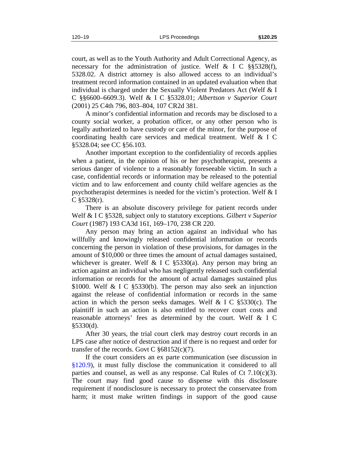court, as well as to the Youth Authority and Adult Correctional Agency, as necessary for the administration of justice. Welf & I C §§5328(f), 5328.02. A district attorney is also allowed access to an individual's treatment record information contained in an updated evaluation when that individual is charged under the Sexually Violent Predators Act (Welf & I C §§6600–6609.3). Welf & I C §5328.01; *Albertson v Superior Court* (2001) 25 C4th 796, 803–804, 107 CR2d 381.

A minor's confidential information and records may be disclosed to a county social worker, a probation officer, or any other person who is legally authorized to have custody or care of the minor, for the purpose of coordinating health care services and medical treatment. Welf & I C §5328.04; see CC §56.103.

Another important exception to the confidentiality of records applies when a patient, in the opinion of his or her psychotherapist, presents a serious danger of violence to a reasonably foreseeable victim. In such a case, confidential records or information may be released to the potential victim and to law enforcement and county child welfare agencies as the psychotherapist determines is needed for the victim's protection. Welf & I  $C$  §5328(r).

There is an absolute discovery privilege for patient records under Welf & I C §5328, subject only to statutory exceptions. *Gilbert v Superior Court* (1987) 193 CA3d 161, 169–170, 238 CR 220.

Any person may bring an action against an individual who has willfully and knowingly released confidential information or records concerning the person in violation of these provisions, for damages in the amount of \$10,000 or three times the amount of actual damages sustained, whichever is greater. Welf & I C  $\S$ 5330(a). Any person may bring an action against an individual who has negligently released such confidential information or records for the amount of actual damages sustained plus \$1000. Welf & I C §5330(b). The person may also seek an injunction against the release of confidential information or records in the same action in which the person seeks damages. Welf & I C  $\S 5330(c)$ . The plaintiff in such an action is also entitled to recover court costs and reasonable attorneys' fees as determined by the court. Welf & I C §5330(d).

After 30 years, the trial court clerk may destroy court records in an LPS case after notice of destruction and if there is no request and order for transfer of the records. Govt C  $\S 68152(c)(7)$ .

If the court considers an ex parte communication (see discussion in [§120.9\)](#page-11-2), it must fully disclose the communication it considered to all parties and counsel, as well as any response. Cal Rules of Ct  $7.10(c)(3)$ . The court may find good cause to dispense with this disclosure requirement if nondisclosure is necessary to protect the conservatee from harm; it must make written findings in support of the good cause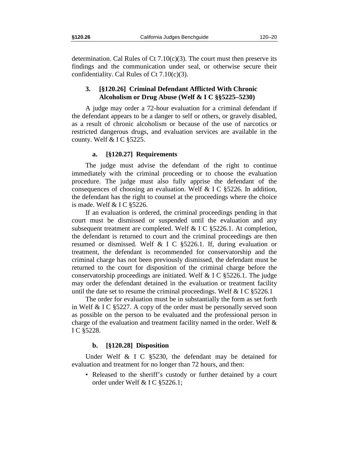determination. Cal Rules of Ct  $7.10(c)(3)$ . The court must then preserve its findings and the communication under seal, or otherwise secure their confidentiality. Cal Rules of Ct 7.10(c)(3).

#### <span id="page-21-0"></span>**3. [§120.26] Criminal Defendant Afflicted With Chronic Alcoholism or Drug Abuse (Welf & I C §§5225–5230)**

A judge may order a 72-hour evaluation for a criminal defendant if the defendant appears to be a danger to self or others, or gravely disabled, as a result of chronic alcoholism or because of the use of narcotics or restricted dangerous drugs, and evaluation services are available in the county. Welf  $&$  I C §5225.

#### <span id="page-21-1"></span>**a. [§120.27] Requirements**

The judge must advise the defendant of the right to continue immediately with the criminal proceeding or to choose the evaluation procedure. The judge must also fully apprise the defendant of the consequences of choosing an evaluation. Welf & I C §5226. In addition, the defendant has the right to counsel at the proceedings where the choice is made. Welf & I C §5226.

If an evaluation is ordered, the criminal proceedings pending in that court must be dismissed or suspended until the evaluation and any subsequent treatment are completed. Welf & I C §5226.1. At completion, the defendant is returned to court and the criminal proceedings are then resumed or dismissed. Welf & I C §5226.1. If, during evaluation or treatment, the defendant is recommended for conservatorship and the criminal charge has not been previously dismissed, the defendant must be returned to the court for disposition of the criminal charge before the conservatorship proceedings are initiated. Welf & I C §5226.1. The judge may order the defendant detained in the evaluation or treatment facility until the date set to resume the criminal proceedings. Welf  $& \leq C \$ \$5226.1

The order for evaluation must be in substantially the form as set forth in Welf & I C §5227. A copy of the order must be personally served soon as possible on the person to be evaluated and the professional person in charge of the evaluation and treatment facility named in the order. Welf & I C §5228.

#### <span id="page-21-2"></span>**b. [§120.28] Disposition**

Under Welf & I C §5230, the defendant may be detained for evaluation and treatment for no longer than 72 hours, and then:

• Released to the sheriff's custody or further detained by a court order under Welf & I C §5226.1;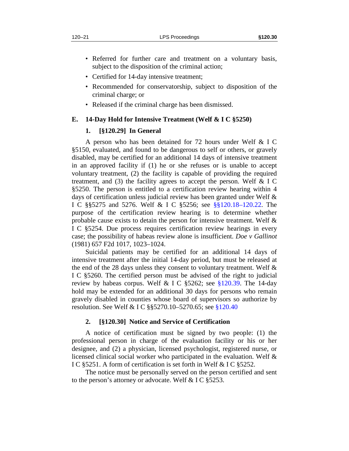- Referred for further care and treatment on a voluntary basis, subject to the disposition of the criminal action;
- Certified for 14-day intensive treatment;
- Recommended for conservatorship, subject to disposition of the criminal charge; or
- Released if the criminal charge has been dismissed.

#### **E. 14-Day Hold for Intensive Treatment (Welf & I C §5250)**

#### <span id="page-22-0"></span>**1. [§120.29] In General**

A person who has been detained for 72 hours under Welf & I C §5150, evaluated, and found to be dangerous to self or others, or gravely disabled, may be certified for an additional 14 days of intensive treatment in an approved facility if (1) he or she refuses or is unable to accept voluntary treatment, (2) the facility is capable of providing the required treatment, and (3) the facility agrees to accept the person. Welf  $& I \, C$ §5250. The person is entitled to a certification review hearing within 4 days of certification unless judicial review has been granted under Welf & I C §§5275 and 5276. Welf & I C §5256; see §[§120.18](#page-16-2)[–120.22.](#page-18-1) The purpose of the certification review hearing is to determine whether probable cause exists to detain the person for intensive treatment. Welf & I C §5254. Due process requires certification review hearings in every case; the possibility of habeas review alone is insufficient. *Doe v Gallinot* (1981) 657 F2d 1017, 1023–1024.

Suicidal patients may be certified for an additional 14 days of intensive treatment after the initial 14-day period, but must be released at the end of the 28 days unless they consent to voluntary treatment. Welf & I C §5260. The certified person must be advised of the right to judicial review by habeas corpus. Welf & I C §5262; see [§120.39.](#page-27-1) The 14-day hold may be extended for an additional 30 days for persons who remain gravely disabled in counties whose board of supervisors so authorize by resolution. See Welf & I C §§5270.10–5270.65; see [§120.40](#page-28-0)

#### <span id="page-22-1"></span>**2. [§120.30] Notice and Service of Certification**

A notice of certification must be signed by two people: (1) the professional person in charge of the evaluation facility or his or her designee, and (2) a physician, licensed psychologist, registered nurse, or licensed clinical social worker who participated in the evaluation. Welf & I C §5251. A form of certification is set forth in Welf & I C §5252.

The notice must be personally served on the person certified and sent to the person's attorney or advocate. Welf & I C §5253.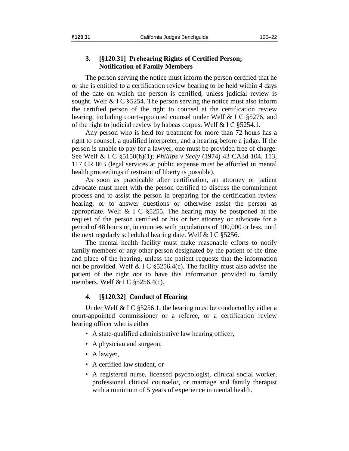#### <span id="page-23-0"></span>**3. [§120.31] Prehearing Rights of Certified Person; Notification of Family Members**

The person serving the notice must inform the person certified that he or she is entitled to a certification review hearing to be held within 4 days of the date on which the person is certified, unless judicial review is sought. Welf & I C §5254. The person serving the notice must also inform the certified person of the right to counsel at the certification review hearing, including court-appointed counsel under Welf & I C §5276, and of the right to judicial review by habeas corpus. Welf & I C §5254.1.

Any person who is held for treatment for more than 72 hours has a right to counsel, a qualified interpreter, and a hearing before a judge. If the person is unable to pay for a lawyer, one must be provided free of charge. See Welf & I C §5150(h)(1); *Phillips v Seely* (1974) 43 CA3d 104, 113, 117 CR 863 (legal services at public expense must be afforded in mental health proceedings if restraint of liberty is possible).

As soon as practicable after certification, an attorney or patient advocate must meet with the person certified to discuss the commitment process and to assist the person in preparing for the certification review hearing, or to answer questions or otherwise assist the person as appropriate. Welf & I C  $\S$ 5255. The hearing may be postponed at the request of the person certified or his or her attorney or advocate for a period of 48 hours or, in counties with populations of 100,000 or less, until the next regularly scheduled hearing date. Welf  $&$  I C  $\S$ 5256.

The mental health facility must make reasonable efforts to notify family members or any other person designated by the patient of the time and place of the hearing, unless the patient requests that the information not be provided. Welf & I C  $\S$ 5256.4(c). The facility must also advise the patient of the right *not* to have this information provided to family members. Welf & I C  $\S$ 5256.4(c).

#### <span id="page-23-1"></span>**4. [§120.32] Conduct of Hearing**

Under Welf & I C §5256.1, the hearing must be conducted by either a court-appointed commissioner or a referee, or a certification review hearing officer who is either

- A state-qualified administrative law hearing officer,
- A physician and surgeon,
- A lawyer,
- A certified law student, or
- A registered nurse, licensed psychologist, clinical social worker, professional clinical counselor, or marriage and family therapist with a minimum of 5 years of experience in mental health.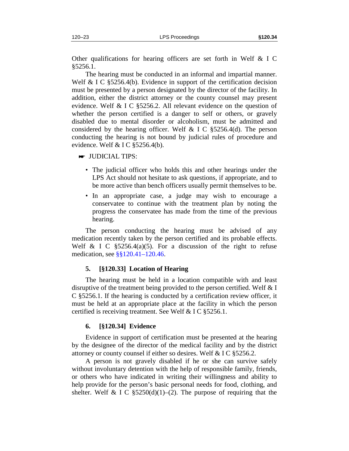Other qualifications for hearing officers are set forth in Welf & I C §5256.1.

The hearing must be conducted in an informal and impartial manner. Welf & I C §5256.4(b). Evidence in support of the certification decision must be presented by a person designated by the director of the facility. In addition, either the district attorney or the county counsel may present evidence. Welf & I C §5256.2. All relevant evidence on the question of whether the person certified is a danger to self or others, or gravely disabled due to mental disorder or alcoholism, must be admitted and considered by the hearing officer. Welf & I C  $\S 5256.4(d)$ . The person conducting the hearing is not bound by judicial rules of procedure and evidence. Welf & I C §5256.4(b).

- **UDICIAL TIPS:** 
	- The judicial officer who holds this and other hearings under the LPS Act should not hesitate to ask questions, if appropriate, and to be more active than bench officers usually permit themselves to be.
	- In an appropriate case, a judge may wish to encourage a conservatee to continue with the treatment plan by noting the progress the conservatee has made from the time of the previous hearing.

The person conducting the hearing must be advised of any medication recently taken by the person certified and its probable effects. Welf & I C  $\S 5256.4(a)(5)$ . For a discussion of the right to refuse medication, see §[§120.41](#page-29-0)[–120.46.](#page-33-0)

#### <span id="page-24-0"></span>**5. [§120.33] Location of Hearing**

The hearing must be held in a location compatible with and least disruptive of the treatment being provided to the person certified. Welf & I C §5256.1. If the hearing is conducted by a certification review officer, it must be held at an appropriate place at the facility in which the person certified is receiving treatment. See Welf & I C §5256.1.

#### <span id="page-24-1"></span>**6. [§120.34] Evidence**

Evidence in support of certification must be presented at the hearing by the designee of the director of the medical facility and by the district attorney or county counsel if either so desires. Welf & I C §5256.2.

A person is not gravely disabled if he or she can survive safely without involuntary detention with the help of responsible family, friends, or others who have indicated in writing their willingness and ability to help provide for the person's basic personal needs for food, clothing, and shelter. Welf & I C  $\S5250(d)(1)-(2)$ . The purpose of requiring that the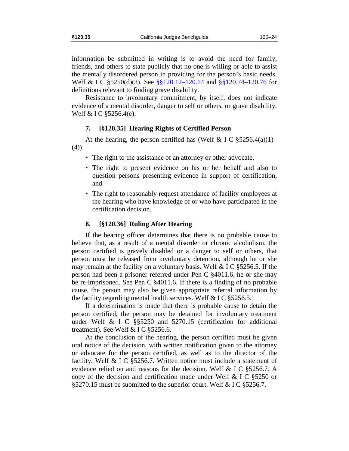information be submitted in writing is to avoid the need for family, friends, and others to state publicly that no one is willing or able to assist the mentally disordered person in providing for the person's basic needs. Welf & I C §5250(d)(3). See §[§120.12–](#page-13-1)[120.14](#page-15-1) and §[§120.74–](#page-53-1)[120.76](#page-54-0) for definitions relevant to finding grave disability.

Resistance to involuntary commitment, by itself, does not indicate evidence of a mental disorder, danger to self or others, or grave disability. Welf & I C §5256.4(e).

#### <span id="page-25-0"></span>**7. [§120.35] Hearing Rights of Certified Person**

At the hearing, the person certified has (Welf & I C  $\S 5256.4(a)(1)$ – (4))

- The right to the assistance of an attorney or other advocate,
- The right to present evidence on his or her behalf and also to question persons presenting evidence in support of certification, and
- The right to reasonably request attendance of facility employees at the hearing who have knowledge of or who have participated in the certification decision.

#### <span id="page-25-1"></span>**8. [§120.36] Ruling After Hearing**

If the hearing officer determines that there is no probable cause to believe that, as a result of a mental disorder or chronic alcoholism, the person certified is gravely disabled or a danger to self or others, that person must be released from involuntary detention, although he or she may remain at the facility on a voluntary basis. Welf & I C  $\S 5256.5$ . If the person had been a prisoner referred under Pen C §4011.6, he or she may be re-imprisoned. See Pen C §4011.6. If there is a finding of no probable cause, the person may also be given appropriate referral information by the facility regarding mental health services. Welf & I C §5256.5.

If a determination is made that there is probable cause to detain the person certified, the person may be detained for involuntary treatment under Welf & I C  $\S$ §5250 and 5270.15 (certification for additional treatment). See Welf & I C  $\S 5256.6$ .

At the conclusion of the hearing, the person certified must be given oral notice of the decision, with written notification given to the attorney or advocate for the person certified, as well as to the director of the facility. Welf & I C §5256.7. Written notice must include a statement of evidence relied on and reasons for the decision. Welf & I C §5256.7. A copy of the decision and certification made under Welf  $\&$  I C §5250 or §5270.15 must be submitted to the superior court. Welf & I C §5256.7.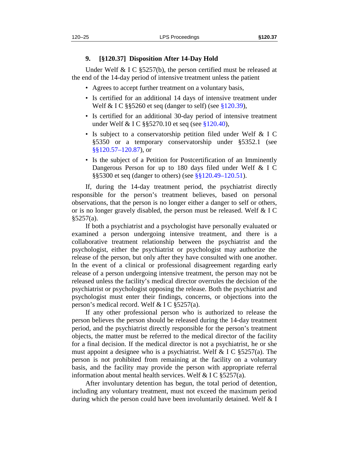#### <span id="page-26-0"></span>**9. [§120.37] Disposition After 14-Day Hold**

Under Welf & I C §5257(b), the person certified must be released at the end of the 14-day period of intensive treatment unless the patient

- Agrees to accept further treatment on a voluntary basis,
- Is certified for an additional 14 days of intensive treatment under Welf & I C §§5260 et seq (danger to self) (see [§120.39\)](#page-27-1),
- Is certified for an additional 30-day period of intensive treatment under Welf & I C §§5270.10 et seq (see [§120.40\)](#page-28-0),
- Is subject to a conservatorship petition filed under Welf & I C §5350 or a temporary conservatorship under §5352.1 (see §[§120.57–](#page-41-0)[120.87\)](#page-60-0), or
- Is the subject of a Petition for Postcertification of an Imminently Dangerous Person for up to 180 days filed under Welf & I C §§5300 et seq (danger to others) (see §[§120.49–](#page-35-1)[120.51\)](#page-37-0).

If, during the 14-day treatment period, the psychiatrist directly responsible for the person's treatment believes, based on personal observations, that the person is no longer either a danger to self or others, or is no longer gravely disabled, the person must be released. Welf & I C  $§5257(a).$ 

If both a psychiatrist and a psychologist have personally evaluated or examined a person undergoing intensive treatment, and there is a collaborative treatment relationship between the psychiatrist and the psychologist, either the psychiatrist or psychologist may authorize the release of the person, but only after they have consulted with one another. In the event of a clinical or professional disagreement regarding early release of a person undergoing intensive treatment, the person may not be released unless the facility's medical director overrules the decision of the psychiatrist or psychologist opposing the release. Both the psychiatrist and psychologist must enter their findings, concerns, or objections into the person's medical record. Welf & I C §5257(a).

If any other professional person who is authorized to release the person believes the person should be released during the 14-day treatment period, and the psychiatrist directly responsible for the person's treatment objects, the matter must be referred to the medical director of the facility for a final decision. If the medical director is not a psychiatrist, he or she must appoint a designee who is a psychiatrist. Welf & I C §5257(a). The person is not prohibited from remaining at the facility on a voluntary basis, and the facility may provide the person with appropriate referral information about mental health services. Welf  $& IC \$ §5257(a).

After involuntary detention has begun, the total period of detention, including any voluntary treatment, must not exceed the maximum period during which the person could have been involuntarily detained. Welf & I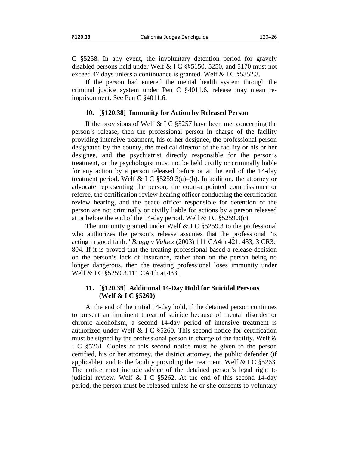C §5258. In any event, the involuntary detention period for gravely disabled persons held under Welf & I C §§5150, 5250, and 5170 must not exceed 47 days unless a continuance is granted. Welf & I C §5352.3.

If the person had entered the mental health system through the criminal justice system under Pen C §4011.6, release may mean reimprisonment. See Pen C §4011.6.

#### <span id="page-27-0"></span>**10. [§120.38] Immunity for Action by Released Person**

If the provisions of Welf & I C §5257 have been met concerning the person's release, then the professional person in charge of the facility providing intensive treatment, his or her designee, the professional person designated by the county, the medical director of the facility or his or her designee, and the psychiatrist directly responsible for the person's treatment, or the psychologist must not be held civilly or criminally liable for any action by a person released before or at the end of the 14-day treatment period. Welf & I C  $\S$ 5259.3(a)–(b). In addition, the attorney or advocate representing the person, the court-appointed commissioner or referee, the certification review hearing officer conducting the certification review hearing, and the peace officer responsible for detention of the person are not criminally or civilly liable for actions by a person released at or before the end of the 14-day period. Welf & I C §5259.3(c).

The immunity granted under Welf & I C §5259.3 to the professional who authorizes the person's release assumes that the professional "is acting in good faith." *Bragg v Valdez* (2003) 111 CA4th 421, 433, 3 CR3d 804. If it is proved that the treating professional based a release decision on the person's lack of insurance, rather than on the person being no longer dangerous, then the treating professional loses immunity under Welf & I C §5259.3.111 CA4th at 433.

#### <span id="page-27-1"></span>**11. [§120.39] Additional 14-Day Hold for Suicidal Persons (Welf & I C §5260)**

At the end of the initial 14-day hold, if the detained person continues to present an imminent threat of suicide because of mental disorder or chronic alcoholism, a second 14-day period of intensive treatment is authorized under Welf & I C §5260. This second notice for certification must be signed by the professional person in charge of the facility. Welf  $\&$ I C §5261. Copies of this second notice must be given to the person certified, his or her attorney, the district attorney, the public defender (if applicable), and to the facility providing the treatment. Welf & I C  $\S 5263$ . The notice must include advice of the detained person's legal right to judicial review. Welf & I C §5262. At the end of this second 14-day period, the person must be released unless he or she consents to voluntary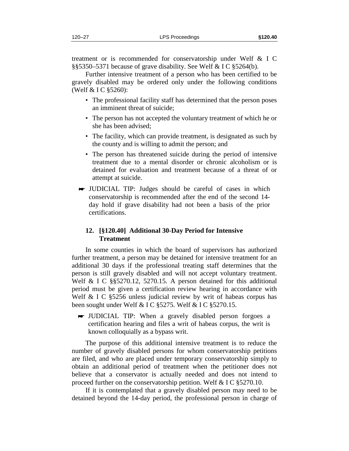treatment or is recommended for conservatorship under Welf & I C §§5350–5371 because of grave disability. See Welf & I C §5264(b).

Further intensive treatment of a person who has been certified to be gravely disabled may be ordered only under the following conditions (Welf & I C §5260):

- The professional facility staff has determined that the person poses an imminent threat of suicide;
- The person has not accepted the voluntary treatment of which he or she has been advised;
- The facility, which can provide treatment, is designated as such by the county and is willing to admit the person; and
- The person has threatened suicide during the period of intensive treatment due to a mental disorder or chronic alcoholism or is detained for evaluation and treatment because of a threat of or attempt at suicide.
- JUDICIAL TIP: Judges should be careful of cases in which conservatorship is recommended after the end of the second 14 day hold if grave disability had not been a basis of the prior certifications.

#### <span id="page-28-0"></span>**12. [§120.40] Additional 30-Day Period for Intensive Treatment**

In some counties in which the board of supervisors has authorized further treatment, a person may be detained for intensive treatment for an additional 30 days if the professional treating staff determines that the person is still gravely disabled and will not accept voluntary treatment. Welf & I C  $\S$ \$5270.12, 5270.15. A person detained for this additional period must be given a certification review hearing in accordance with Welf & I C §5256 unless judicial review by writ of habeas corpus has been sought under Welf & I C §5275. Welf & I C §5270.15.

 JUDICIAL TIP: When a gravely disabled person forgoes a certification hearing and files a writ of habeas corpus, the writ is known colloquially as a bypass writ.

The purpose of this additional intensive treatment is to reduce the number of gravely disabled persons for whom conservatorship petitions are filed, and who are placed under temporary conservatorship simply to obtain an additional period of treatment when the petitioner does not believe that a conservator is actually needed and does not intend to proceed further on the conservatorship petition. Welf & I C §5270.10.

If it is contemplated that a gravely disabled person may need to be detained beyond the 14-day period, the professional person in charge of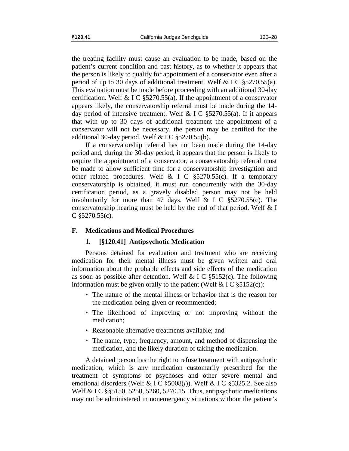the treating facility must cause an evaluation to be made, based on the patient's current condition and past history, as to whether it appears that the person is likely to qualify for appointment of a conservator even after a period of up to 30 days of additional treatment. Welf & I C  $\S 5270.55(a)$ . This evaluation must be made before proceeding with an additional 30-day certification. Welf & I C  $\S$ 5270.55(a). If the appointment of a conservator appears likely, the conservatorship referral must be made during the 14 day period of intensive treatment. Welf & I C  $\S$ 5270.55(a). If it appears that with up to 30 days of additional treatment the appointment of a conservator will not be necessary, the person may be certified for the additional 30-day period. Welf & I C §5270.55(b).

If a conservatorship referral has not been made during the 14-day period and, during the 30-day period, it appears that the person is likely to require the appointment of a conservator, a conservatorship referral must be made to allow sufficient time for a conservatorship investigation and other related procedures. Welf & I C §5270.55(c). If a temporary conservatorship is obtained, it must run concurrently with the 30-day certification period, as a gravely disabled person may not be held involuntarily for more than 47 days. Welf & I C §5270.55(c). The conservatorship hearing must be held by the end of that period. Welf & I C §5270.55(c).

#### **F. Medications and Medical Procedures**

#### <span id="page-29-0"></span>**1. [§120.41] Antipsychotic Medication**

Persons detained for evaluation and treatment who are receiving medication for their mental illness must be given written and oral information about the probable effects and side effects of the medication as soon as possible after detention. Welf & I C  $\S5152(c)$ . The following information must be given orally to the patient (Welf & I C  $\S 5152(c)$ ):

- The nature of the mental illness or behavior that is the reason for the medication being given or recommended;
- The likelihood of improving or not improving without the medication;
- Reasonable alternative treatments available; and
- The name, type, frequency, amount, and method of dispensing the medication, and the likely duration of taking the medication.

A detained person has the right to refuse treatment with antipsychotic medication, which is any medication customarily prescribed for the treatment of symptoms of psychoses and other severe mental and emotional disorders (Welf & I C §5008(*l*)). Welf & I C §5325.2. See also Welf & I C §§5150, 5250, 5260, 5270.15. Thus, antipsychotic medications may not be administered in nonemergency situations without the patient's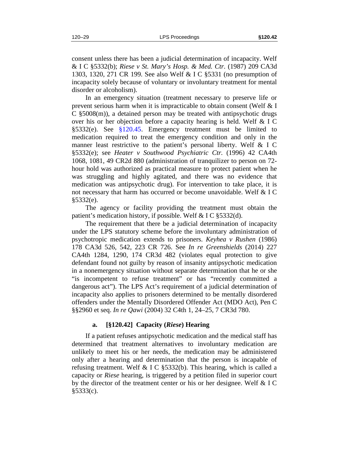consent unless there has been a judicial determination of incapacity. Welf & I C §5332(b); *Riese v St. Mary's Hosp. & Med. Ctr.* (1987) 209 CA3d 1303, 1320, 271 CR 199. See also Welf & I C §5331 (no presumption of incapacity solely because of voluntary or involuntary treatment for mental disorder or alcoholism).

In an emergency situation (treatment necessary to preserve life or prevent serious harm when it is impracticable to obtain consent (Welf & I C §5008(m)), a detained person may be treated with antipsychotic drugs over his or her objection before a capacity hearing is held. Welf & I C §5332(e). See [§120.45.](#page-32-1) Emergency treatment must be limited to medication required to treat the emergency condition and only in the manner least restrictive to the patient's personal liberty. Welf & I C §5332(e); see *Heater v Southwood Psychiatric Ctr.* (1996) 42 CA4th 1068, 1081, 49 CR2d 880 (administration of tranquilizer to person on 72 hour hold was authorized as practical measure to protect patient when he was struggling and highly agitated, and there was no evidence that medication was antipsychotic drug). For intervention to take place, it is not necessary that harm has occurred or become unavoidable. Welf & I C  $§5332(e).$ 

The agency or facility providing the treatment must obtain the patient's medication history, if possible. Welf & I C §5332(d).

The requirement that there be a judicial determination of incapacity under the LPS statutory scheme before the involuntary administration of psychotropic medication extends to prisoners. *Keyhea v Rushen* (1986) 178 CA3d 526, 542, 223 CR 726. See *In re Greenshields* (2014) 227 CA4th 1284, 1290, 174 CR3d 482 (violates equal protection to give defendant found not guilty by reason of insanity antipsychotic medication in a nonemergency situation without separate determination that he or she "is incompetent to refuse treatment" or has "recently committed a dangerous act"). The LPS Act's requirement of a judicial determination of incapacity also applies to prisoners determined to be mentally disordered offenders under the Mentally Disordered Offender Act (MDO Act), Pen C §§2960 et seq. *In re Qawi* (2004) 32 C4th 1, 24–25, 7 CR3d 780.

#### <span id="page-30-0"></span>**a. [§120.42] Capacity (***Riese***) Hearing**

If a patient refuses antipsychotic medication and the medical staff has determined that treatment alternatives to involuntary medication are unlikely to meet his or her needs, the medication may be administered only after a hearing and determination that the person is incapable of refusing treatment. Welf & I C  $\S$ 5332(b). This hearing, which is called a capacity or *Riese* hearing, is triggered by a petition filed in superior court by the director of the treatment center or his or her designee. Welf & I C §5333(c).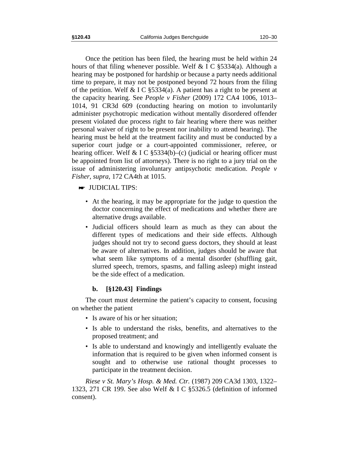Once the petition has been filed, the hearing must be held within 24 hours of that filing whenever possible. Welf & I C  $\S 5334(a)$ . Although a hearing may be postponed for hardship or because a party needs additional time to prepare, it may not be postponed beyond 72 hours from the filing of the petition. Welf & I C  $\S$ 5334(a). A patient has a right to be present at the capacity hearing. See *People v Fisher* (2009) 172 CA4 1006, 1013– 1014, 91 CR3d 609 (conducting hearing on motion to involuntarily administer psychotropic medication without mentally disordered offender present violated due process right to fair hearing where there was neither personal waiver of right to be present nor inability to attend hearing). The hearing must be held at the treatment facility and must be conducted by a superior court judge or a court-appointed commissioner, referee, or hearing officer. Welf & I C  $\S$ 5334(b)–(c) (judicial or hearing officer must be appointed from list of attorneys). There is no right to a jury trial on the issue of administering involuntary antipsychotic medication. *People v Fisher*, *supra*, 172 CA4th at 1015.

- UDICIAL TIPS:
	- At the hearing, it may be appropriate for the judge to question the doctor concerning the effect of medications and whether there are alternative drugs available.
	- Judicial officers should learn as much as they can about the different types of medications and their side effects. Although judges should not try to second guess doctors, they should at least be aware of alternatives. In addition, judges should be aware that what seem like symptoms of a mental disorder (shuffling gait, slurred speech, tremors, spasms, and falling asleep) might instead be the side effect of a medication.

#### <span id="page-31-0"></span>**b. [§120.43] Findings**

The court must determine the patient's capacity to consent, focusing on whether the patient

- Is aware of his or her situation;
- Is able to understand the risks, benefits, and alternatives to the proposed treatment; and
- Is able to understand and knowingly and intelligently evaluate the information that is required to be given when informed consent is sought and to otherwise use rational thought processes to participate in the treatment decision.

*Riese v St. Mary's Hosp. & Med. Ctr.* (1987) 209 CA3d 1303, 1322– 1323, 271 CR 199. See also Welf & I C §5326.5 (definition of informed consent).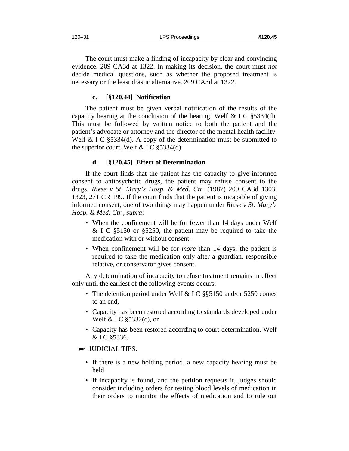The court must make a finding of incapacity by clear and convincing evidence. 209 CA3d at 1322. In making its decision, the court must *not*  decide medical questions, such as whether the proposed treatment is necessary or the least drastic alternative. 209 CA3d at 1322.

#### <span id="page-32-0"></span>**c. [§120.44] Notification**

The patient must be given verbal notification of the results of the capacity hearing at the conclusion of the hearing. Welf & I C  $\S 5334(d)$ . This must be followed by written notice to both the patient and the patient's advocate or attorney and the director of the mental health facility. Welf & I C §5334(d). A copy of the determination must be submitted to the superior court. Welf & I C  $\S 5334(d)$ .

#### <span id="page-32-1"></span>**d. [§120.45] Effect of Determination**

If the court finds that the patient has the capacity to give informed consent to antipsychotic drugs, the patient may refuse consent to the drugs. *Riese v St. Mary's Hosp. & Med. Ctr.* (1987) 209 CA3d 1303, 1323, 271 CR 199. If the court finds that the patient is incapable of giving informed consent, one of two things may happen under *Riese v St. Mary's Hosp. & Med. Ctr., supra*:

- When the confinement will be for fewer than 14 days under Welf & I C §5150 or §5250, the patient may be required to take the medication with or without consent.
- When confinement will be for *more* than 14 days, the patient is required to take the medication only after a guardian, responsible relative, or conservator gives consent.

Any determination of incapacity to refuse treatment remains in effect only until the earliest of the following events occurs:

- The detention period under Welf & I C §§5150 and/or 5250 comes to an end,
- Capacity has been restored according to standards developed under Welf & I C §5332(c), or
- Capacity has been restored according to court determination. Welf & I C §5336.
- UDICIAL TIPS:
	- If there is a new holding period, a new capacity hearing must be held.
	- If incapacity is found, and the petition requests it, judges should consider including orders for testing blood levels of medication in their orders to monitor the effects of medication and to rule out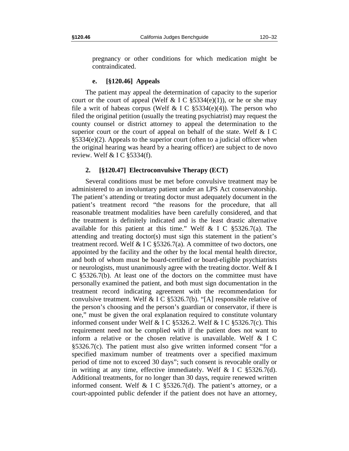pregnancy or other conditions for which medication might be contraindicated.

#### <span id="page-33-0"></span>**e. [§120.46] Appeals**

The patient may appeal the determination of capacity to the superior court or the court of appeal (Welf & I C  $\S 5334(e)(1)$ ), or he or she may file a writ of habeas corpus (Welf & I C  $\S 5334(e)(4)$ ). The person who filed the original petition (usually the treating psychiatrist) may request the county counsel or district attorney to appeal the determination to the superior court or the court of appeal on behalf of the state. Welf  $\&$  I C  $\S 5334(e)(2)$ . Appeals to the superior court (often to a judicial officer when the original hearing was heard by a hearing officer) are subject to de novo review. Welf & I C §5334(f).

#### <span id="page-33-1"></span>**2. [§120.47] Electroconvulsive Therapy (ECT)**

Several conditions must be met before convulsive treatment may be administered to an involuntary patient under an LPS Act conservatorship. The patient's attending or treating doctor must adequately document in the patient's treatment record "the reasons for the procedure, that all reasonable treatment modalities have been carefully considered, and that the treatment is definitely indicated and is the least drastic alternative available for this patient at this time." Welf & I C  $\S$ 5326.7(a). The attending and treating doctor(s) must sign this statement in the patient's treatment record. Welf & I C  $\S 5326.7(a)$ . A committee of two doctors, one appointed by the facility and the other by the local mental health director, and both of whom must be board-certified or board-eligible psychiatrists or neurologists, must unanimously agree with the treating doctor. Welf & I C §5326.7(b). At least one of the doctors on the committee must have personally examined the patient, and both must sign documentation in the treatment record indicating agreement with the recommendation for convulsive treatment. Welf & I C §5326.7(b). "[A] responsible relative of the person's choosing and the person's guardian or conservator, if there is one," must be given the oral explanation required to constitute voluntary informed consent under Welf & I C  $\S 5326.2$ . Welf & I C  $\S 5326.7(c)$ . This requirement need not be complied with if the patient does not want to inform a relative or the chosen relative is unavailable. Welf  $\&$  I C §5326.7(c). The patient must also give written informed consent "for a specified maximum number of treatments over a specified maximum period of time not to exceed 30 days"; such consent is revocable orally or in writing at any time, effective immediately. Welf & I C  $\S 5326.7(d)$ . Additional treatments, for no longer than 30 days, require renewed written informed consent. Welf & I C  $\S 5326.7(d)$ . The patient's attorney, or a court-appointed public defender if the patient does not have an attorney,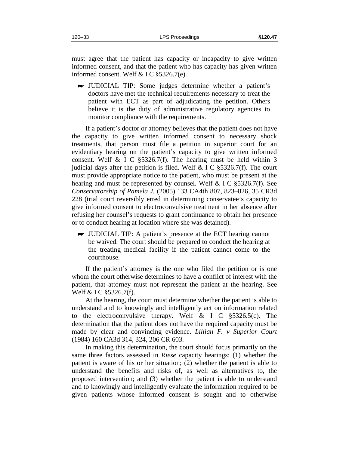must agree that the patient has capacity or incapacity to give written informed consent, and that the patient who has capacity has given written informed consent. Welf & I C §5326.7(e).

 JUDICIAL TIP: Some judges determine whether a patient's doctors have met the technical requirements necessary to treat the patient with ECT as part of adjudicating the petition. Others believe it is the duty of administrative regulatory agencies to monitor compliance with the requirements.

If a patient's doctor or attorney believes that the patient does not have the capacity to give written informed consent to necessary shock treatments, that person must file a petition in superior court for an evidentiary hearing on the patient's capacity to give written informed consent. Welf & I C  $\S$ 5326.7(f). The hearing must be held within 3 judicial days after the petition is filed. Welf & I C  $\S 5326.7(f)$ . The court must provide appropriate notice to the patient, who must be present at the hearing and must be represented by counsel. Welf & I C §5326.7(f). See *Conservatorship of Pamela J.* (2005) 133 CA4th 807, 823–826, 35 CR3d 228 (trial court reversibly erred in determining conservatee's capacity to give informed consent to electroconvulsive treatment in her absence after refusing her counsel's requests to grant continuance to obtain her presence or to conduct hearing at location where she was detained).

 JUDICIAL TIP: A patient's presence at the ECT hearing cannot be waived. The court should be prepared to conduct the hearing at the treating medical facility if the patient cannot come to the courthouse.

If the patient's attorney is the one who filed the petition or is one whom the court otherwise determines to have a conflict of interest with the patient, that attorney must not represent the patient at the hearing. See Welf & I C §5326.7(f).

At the hearing, the court must determine whether the patient is able to understand and to knowingly and intelligently act on information related to the electroconvulsive therapy. Welf & I C §5326.5(c). The determination that the patient does not have the required capacity must be made by clear and convincing evidence. *Lillian F. v Superior Court*  (1984) 160 CA3d 314, 324, 206 CR 603.

In making this determination, the court should focus primarily on the same three factors assessed in *Riese* capacity hearings: (1) whether the patient is aware of his or her situation; (2) whether the patient is able to understand the benefits and risks of, as well as alternatives to, the proposed intervention; and (3) whether the patient is able to understand and to knowingly and intelligently evaluate the information required to be given patients whose informed consent is sought and to otherwise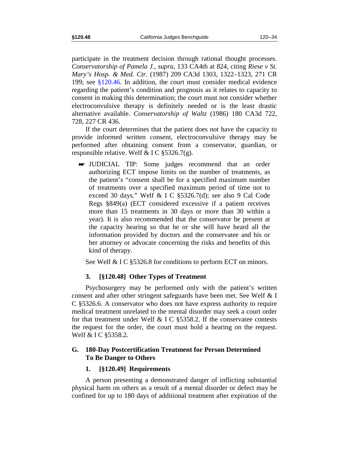participate in the treatment decision through rational thought processes. *Conservatorship of Pamela J., supra*, 133 CA4th at 824, citing *Riese v St. Mary's Hosp. & Med. Ctr.* (1987) 209 CA3d 1303, 1322–1323, 271 CR 199; see [§120.46.](#page-33-0) In addition, the court must consider medical evidence regarding the patient's condition and prognosis as it relates to capacity to consent in making this determination; the court must not consider whether electroconvulsive therapy is definitely needed or is the least drastic alternative available. *Conservatorship of Waltz* (1986) 180 CA3d 722, 728, 227 CR 436.

If the court determines that the patient does not have the capacity to provide informed written consent, electroconvulsive therapy may be performed after obtaining consent from a conservator, guardian, or responsible relative. Welf & I C  $\S 5326.7(g)$ .

 JUDICIAL TIP: Some judges recommend that an order authorizing ECT impose limits on the number of treatments, as the patient's "consent shall be for a specified maximum number of treatments over a specified maximum period of time not to exceed 30 days." Welf & I C §5326.7(d); see also 9 Cal Code Regs §849(a) (ECT considered excessive if a patient receives more than 15 treatments in 30 days or more than 30 within a year). It is also recommended that the conservator be present at the capacity hearing so that he or she will have heard all the information provided by doctors and the conservatee and his or her attorney or advocate concerning the risks and benefits of this kind of therapy.

<span id="page-35-0"></span>See Welf & I C §5326.8 for conditions to perform ECT on minors.

#### **3. [§120.48] Other Types of Treatment**

Psychosurgery may be performed only with the patient's written consent and after other stringent safeguards have been met. See Welf & I C §5326.6. A conservator who does not have express authority to require medical treatment unrelated to the mental disorder may seek a court order for that treatment under Welf & I C  $\S$ 5358.2. If the conservatee contests the request for the order, the court must hold a hearing on the request. Welf & I C §5358.2.

#### **G. 180-Day Postcertification Treatment for Person Determined To Be Danger to Others**

#### <span id="page-35-1"></span>**1. [§120.49] Requirements**

A person presenting a demonstrated danger of inflicting substantial physical harm on others as a result of a mental disorder or defect may be confined for up to 180 days of additional treatment after expiration of the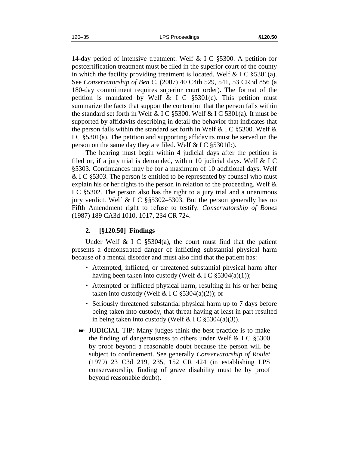14-day period of intensive treatment. Welf & I C §5300. A petition for postcertification treatment must be filed in the superior court of the county in which the facility providing treatment is located. Welf & I C  $\S 5301(a)$ . See *Conservatorship of Ben C*. (2007) 40 C4th 529, 541, 53 CR3d 856 (a 180-day commitment requires superior court order). The format of the petition is mandated by Welf & I C  $\S 5301(c)$ . This petition must summarize the facts that support the contention that the person falls within the standard set forth in Welf & I C  $\S$ 5300. Welf & I C 5301(a). It must be supported by affidavits describing in detail the behavior that indicates that the person falls within the standard set forth in Welf & I C  $\S 5300$ . Welf & I C §5301(a). The petition and supporting affidavits must be served on the person on the same day they are filed. Welf  $& IC \$ \$5301(b).

The hearing must begin within 4 judicial days after the petition is filed or, if a jury trial is demanded, within 10 judicial days. Welf  $&$  I C §5303. Continuances may be for a maximum of 10 additional days. Welf & I C §5303. The person is entitled to be represented by counsel who must explain his or her rights to the person in relation to the proceeding. Welf  $\&$ I C §5302. The person also has the right to a jury trial and a unanimous jury verdict. Welf & I C §§5302–5303. But the person generally has no Fifth Amendment right to refuse to testify. *Conservatorship of Bones* (1987) 189 CA3d 1010, 1017, 234 CR 724.

## **2. [§120.50] Findings**

Under Welf & I C  $\S5304(a)$ , the court must find that the patient presents a demonstrated danger of inflicting substantial physical harm because of a mental disorder and must also find that the patient has:

- Attempted, inflicted, or threatened substantial physical harm after having been taken into custody (Welf & I C  $\S 5304(a)(1)$ );
- Attempted or inflicted physical harm, resulting in his or her being taken into custody (Welf & I C  $\S$ 5304(a)(2)); or
- Seriously threatened substantial physical harm up to 7 days before being taken into custody, that threat having at least in part resulted in being taken into custody (Welf & I C  $\S 5304(a)(3)$ ).
- JUDICIAL TIP: Many judges think the best practice is to make the finding of dangerousness to others under Welf & I C  $\S 5300$ by proof beyond a reasonable doubt because the person will be subject to confinement. See generally *Conservatorship of Roulet* (1979) 23 C3d 219, 235, 152 CR 424 (in establishing LPS conservatorship, finding of grave disability must be by proof beyond reasonable doubt).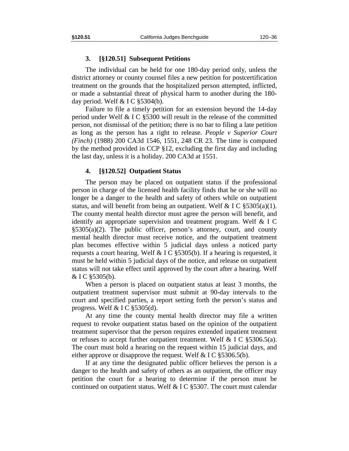## **3. [§120.51] Subsequent Petitions**

The individual can be held for one 180-day period only, unless the district attorney or county counsel files a new petition for postcertification treatment on the grounds that the hospitalized person attempted, inflicted, or made a substantial threat of physical harm to another during the 180 day period. Welf  $&$  I C  $$5304(b)$ .

Failure to file a timely petition for an extension beyond the 14-day period under Welf & I C §5300 will result in the release of the committed person, not dismissal of the petition; there is no bar to filing a late petition as long as the person has a right to release. *People v Superior Court (Finch)* (1988) 200 CA3d 1546, 1551, 248 CR 23. The time is computed by the method provided in CCP §12, excluding the first day and including the last day, unless it is a holiday. 200 CA3d at 1551.

### **4. [§120.52] Outpatient Status**

The person may be placed on outpatient status if the professional person in charge of the licensed health facility finds that he or she will no longer be a danger to the health and safety of others while on outpatient status, and will benefit from being an outpatient. Welf & I C  $\S 5305(a)(1)$ . The county mental health director must agree the person will benefit, and identify an appropriate supervision and treatment program. Welf & I C  $\S 5305(a)(2)$ . The public officer, person's attorney, court, and county mental health director must receive notice, and the outpatient treatment plan becomes effective within 5 judicial days unless a noticed party requests a court hearing. Welf & I C §5305(b). If a hearing is requested, it must be held within 5 judicial days of the notice, and release on outpatient status will not take effect until approved by the court after a hearing. Welf  $&$  I C §5305(b).

When a person is placed on outpatient status at least 3 months, the outpatient treatment supervisor must submit at 90-day intervals to the court and specified parties, a report setting forth the person's status and progress. Welf  $&$  I C §5305(d).

At any time the county mental health director may file a written request to revoke outpatient status based on the opinion of the outpatient treatment supervisor that the person requires extended inpatient treatment or refuses to accept further outpatient treatment. Welf  $\&$  I C §5306.5(a). The court must hold a hearing on the request within 15 judicial days, and either approve or disapprove the request. Welf  $&$  I C  $\S 5306.5(b)$ .

If at any time the designated public officer believes the person is a danger to the health and safety of others as an outpatient, the officer may petition the court for a hearing to determine if the person must be continued on outpatient status. Welf & I C  $\S$ 5307. The court must calendar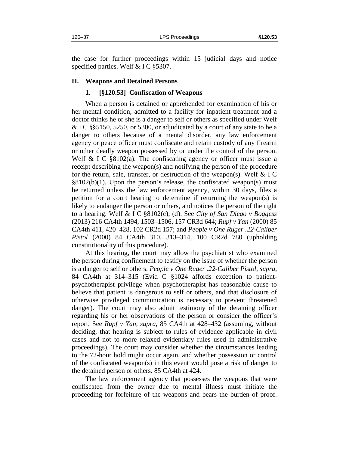the case for further proceedings within 15 judicial days and notice specified parties. Welf & I C §5307.

## **H. Weapons and Detained Persons**

### <span id="page-38-0"></span>**1. [§120.53] Confiscation of Weapons**

When a person is detained or apprehended for examination of his or her mental condition, admitted to a facility for inpatient treatment and a doctor thinks he or she is a danger to self or others as specified under Welf & I C §§5150, 5250, or 5300, or adjudicated by a court of any state to be a danger to others because of a mental disorder, any law enforcement agency or peace officer must confiscate and retain custody of any firearm or other deadly weapon possessed by or under the control of the person. Welf & I C  $\S 8102(a)$ . The confiscating agency or officer must issue a receipt describing the weapon(s) and notifying the person of the procedure for the return, sale, transfer, or destruction of the weapon(s). Welf  $&$  I C §8102(b)(1). Upon the person's release, the confiscated weapon(s) must be returned unless the law enforcement agency, within 30 days, files a petition for a court hearing to determine if returning the weapon(s) is likely to endanger the person or others, and notices the person of the right to a hearing. Welf & I C §8102(c), (d). See *City of San Diego v Boggess* (2013) 216 CA4th 1494, 1503–1506, 157 CR3d 644; *Rupf v Yan* (2000) 85 CA4th 411, 420–428, 102 CR2d 157; and *People v One Ruger .22-Caliber Pistol* (2000) 84 CA4th 310, 313–314, 100 CR2d 780 (upholding constitutionality of this procedure).

At this hearing, the court may allow the psychiatrist who examined the person during confinement to testify on the issue of whether the person is a danger to self or others. *People v One Ruger .22-Caliber Pistol*, *supra*, 84 CA4th at 314–315 (Evid C §1024 affords exception to patientpsychotherapist privilege when psychotherapist has reasonable cause to believe that patient is dangerous to self or others, and that disclosure of otherwise privileged communication is necessary to prevent threatened danger). The court may also admit testimony of the detaining officer regarding his or her observations of the person or consider the officer's report. See *Rupf v Yan*, *supra*, 85 CA4th at 428–432 (assuming, without deciding, that hearing is subject to rules of evidence applicable in civil cases and not to more relaxed evidentiary rules used in administrative proceedings). The court may consider whether the circumstances leading to the 72-hour hold might occur again, and whether possession or control of the confiscated weapon(s) in this event would pose a risk of danger to the detained person or others. 85 CA4th at 424.

The law enforcement agency that possesses the weapons that were confiscated from the owner due to mental illness must initiate the proceeding for forfeiture of the weapons and bears the burden of proof.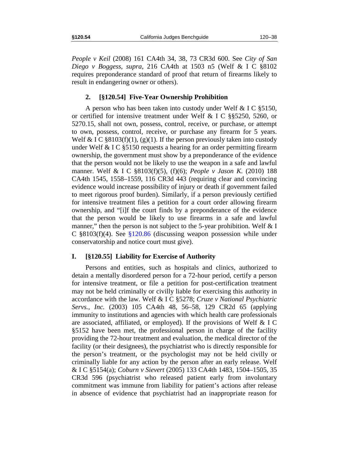*People v Keil* (2008) 161 CA4th 34, 38, 73 CR3d 600. See *City of San Diego v Boggess*, *supra*, 216 CA4th at 1503 n5 [\(Welf & I C §8102](https://web2.westlaw.com/find/default.wl?mt=7&db=1000228&docname=CAWIS8102&rp=%2ffind%2fdefault.wl&findtype=L&ordoc=2030716242&tc=-1&vr=2.0&fn=_top&sv=Split&tf=-1&pbc=F80D0520&rs=WLW15.07) requires preponderance standard of proof that return of firearms likely to result in endangering owner or others).

### <span id="page-39-0"></span>**2. [§120.54] Five-Year Ownership Prohibition**

A person who has been taken into custody under Welf & I C §5150, or certified for intensive treatment under Welf & I C §§5250, 5260, or 5270.15, shall not own, possess, control, receive, or purchase, or attempt to own, possess, control, receive, or purchase any firearm for 5 years. Welf & I C  $\S 8103(f)(1)$ , (g)(1). If the person previously taken into custody under Welf & I C §5150 requests a hearing for an order permitting firearm ownership, the government must show by a preponderance of the evidence that the person would not be likely to use the weapon in a safe and lawful manner. Welf & I C §8103(f)(5), (f)(6); *People v Jason K.* (2010) 188 CA4th 1545, 1558–1559, 116 CR3d 443 (requiring clear and convincing evidence would increase possibility of injury or death if government failed to meet rigorous proof burden). Similarly, if a person previously certified for intensive treatment files a petition for a court order allowing firearm ownership, and "[i]f the court finds by a preponderance of the evidence that the person would be likely to use firearms in a safe and lawful manner," then the person is not subject to the 5-year prohibition. Welf  $\&$  I C  $\S 8103(f)(4)$ . See  $\S 120.86$  (discussing weapon possession while under conservatorship and notice court must give).

# **I. [§120.55] Liability for Exercise of Authority**

Persons and entities, such as hospitals and clinics, authorized to detain a mentally disordered person for a 72-hour period, certify a person for intensive treatment, or file a petition for post-certification treatment may not be held criminally or civilly liable for exercising this authority in accordance with the law. Welf & I C §5278; *Cruze v National Psychiatric Servs., Inc.* (2003) 105 CA4th 48, 56–58, 129 CR2d 65 (applying immunity to institutions and agencies with which health care professionals are associated, affiliated, or employed). If the provisions of Welf & I C §5152 have been met, the professional person in charge of the facility providing the 72-hour treatment and evaluation, the medical director of the facility (or their designees), the psychiatrist who is directly responsible for the person's treatment, or the psychologist may not be held civilly or criminally liable for any action by the person after an early release. Welf & I C §5154(a); *Coburn v Sievert* (2005) 133 CA4th 1483, 1504–1505, 35 CR3d 596 (psychiatrist who released patient early from involuntary commitment was immune from liability for patient's actions after release in absence of evidence that psychiatrist had an inappropriate reason for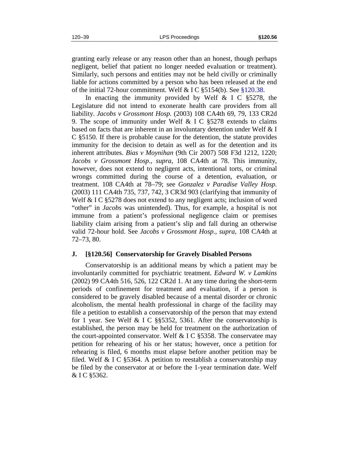granting early release or any reason other than an honest, though perhaps negligent, belief that patient no longer needed evaluation or treatment). Similarly, such persons and entities may not be held civilly or criminally liable for actions committed by a person who has been released at the end of the initial 72-hour commitment. Welf & I C  $\S 5154(b)$ . See  $\S 120.38$ .

In enacting the immunity provided by Welf  $\&$  I C §5278, the Legislature did not intend to exonerate health care providers from all liability. *Jacobs v Grossmont Hosp.* (2003) 108 CA4th 69, 79, 133 CR2d 9. The scope of immunity under Welf & I C §5278 extends to claims based on facts that are inherent in an involuntary detention under Welf & I C §5150. If there is probable cause for the detention, the statute provides immunity for the decision to detain as well as for the detention and its inherent attributes. *Bias v Moynihan* (9th Cir 2007) 508 F3d 1212, 1220; *Jacobs v Grossmont Hosp., supra,* 108 CA4th at 78. This immunity, however, does not extend to negligent acts, intentional torts, or criminal wrongs committed during the course of a detention, evaluation, or treatment. 108 CA4th at 78–79; see *Gonzalez v Paradise Valley Hosp.* (2003) 111 CA4th 735, 737, 742, 3 CR3d 903 (clarifying that immunity of Welf & I C §5278 does not extend to any negligent acts; inclusion of word "other" in *Jacobs* was unintended). Thus, for example, a hospital is not immune from a patient's professional negligence claim or premises liability claim arising from a patient's slip and fall during an otherwise valid 72-hour hold. See *Jacobs v Grossmont Hosp., supra,* 108 CA4th at 72–73, 80.

### **J. [§120.56] Conservatorship for Gravely Disabled Persons**

Conservatorship is an additional means by which a patient may be involuntarily committed for psychiatric treatment. *Edward W. v Lamkins*  (2002) 99 CA4th 516, 526, 122 CR2d 1. At any time during the short-term periods of confinement for treatment and evaluation, if a person is considered to be gravely disabled because of a mental disorder or chronic alcoholism, the mental health professional in charge of the facility may file a petition to establish a conservatorship of the person that may extend for 1 year. See Welf & I C §§5352, 5361. After the conservatorship is established, the person may be held for treatment on the authorization of the court-appointed conservator. Welf & I C  $\S 5358$ . The conservatee may petition for rehearing of his or her status; however, once a petition for rehearing is filed, 6 months must elapse before another petition may be filed. Welf & I C §5364. A petition to reestablish a conservatorship may be filed by the conservator at or before the 1-year termination date. Welf & I C §5362.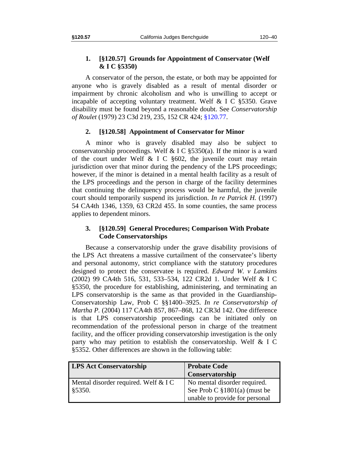# **1. [§120.57] Grounds for Appointment of Conservator (Welf & I C §5350)**

A conservator of the person, the estate, or both may be appointed for anyone who is gravely disabled as a result of mental disorder or impairment by chronic alcoholism and who is unwilling to accept or incapable of accepting voluntary treatment. Welf & I C §5350. Grave disability must be found beyond a reasonable doubt. See *Conservatorship of Roulet* (1979) 23 C3d 219, 235, 152 CR 424; [§120.77.](#page-54-0)

# **2. [§120.58] Appointment of Conservator for Minor**

A minor who is gravely disabled may also be subject to conservatorship proceedings. Welf & I C  $\S$ 5350(a). If the minor is a ward of the court under Welf & I C  $\S602$ , the juvenile court may retain jurisdiction over that minor during the pendency of the LPS proceedings; however, if the minor is detained in a mental health facility as a result of the LPS proceedings and the person in charge of the facility determines that continuing the delinquency process would be harmful, the juvenile court should temporarily suspend its jurisdiction. *In re Patrick H.* (1997) 54 CA4th 1346, 1359, 63 CR2d 455. In some counties, the same process applies to dependent minors.

# **3. [§120.59] General Procedures; Comparison With Probate Code Conservatorships**

Because a conservatorship under the grave disability provisions of the LPS Act threatens a massive curtailment of the conservatee's liberty and personal autonomy, strict compliance with the statutory procedures designed to protect the conservatee is required. *Edward W. v Lamkins*  (2002) 99 CA4th 516, 531, 533–534, 122 CR2d 1. Under Welf & I C §5350, the procedure for establishing, administering, and terminating an LPS conservatorship is the same as that provided in the Guardianship-Conservatorship Law, Prob C §§1400–3925. *In re Conservatorship of Martha P.* (2004) 117 CA4th 857, 867–868, 12 CR3d 142. One difference is that LPS conservatorship proceedings can be initiated only on recommendation of the professional person in charge of the treatment facility, and the officer providing conservatorship investigation is the only party who may petition to establish the conservatorship. Welf  $\&$  I C §5352. Other differences are shown in the following table:

| <b>LPS Act Conservatorship</b>      | <b>Probate Code</b>            |
|-------------------------------------|--------------------------------|
|                                     | Conservatorship                |
| Mental disorder required. Welf & IC | No mental disorder required.   |
| §5350.                              | See Prob C $$1801(a)$ (must be |
|                                     | unable to provide for personal |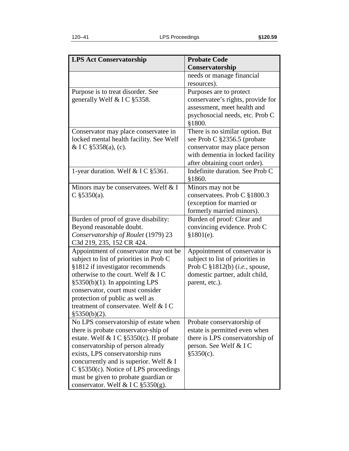| <b>LPS Act Conservatorship</b>                                                         | <b>Probate Code</b>                       |
|----------------------------------------------------------------------------------------|-------------------------------------------|
|                                                                                        | Conservatorship                           |
|                                                                                        | needs or manage financial                 |
|                                                                                        | resources).                               |
| Purpose is to treat disorder. See                                                      | Purposes are to protect                   |
| generally Welf & IC §5358.                                                             | conservatee's rights, provide for         |
|                                                                                        | assessment, meet health and               |
|                                                                                        | psychosocial needs, etc. Prob C           |
|                                                                                        | \$1800.                                   |
| Conservator may place conservatee in                                                   | There is no similar option. But           |
| locked mental health facility. See Welf                                                | see Prob C §2356.5 (probate               |
| & I C $\S$ 5358(a), (c).                                                               | conservator may place person              |
|                                                                                        | with dementia in locked facility          |
|                                                                                        | after obtaining court order).             |
| 1-year duration. Welf & IC §5361.                                                      | Indefinite duration. See Prob C           |
|                                                                                        | §1860.                                    |
| Minors may be conservated. Welf $& 1$                                                  | Minors may not be                         |
| C $$5350(a)$ .                                                                         | conservatees. Prob C §1800.3              |
|                                                                                        | (exception for married or                 |
|                                                                                        | formerly married minors).                 |
| Burden of proof of grave disability:                                                   | Burden of proof: Clear and                |
| Beyond reasonable doubt.                                                               | convincing evidence. Prob C               |
| Conservatorship of Roulet (1979) 23                                                    | §1801(e).                                 |
| C3d 219, 235, 152 CR 424.                                                              |                                           |
| Appointment of conservator may not be                                                  | Appointment of conservator is             |
| subject to list of priorities in Prob C                                                | subject to list of priorities in          |
| §1812 if investigator recommends                                                       | Prob C $§1812(b)$ ( <i>i.e.</i> , spouse, |
| otherwise to the court. Welf & IC                                                      | domestic partner, adult child,            |
| $§5350(b)(1)$ . In appointing LPS                                                      | parent, etc.).                            |
| conservator, court must consider                                                       |                                           |
| protection of public as well as                                                        |                                           |
| treatment of conservatee. Welf & IC                                                    |                                           |
| §5350(b)(2).                                                                           |                                           |
| No LPS conservatorship of estate when                                                  | Probate conservatorship of                |
| there is probate conservator-ship of                                                   | estate is permitted even when             |
| estate. Welf & I C $\S$ 5350(c). If probate                                            | there is LPS conservatorship of           |
| conservatorship of person already                                                      | person. See Welf & IC                     |
| exists, LPS conservatorship runs                                                       | §5350(c).                                 |
| concurrently and is superior. Welf $& I$                                               |                                           |
| $C \$ \$5350 $(c)$ . Notice of LPS proceedings<br>must be given to probate guardian or |                                           |
| conservator. Welf & I C §5350(g).                                                      |                                           |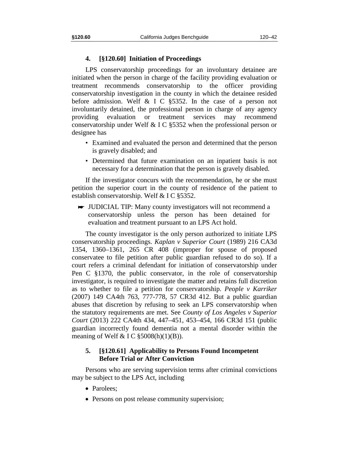LPS conservatorship proceedings for an involuntary detainee are initiated when the person in charge of the facility providing evaluation or treatment recommends conservatorship to the officer providing conservatorship investigation in the county in which the detainee resided before admission. Welf & I C §5352. In the case of a person not involuntarily detained, the professional person in charge of any agency providing evaluation or treatment services may recommend conservatorship under Welf & I C §5352 when the professional person or designee has

- Examined and evaluated the person and determined that the person is gravely disabled; and
- Determined that future examination on an inpatient basis is not necessary for a determination that the person is gravely disabled.

If the investigator concurs with the recommendation, he or she must petition the superior court in the county of residence of the patient to establish conservatorship. Welf & I C §5352.

 JUDICIAL TIP: Many county investigators will not recommend a conservatorship unless the person has been detained for evaluation and treatment pursuant to an LPS Act hold.

The county investigator is the only person authorized to initiate LPS conservatorship proceedings. *Kaplan v Superior Court* (1989) 216 CA3d 1354, 1360–1361, 265 CR 408 (improper for spouse of proposed conservatee to file petition after public guardian refused to do so). If a court refers a criminal defendant for initiation of conservatorship under Pen C §1370, the public conservator, in the role of conservatorship investigator, is required to investigate the matter and retains full discretion as to whether to file a petition for conservatorship. *People v Karriker* (2007) 149 CA4th 763, 777-778, 57 CR3d 412. But a public guardian abuses that discretion by refusing to seek an LPS conservatorship when the statutory requirements are met. See *County of Los Angeles v Superior Court* (2013) 222 CA4th 434, 447–451, 453–454, 166 CR3d 151 (public guardian incorrectly found dementia not a mental disorder within the meaning of Welf & I C  $\S 5008(h)(1)(B)$ .

# **5. [§120.61] Applicability to Persons Found Incompetent Before Trial or After Conviction**

Persons who are serving supervision terms after criminal convictions may be subject to the LPS Act, including

- Parolees;
- Persons on post release community supervision;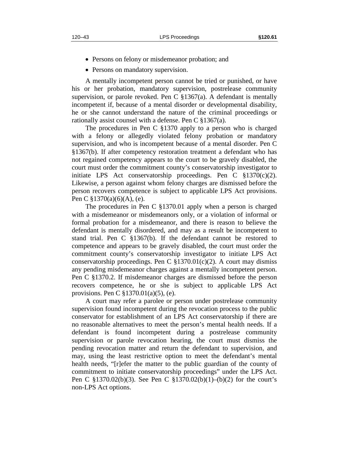- Persons on felony or misdemeanor probation; and
- Persons on mandatory supervision.

A mentally incompetent person cannot be tried or punished, or have his or her probation, mandatory supervision, postrelease community supervision, or parole revoked. Pen C  $\S1367(a)$ . A defendant is mentally incompetent if, because of a mental disorder or developmental disability, he or she cannot understand the nature of the criminal proceedings or rationally assist counsel with a defense. Pen C §1367(a).

The procedures in Pen C §1370 apply to a person who is charged with a felony or allegedly violated felony probation or mandatory supervision, and who is incompetent because of a mental disorder. Pen C §1367(b). If after competency restoration treatment a defendant who has not regained competency appears to the court to be gravely disabled, the court must order the commitment county's conservatorship investigator to initiate LPS Act conservatorship proceedings. Pen C §1370(c)(2). Likewise, a person against whom felony charges are dismissed before the person recovers competence is subject to applicable LPS Act provisions. Pen C  $$1370(a)(6)(A)$ , (e).

The procedures in Pen C §1370.01 apply when a person is charged with a misdemeanor or misdemeanors only, or a violation of informal or formal probation for a misdemeanor, and there is reason to believe the defendant is mentally disordered, and may as a result be incompetent to stand trial. Pen C §1367(b). If the defendant cannot be restored to competence and appears to be gravely disabled, the court must order the commitment county's conservatorship investigator to initiate LPS Act conservatorship proceedings. Pen C  $\S 1370.01(c)(2)$ . A court may dismiss any pending misdemeanor charges against a mentally incompetent person. Pen C §1370.2. If misdemeanor charges are dismissed before the person recovers competence, he or she is subject to applicable LPS Act provisions. Pen C §1370.01(a)(5), (e).

A court may refer a parolee or person under postrelease community supervision found incompetent during the revocation process to the public conservator for establishment of an LPS Act conservatorship if there are no reasonable alternatives to meet the person's mental health needs. If a defendant is found incompetent during a postrelease community supervision or parole revocation hearing, the court must dismiss the pending revocation matter and return the defendant to supervision, and may, using the least restrictive option to meet the defendant's mental health needs, "[r]efer the matter to the public guardian of the county of commitment to initiate conservatorship proceedings" under the LPS Act. Pen C §1370.02(b)(3). See Pen C §1370.02(b)(1)–(b)(2) for the court's non-LPS Act options.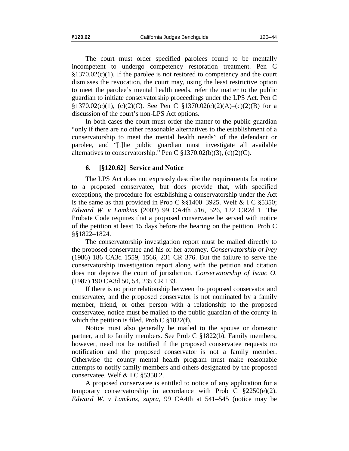The court must order specified parolees found to be mentally incompetent to undergo competency restoration treatment. Pen C  $§1370.02(c)(1)$ . If the parolee is not restored to competency and the court dismisses the revocation, the court may, using the least restrictive option to meet the parolee's mental health needs, refer the matter to the public guardian to initiate conservatorship proceedings under the LPS Act. Pen C §1370.02(c)(1), (c)(2)(C). See Pen C §1370.02(c)(2)(A)–(c)(2)(B) for a discussion of the court's non-LPS Act options.

In both cases the court must order the matter to the public guardian "only if there are no other reasonable alternatives to the establishment of a conservatorship to meet the mental health needs" of the defendant or parolee, and "[t]he public guardian must investigate all available alternatives to conservatorship." Pen C  $$1370.02(b)(3)$ , (c)(2)(C).

## **6. [§120.62] Service and Notice**

The LPS Act does not expressly describe the requirements for notice to a proposed conservatee, but does provide that, with specified exceptions, the procedure for establishing a conservatorship under the Act is the same as that provided in Prob C §§1400–3925. Welf & I C §5350; *Edward W. v Lamkins* (2002) 99 CA4th 516, 526, 122 CR2d 1. The Probate Code requires that a proposed conservatee be served with notice of the petition at least 15 days before the hearing on the petition. Prob C §§1822–1824.

The conservatorship investigation report must be mailed directly to the proposed conservatee and his or her attorney. *Conservatorship of Ivey*  (1986) 186 CA3d 1559, 1566, 231 CR 376. But the failure to serve the conservatorship investigation report along with the petition and citation does not deprive the court of jurisdiction. *Conservatorship of Isaac O.*  (1987) 190 CA3d 50, 54, 235 CR 133.

If there is no prior relationship between the proposed conservator and conservatee, and the proposed conservator is not nominated by a family member, friend, or other person with a relationship to the proposed conservatee, notice must be mailed to the public guardian of the county in which the petition is filed. Prob C  $\S 1822(f)$ .

Notice must also generally be mailed to the spouse or domestic partner, and to family members. See Prob C §1822(b). Family members, however, need not be notified if the proposed conservatee requests no notification and the proposed conservator is not a family member. Otherwise the county mental health program must make reasonable attempts to notify family members and others designated by the proposed conservatee. Welf & I C §5350.2.

A proposed conservatee is entitled to notice of any application for a temporary conservatorship in accordance with Prob C  $\S 2250(e)(2)$ . *Edward W. v Lamkins, supra,* 99 CA4th at 541–545 (notice may be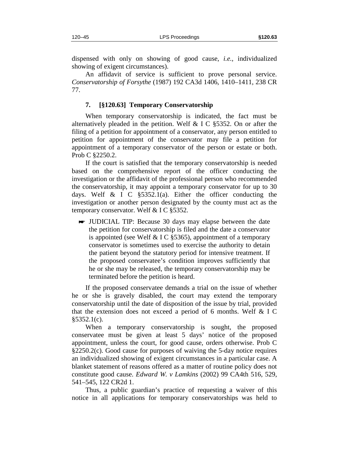dispensed with only on showing of good cause, *i.e.,* individualized showing of exigent circumstances).

An affidavit of service is sufficient to prove personal service. *Conservatorship of Forsythe* (1987) 192 CA3d 1406, 1410–1411, 238 CR 77.

## **7. [§120.63] Temporary Conservatorship**

When temporary conservatorship is indicated, the fact must be alternatively pleaded in the petition. Welf & I C §5352. On or after the filing of a petition for appointment of a conservator, any person entitled to petition for appointment of the conservator may file a petition for appointment of a temporary conservator of the person or estate or both. Prob C §2250.2.

If the court is satisfied that the temporary conservatorship is needed based on the comprehensive report of the officer conducting the investigation or the affidavit of the professional person who recommended the conservatorship, it may appoint a temporary conservator for up to 30 days. Welf & I C  $\S 5352.1(a)$ . Either the officer conducting the investigation or another person designated by the county must act as the temporary conservator. Welf & I C §5352.

 JUDICIAL TIP: Because 30 days may elapse between the date the petition for conservatorship is filed and the date a conservator is appointed (see Welf & I C  $\S$ 5365), appointment of a temporary conservator is sometimes used to exercise the authority to detain the patient beyond the statutory period for intensive treatment. If the proposed conservatee's condition improves sufficiently that he or she may be released, the temporary conservatorship may be terminated before the petition is heard.

If the proposed conservatee demands a trial on the issue of whether he or she is gravely disabled, the court may extend the temporary conservatorship until the date of disposition of the issue by trial, provided that the extension does not exceed a period of 6 months. Welf & I C  $§ 5352.1(c)$ .

When a temporary conservatorship is sought, the proposed conservatee must be given at least 5 days' notice of the proposed appointment, unless the court, for good cause, orders otherwise. Prob C §2250.2(c). Good cause for purposes of waiving the 5-day notice requires an individualized showing of exigent circumstances in a particular case. A blanket statement of reasons offered as a matter of routine policy does not constitute good cause. *Edward W. v Lamkins* (2002) 99 CA4th 516, 529, 541–545, 122 CR2d 1.

Thus, a public guardian's practice of requesting a waiver of this notice in all applications for temporary conservatorships was held to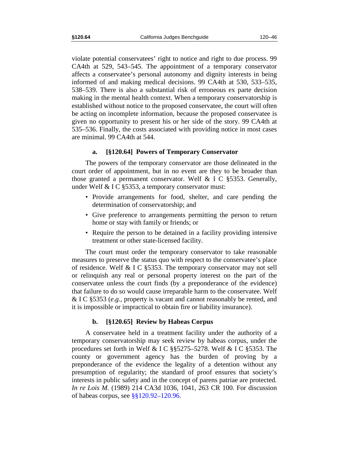violate potential conservatees' right to notice and right to due process. 99 CA4th at 529, 543–545. The appointment of a temporary conservator affects a conservatee's personal autonomy and dignity interests in being informed of and making medical decisions. 99 CA4th at 530, 533–535, 538–539. There is also a substantial risk of erroneous ex parte decision making in the mental health context. When a temporary conservatorship is established without notice to the proposed conservatee, the court will often be acting on incomplete information, because the proposed conservatee is given no opportunity to present his or her side of the story. 99 CA4th at 535–536. Finally, the costs associated with providing notice in most cases

### **a. [§120.64] Powers of Temporary Conservator**

The powers of the temporary conservator are those delineated in the court order of appointment, but in no event are they to be broader than those granted a permanent conservator. Welf & I C §5353. Generally, under Welf & I C §5353, a temporary conservator must:

- Provide arrangements for food, shelter, and care pending the determination of conservatorship; and
- Give preference to arrangements permitting the person to return home or stay with family or friends; or
- Require the person to be detained in a facility providing intensive treatment or other state-licensed facility.

The court must order the temporary conservator to take reasonable measures to preserve the status quo with respect to the conservatee's place of residence. Welf & I C §5353. The temporary conservator may not sell or relinquish any real or personal property interest on the part of the conservatee unless the court finds (by a preponderance of the evidence) that failure to do so would cause irreparable harm to the conservatee. Welf & I C §5353 (*e.g.,* property is vacant and cannot reasonably be rented, and it is impossible or impractical to obtain fire or liability insurance).

### **b. [§120.65] Review by Habeas Corpus**

A conservatee held in a treatment facility under the authority of a temporary conservatorship may seek review by habeas corpus, under the procedures set forth in Welf & I C §§5275–5278. Welf & I C §5353. The county or government agency has the burden of proving by a preponderance of the evidence the legality of a detention without any presumption of regularity; the standard of proof ensures that society's interests in public safety and in the concept of parens patriae are protected*. In re Lois M.* (1989) 214 CA3d 1036, 1041, 263 CR 100. For discussion of habeas corpus, see  $\S$ [§120.92–](#page-63-0)[120.96.](#page-66-0)

are minimal. 99 CA4th at 544.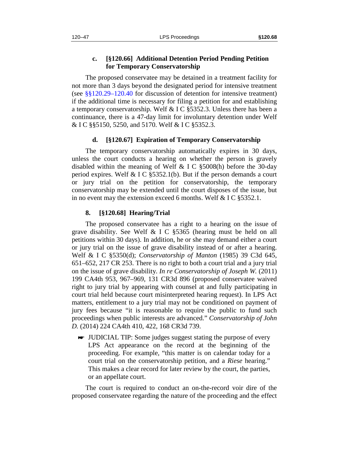# **c. [§120.66] Additional Detention Period Pending Petition for Temporary Conservatorship**

The proposed conservatee may be detained in a treatment facility for not more than 3 days beyond the designated period for intensive treatment (see §[§120.29](#page-22-0)[–120.40](#page-28-0) for discussion of detention for intensive treatment) if the additional time is necessary for filing a petition for and establishing a temporary conservatorship. Welf & I C §5352.3. Unless there has been a continuance, there is a 47-day limit for involuntary detention under Welf & I C §§5150, 5250, and 5170. Welf & I C §5352.3.

## **d. [§120.67] Expiration of Temporary Conservatorship**

The temporary conservatorship automatically expires in 30 days, unless the court conducts a hearing on whether the person is gravely disabled within the meaning of Welf & I C §5008(h) before the 30-day period expires. Welf & I C §5352.1(b). But if the person demands a court or jury trial on the petition for conservatorship, the temporary conservatorship may be extended until the court disposes of the issue, but in no event may the extension exceed 6 months. Welf  $& 1C \$ §5352.1.

## **8. [§120.68] Hearing/Trial**

The proposed conservatee has a right to a hearing on the issue of grave disability. See Welf & I C §5365 (hearing must be held on all petitions within 30 days). In addition, he or she may demand either a court or jury trial on the issue of grave disability instead of or after a hearing. Welf & I C §5350(d); *Conservatorship of Manton* (1985) 39 C3d 645, 651–652, 217 CR 253. There is no right to both a court trial and a jury trial on the issue of grave disability. *In re Conservatorship of Joseph W.* (2011) 199 CA4th 953, 967–969, 131 CR3d 896 (proposed conservatee waived right to jury trial by appearing with counsel at and fully participating in court trial held because court misinterpreted hearing request). In LPS Act matters, entitlement to a jury trial may not be conditioned on payment of jury fees because "it is reasonable to require the public to fund such proceedings when public interests are advanced." *Conservatorship of John D.* (2014) 224 CA4th 410, 422, 168 CR3d 739.

 JUDICIAL TIP: Some judges suggest stating the purpose of every LPS Act appearance on the record at the beginning of the proceeding. For example, "this matter is on calendar today for a court trial on the conservatorship petition, and a *Riese* hearing." This makes a clear record for later review by the court, the parties, or an appellate court.

The court is required to conduct an on-the-record voir dire of the proposed conservatee regarding the nature of the proceeding and the effect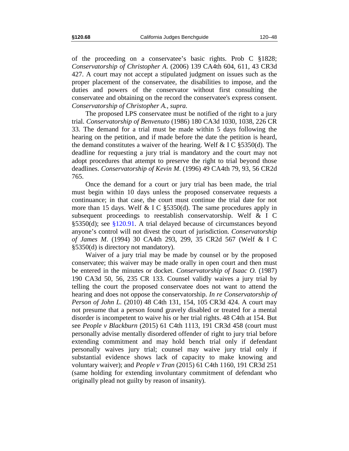of the proceeding on a conservatee's basic rights. Prob C §1828; *Conservatorship of Christopher A*. (2006) 139 CA4th 604, 611, 43 CR3d 427. A court may not accept a stipulated judgment on issues such as the proper placement of the conservatee, the disabilities to impose, and the duties and powers of the conservator without first consulting the conservatee and obtaining on the record the conservatee's express consent. *Conservatorship of Christopher A., supra.*

The proposed LPS conservatee must be notified of the right to a jury trial. *Conservatorship of Benvenuto* (1986) 180 CA3d 1030, 1038, 226 CR 33. The demand for a trial must be made within 5 days following the hearing on the petition, and if made before the date the petition is heard, the demand constitutes a waiver of the hearing. Welf & I C  $\S 5350(d)$ . The deadline for requesting a jury trial is mandatory and the court may not adopt procedures that attempt to preserve the right to trial beyond those deadlines. *Conservatorship of Kevin M*. (1996) 49 CA4th 79, 93, 56 CR2d 765.

Once the demand for a court or jury trial has been made, the trial must begin within 10 days unless the proposed conservatee requests a continuance; in that case, the court must continue the trial date for not more than 15 days. Welf & I C  $\S 5350(d)$ . The same procedures apply in subsequent proceedings to reestablish conservatorship. Welf & I C §5350(d); see [§120.91.](#page-62-0) A trial delayed because of circumstances beyond anyone's control will not divest the court of jurisdiction. *Conservatorship of James M*. (1994) 30 CA4th 293, 299, 35 CR2d 567 (Welf & I C §5350(d) is directory not mandatory).

Waiver of a jury trial may be made by counsel or by the proposed conservatee; this waiver may be made orally in open court and then must be entered in the minutes or docket. *Conservatorship of Isaac O.* (1987) 190 CA3d 50, 56, 235 CR 133. Counsel validly waives a jury trial by telling the court the proposed conservatee does not want to attend the hearing and does not oppose the conservatorship. *In re Conservatorship of Person of John L.* (2010) 48 C4th 131, 154, 105 CR3d 424. A court may not presume that a person found gravely disabled or treated for a mental disorder is incompetent to waive his or her trial rights. 48 C4th at 154. But see *People v Blackburn* (2015) 61 C4th 1113, 191 CR3d 458 (court must personally advise mentally disordered offender of right to jury trial before extending commitment and may hold bench trial only if defendant personally waives jury trial; counsel may waive jury trial only if substantial evidence shows lack of capacity to make knowing and voluntary waiver); and *People v Tran* (2015) 61 C4th 1160, 191 CR3d 251 (same holding for extending involuntary commitment of defendant who originally plead not guilty by reason of insanity).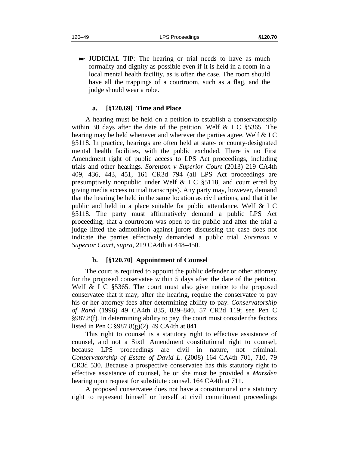JUDICIAL TIP: The hearing or trial needs to have as much formality and dignity as possible even if it is held in a room in a local mental health facility, as is often the case. The room should have all the trappings of a courtroom, such as a flag, and the judge should wear a robe.

# **a. [§120.69] Time and Place**

A hearing must be held on a petition to establish a conservatorship within 30 days after the date of the petition. Welf & I C §5365. The hearing may be held whenever and wherever the parties agree. Welf & I C §5118. In practice, hearings are often held at state- or county-designated mental health facilities, with the public excluded. There is no First Amendment right of public access to LPS Act proceedings, including trials and other hearings. *Sorenson v Superior Court* (2013) 219 CA4th 409, 436, 443, 451, 161 CR3d 794 (all LPS Act proceedings are presumptively nonpublic under Welf & I C §5118, and court erred by giving media access to trial transcripts). Any party may, however, demand that the hearing be held in the same location as civil actions, and that it be public and held in a place suitable for public attendance. Welf & I C §5118. The party must affirmatively demand a public LPS Act proceeding; that a courtroom was open to the public and after the trial a judge lifted the admonition against jurors discussing the case does not indicate the parties effectively demanded a public trial. *Sorenson v Superior Court*, *supra*, 219 CA4th at 448–450.

# **b. [§120.70] Appointment of Counsel**

The court is required to appoint the public defender or other attorney for the proposed conservatee within 5 days after the date of the petition. Welf & I C §5365. The court must also give notice to the proposed conservatee that it may, after the hearing, require the conservatee to pay his or her attorney fees after determining ability to pay. *Conservatorship of Rand* (1996) 49 CA4th 835, 839–840, 57 CR2d 119; see Pen C §987.8(f). In determining ability to pay, the court must consider the factors listed in Pen C §987.8(g)(2). 49 CA4th at 841.

This right to counsel is a statutory right to effective assistance of counsel, and not a Sixth Amendment constitutional right to counsel, because LPS proceedings are civil in nature, not criminal. *Conservatorship of Estate of David L*. (2008) 164 CA4th 701, 710, 79 CR3d 530. Because a prospective conservatee has this statutory right to effective assistance of counsel, he or she must be provided a *Marsden* hearing upon request for substitute counsel. 164 CA4th at 711.

A proposed conservatee does not have a constitutional or a statutory right to represent himself or herself at civil commitment proceedings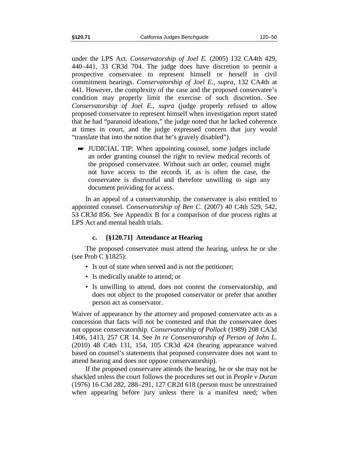under the LPS Act. *Conservatorship of Joel E.* (2005) 132 CA4th 429, 440–441, 33 CR3d 704. The judge does have discretion to permit a prospective conservatee to represent himself or herself in civil commitment hearings. *Conservatorship of Joel E., supra,* 132 CA4th at 441. However, the complexity of the case and the proposed conservatee's condition may properly limit the exercise of such discretion. See *Conservatorship of Joel E., supra* (judge properly refused to allow proposed conservatee to represent himself when investigation report stated that he had "paranoid ideations," the judge noted that he lacked coherence at times in court, and the judge expressed concern that jury would "translate that into the notion that he's gravely disabled").

 JUDICIAL TIP: When appointing counsel, some judges include an order granting counsel the right to review medical records of the proposed conservatee. Without such an order, counsel might not have access to the records if, as is often the case, the conservatee is distrustful and therefore unwilling to sign any document providing for access.

In an appeal of a conservatorship, the conservatee is also entitled to appointed counsel. *Conservatorship of Ben C*. (2007) 40 C4th 529, 542, 53 CR3d 856. See Appendix B for a comparison of due process rights at LPS Act and mental health trials.

### **c. [§120.71] Attendance at Hearing**

The proposed conservatee must attend the hearing, unless he or she (see Prob C §1825):

- Is out of state when served and is not the petitioner;
- Is medically unable to attend; or
- Is unwilling to attend, does not contest the conservatorship, and does not object to the proposed conservator or prefer that another person act as conservator.

Waiver of appearance by the attorney and proposed conservatee acts as a concession that facts will not be contested and that the conservatee does not oppose conservatorship*. Conservatorship of Pollock* (1989) 208 CA3d 1406, 1413, 257 CR 14. See *In re Conservatorship of Person of John L.* (2010) 48 C4th 131, 154, 105 CR3d 424 (hearing appearance waived based on counsel's statements that proposed conservatee does not want to attend hearing and does not oppose conservatorship).

If the proposed conservatee attends the hearing, he or she may not be shackled unless the court follows the procedures set out in *People v Duran*  (1976) 16 C3d 282, 288–291, 127 CR2d 618 (person must be unrestrained when appearing before jury unless there is a manifest need; when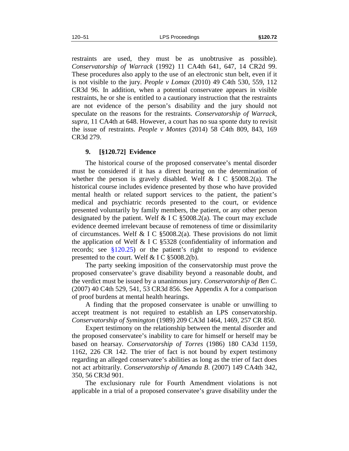restraints are used, they must be as unobtrusive as possible). *Conservatorship of Warrack* (1992) 11 CA4th 641, 647, 14 CR2d 99. These procedures also apply to the use of an electronic stun belt, even if it is not visible to the jury. *People v Lomax* (2010) 49 C4th 530, 559, 112 CR3d 96. In addition, when a potential conservatee appears in visible restraints, he or she is entitled to a cautionary instruction that the restraints are not evidence of the person's disability and the jury should not speculate on the reasons for the restraints. *Conservatorship of Warrack*, *supra*, 11 CA4th at 648. However, a court has no sua sponte duty to revisit the issue of restraints. *People v Montes* (2014) 58 C4th 809, 843, 169 CR3d 279.

#### <span id="page-52-0"></span>**9. [§120.72] Evidence**

The historical course of the proposed conservatee's mental disorder must be considered if it has a direct bearing on the determination of whether the person is gravely disabled. Welf & I C  $\S 5008.2(a)$ . The historical course includes evidence presented by those who have provided mental health or related support services to the patient, the patient's medical and psychiatric records presented to the court, or evidence presented voluntarily by family members, the patient, or any other person designated by the patient. Welf & I C  $\S 5008.2(a)$ . The court may exclude evidence deemed irrelevant because of remoteness of time or dissimilarity of circumstances. Welf & I C  $\S5008.2(a)$ . These provisions do not limit the application of Welf & I C  $\S$ 5328 (confidentiality of information and records; see  $\S 120.25$ ) or the patient's right to respond to evidence presented to the court. Welf  $&$  I C §5008.2(b).

The party seeking imposition of the conservatorship must prove the proposed conservatee's grave disability beyond a reasonable doubt, and the verdict must be issued by a unanimous jury. *Conservatorship of Ben C*. (2007) 40 C4th 529, 541, 53 CR3d 856. See Appendix A for a comparison of proof burdens at mental health hearings.

A finding that the proposed conservatee is unable or unwilling to accept treatment is not required to establish an LPS conservatorship. *Conservatorship of Symington* (1989) 209 CA3d 1464, 1469, 257 CR 850.

Expert testimony on the relationship between the mental disorder and the proposed conservatee's inability to care for himself or herself may be based on hearsay. *Conservatorship of Torres* (1986) 180 CA3d 1159, 1162, 226 CR 142. The trier of fact is not bound by expert testimony regarding an alleged conservatee's abilities as long as the trier of fact does not act arbitrarily. *Conservatorship of Amanda B*. (2007) 149 CA4th 342, 350, 56 CR3d 901.

The exclusionary rule for Fourth Amendment violations is not applicable in a trial of a proposed conservatee's grave disability under the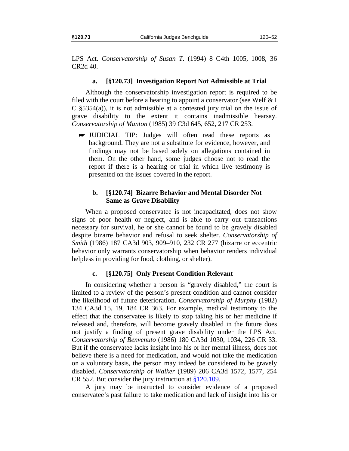LPS Act. *Conservatorship of Susan T.* (1994) 8 C4th 1005, 1008, 36 CR2d 40.

#### **a. [§120.73] Investigation Report Not Admissible at Trial**

Although the conservatorship investigation report is required to be filed with the court before a hearing to appoint a conservator (see Welf  $\&$  I C §5354(a)), it is not admissible at a contested jury trial on the issue of grave disability to the extent it contains inadmissible hearsay. *Conservatorship of Manton* (1985) 39 C3d 645, 652, 217 CR 253.

 JUDICIAL TIP: Judges will often read these reports as background. They are not a substitute for evidence, however, and findings may not be based solely on allegations contained in them. On the other hand, some judges choose not to read the report if there is a hearing or trial in which live testimony is presented on the issues covered in the report.

# **b. [§120.74] Bizarre Behavior and Mental Disorder Not Same as Grave Disability**

When a proposed conservatee is not incapacitated, does not show signs of poor health or neglect, and is able to carry out transactions necessary for survival, he or she cannot be found to be gravely disabled despite bizarre behavior and refusal to seek shelter. *Conservatorship of Smith* (1986) 187 CA3d 903, 909–910, 232 CR 277 (bizarre or eccentric behavior only warrants conservatorship when behavior renders individual helpless in providing for food, clothing, or shelter).

## **c. [§120.75] Only Present Condition Relevant**

In considering whether a person is "gravely disabled," the court is limited to a review of the person's present condition and cannot consider the likelihood of future deterioration. *Conservatorship of Murphy* (1982) 134 CA3d 15, 19, 184 CR 363. For example, medical testimony to the effect that the conservatee is likely to stop taking his or her medicine if released and, therefore, will become gravely disabled in the future does not justify a finding of present grave disability under the LPS Act*. Conservatorship of Benvenuto* (1986) 180 CA3d 1030, 1034, 226 CR 33. But if the conservatee lacks insight into his or her mental illness, does not believe there is a need for medication, and would not take the medication on a voluntary basis, the person may indeed be considered to be gravely disabled. *Conservatorship of Walker* (1989) 206 CA3d 1572, 1577, 254 CR 552. But consider the jury instruction at  $§120.109$ .

A jury may be instructed to consider evidence of a proposed conservatee's past failure to take medication and lack of insight into his or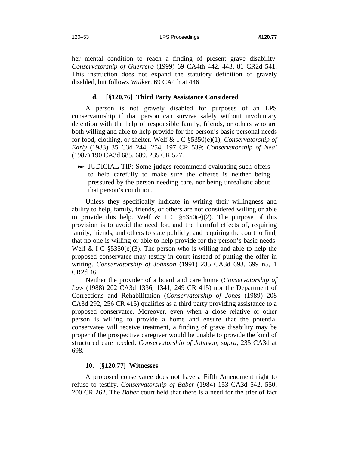her mental condition to reach a finding of present grave disability. *Conservatorship of Guerrero* (1999) 69 CA4th 442, 443, 81 CR2d 541. This instruction does not expand the statutory definition of gravely disabled, but follows *Walker*. 69 CA4th at 446.

# <span id="page-54-1"></span>**d. [§120.76] Third Party Assistance Considered**

A person is not gravely disabled for purposes of an LPS conservatorship if that person can survive safely without involuntary detention with the help of responsible family, friends, or others who are both willing and able to help provide for the person's basic personal needs for food, clothing, or shelter. Welf & I C §5350(e)(1); *Conservatorship of Early* (1983) 35 C3d 244, 254, 197 CR 539; *Conservatorship of Neal* (1987) 190 CA3d 685, 689, 235 CR 577.

 JUDICIAL TIP: Some judges recommend evaluating such offers to help carefully to make sure the offeree is neither being pressured by the person needing care, nor being unrealistic about that person's condition.

Unless they specifically indicate in writing their willingness and ability to help, family, friends, or others are not considered willing or able to provide this help. Welf & I C  $\S 5350(e)(2)$ . The purpose of this provision is to avoid the need for, and the harmful effects of, requiring family, friends, and others to state publicly, and requiring the court to find, that no one is willing or able to help provide for the person's basic needs. Welf & I C  $$5350(e)(3)$ . The person who is willing and able to help the proposed conservatee may testify in court instead of putting the offer in writing. *Conservatorship of Johnson* (1991) 235 CA3d 693, 699 n5, 1 CR2d 46.

Neither the provider of a board and care home (*Conservatorship of Law* (1988) 202 CA3d 1336, 1341, 249 CR 415) nor the Department of Corrections and Rehabilitation (*Conservatorship of Jones* (1989) 208 CA3d 292, 256 CR 415) qualifies as a third party providing assistance to a proposed conservatee. Moreover, even when a close relative or other person is willing to provide a home and ensure that the potential conservatee will receive treatment, a finding of grave disability may be proper if the prospective caregiver would be unable to provide the kind of structured care needed. *Conservatorship of Johnson, supra,* 235 CA3d at 698.

# <span id="page-54-0"></span>**10. [§120.77] Witnesses**

A proposed conservatee does not have a Fifth Amendment right to refuse to testify. *Conservatorship of Baber* (1984) 153 CA3d 542, 550, 200 CR 262. The *Baber* court held that there is a need for the trier of fact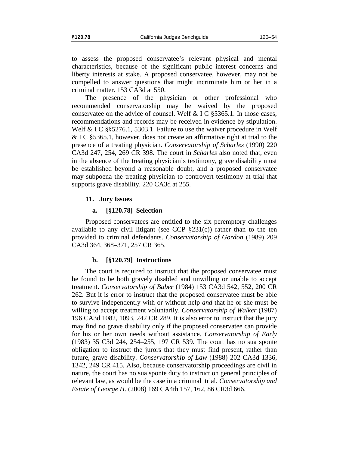to assess the proposed conservatee's relevant physical and mental characteristics, because of the significant public interest concerns and liberty interests at stake. A proposed conservatee, however, may not be compelled to answer questions that might incriminate him or her in a criminal matter. 153 CA3d at 550.

The presence of the physician or other professional who recommended conservatorship may be waived by the proposed conservatee on the advice of counsel. Welf & I C §5365.1. In those cases, recommendations and records may be received in evidence by stipulation. Welf & I C §§5276.1, 5303.1. Failure to use the waiver procedure in Welf & I C §5365.1, however, does not create an affirmative right at trial to the presence of a treating physician. *Conservatorship of Scharles* (1990) 220 CA3d 247, 254, 269 CR 398. The court in *Scharles* also noted that, even in the absence of the treating physician's testimony, grave disability must be established beyond a reasonable doubt, and a proposed conservatee may subpoena the treating physician to controvert testimony at trial that supports grave disability. 220 CA3d at 255*.*

#### **11. Jury Issues**

### **a. [§120.78] Selection**

Proposed conservatees are entitled to the six peremptory challenges available to any civil litigant (see CCP  $\S 231(c)$ ) rather than to the ten provided to criminal defendants. *Conservatorship of Gordon* (1989) 209 CA3d 364, 368–371, 257 CR 365.

### **b. [§120.79] Instructions**

The court is required to instruct that the proposed conservatee must be found to be both gravely disabled and unwilling or unable to accept treatment. *Conservatorship of Baber* (1984) 153 CA3d 542, 552, 200 CR 262. But it is error to instruct that the proposed conservatee must be able to survive independently with or without help *and* that he or she must be willing to accept treatment voluntarily. *Conservatorship of Walker* (1987) 196 CA3d 1082, 1093, 242 CR 289. It is also error to instruct that the jury may find no grave disability only if the proposed conservatee can provide for his or her own needs without assistance. *Conservatorship of Early* (1983) 35 C3d 244, 254–255, 197 CR 539. The court has no sua sponte obligation to instruct the jurors that they must find present, rather than future, grave disability. *Conservatorship of Law* (1988) 202 CA3d 1336, 1342, 249 CR 415. Also, because conservatorship proceedings are civil in nature, the court has no sua sponte duty to instruct on general principles of relevant law, as would be the case in a criminal trial. *Conservatorship and Estate of George H*. (2008) 169 CA4th 157, 162, 86 CR3d 666.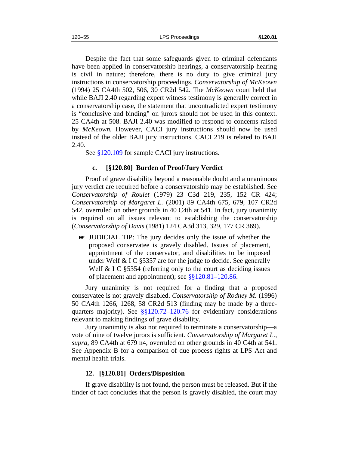Despite the fact that some safeguards given to criminal defendants have been applied in conservatorship hearings, a conservatorship hearing is civil in nature; therefore, there is no duty to give criminal jury instructions in conservatorship proceedings. *Conservatorship of McKeown*  (1994) 25 CA4th 502, 506, 30 CR2d 542. The *McKeown* court held that while BAJI 2.40 regarding expert witness testimony is generally correct in a conservatorship case, the statement that uncontradicted expert testimony is "conclusive and binding" on jurors should not be used in this context. 25 CA4th at 508. BAJI 2.40 was modified to respond to concerns raised by *McKeown.* However, CACI jury instructions should now be used instead of the older BAJI jury instructions. CACI 219 is related to BAJI 2.40.

See [§120.109](#page-76-0) for sample CACI jury instructions.

#### **c. [§120.80] Burden of Proof/Jury Verdict**

Proof of grave disability beyond a reasonable doubt and a unanimous jury verdict are required before a conservatorship may be established. See *Conservatorship of Roulet* (1979) 23 C3d 219, 235, 152 CR 424; *Conservatorship of Margaret L.* (2001) 89 CA4th 675, 679, 107 CR2d 542, overruled on other grounds in 40 C4th at 541. In fact, jury unanimity is required on all issues relevant to establishing the conservatorship (*Conservatorship of Davis* (1981) 124 CA3d 313, 329, 177 CR 369).

 JUDICIAL TIP: The jury decides only the issue of whether the proposed conservatee is gravely disabled. Issues of placement, appointment of the conservator, and disabilities to be imposed under Welf & I C §5357 are for the judge to decide. See generally Welf & I C §5354 (referring only to the court as deciding issues of placement and appointment); see §[§120.81–](#page-56-0)[120.86.](#page-59-0)

Jury unanimity is not required for a finding that a proposed conservatee is not gravely disabled. *Conservatorship of Rodney M.* (1996) 50 CA4th 1266, 1268, 58 CR2d 513 (finding may be made by a threequarters majority). See §[§120.72](#page-52-0)[–120.76](#page-54-1) for evidentiary considerations relevant to making findings of grave disability.

Jury unanimity is also not required to terminate a conservatorship—a vote of nine of twelve jurors is sufficient. *Conservatorship of Margaret L., supra,* 89 CA4th at 679 n4, overruled on other grounds in 40 C4th at 541. See Appendix B for a comparison of due process rights at LPS Act and mental health trials.

# <span id="page-56-0"></span>**12. [§120.81] Orders/Disposition**

If grave disability is not found, the person must be released. But if the finder of fact concludes that the person is gravely disabled, the court may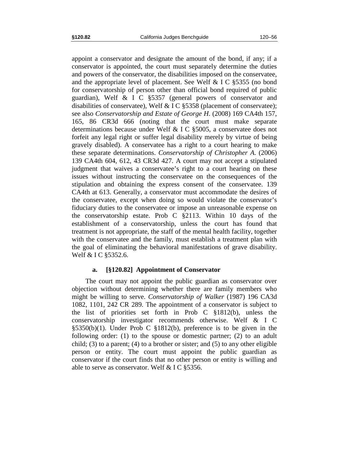appoint a conservator and designate the amount of the bond, if any; if a conservator is appointed, the court must separately determine the duties and powers of the conservator, the disabilities imposed on the conservatee, and the appropriate level of placement. See Welf & I C §5355 (no bond for conservatorship of person other than official bond required of public guardian), Welf & I C §5357 (general powers of conservator and disabilities of conservatee), Welf & I C  $\S$ 5358 (placement of conservatee); see also *Conservatorship and Estate of George H*. (2008) 169 CA4th 157, 165, 86 CR3d 666 (noting that the court must make separate determinations because under Welf & I C §5005, a conservatee does not forfeit any legal right or suffer legal disability merely by virtue of being gravely disabled). A conservatee has a right to a court hearing to make these separate determinations. *Conservatorship of Christopher A*. (2006) 139 CA4th 604, 612, 43 CR3d 427. A court may not accept a stipulated judgment that waives a conservatee's right to a court hearing on these issues without instructing the conservatee on the consequences of the stipulation and obtaining the express consent of the conservatee. 139 CA4th at 613. Generally, a conservator must accommodate the desires of the conservatee, except when doing so would violate the conservator's fiduciary duties to the conservatee or impose an unreasonable expense on the conservatorship estate. Prob C §2113. Within 10 days of the establishment of a conservatorship, unless the court has found that treatment is not appropriate, the staff of the mental health facility, together with the conservatee and the family, must establish a treatment plan with the goal of eliminating the behavioral manifestations of grave disability. Welf & I C §5352.6.

### **a. [§120.82] Appointment of Conservator**

The court may not appoint the public guardian as conservator over objection without determining whether there are family members who might be willing to serve. *Conservatorship of Walker* (1987) 196 CA3d 1082, 1101, 242 CR 289. The appointment of a conservator is subject to the list of priorities set forth in Prob C §1812(b), unless the conservatorship investigator recommends otherwise. Welf & I C §5350(b)(1). Under Prob C §1812(b), preference is to be given in the following order: (1) to the spouse or domestic partner; (2) to an adult child; (3) to a parent; (4) to a brother or sister; and (5) to any other eligible person or entity. The court must appoint the public guardian as conservator if the court finds that no other person or entity is willing and able to serve as conservator. Welf & I C §5356.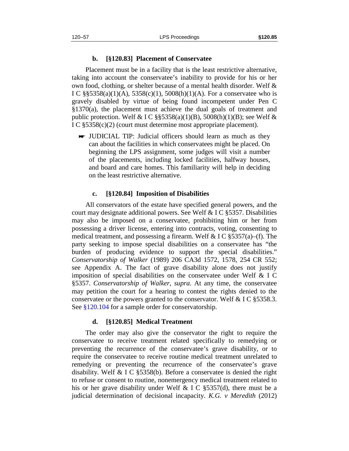# **b. [§120.83] Placement of Conservatee**

Placement must be in a facility that is the least restrictive alternative, taking into account the conservatee's inability to provide for his or her own food, clothing, or shelter because of a mental health disorder. Welf & I C  $\S$ §5358(a)(1)(A), 5358(c)(1), 5008(h)(1)(A). For a conservatee who is gravely disabled by virtue of being found incompetent under Pen C §1370(a), the placement must achieve the dual goals of treatment and public protection. Welf & I C  $\S$ §5358(a)(1)(B), 5008(h)(1)(B); see Welf & I C §5358(c)(2) (court must determine most appropriate placement).

**UDICIAL TIP:** Judicial officers should learn as much as they can about the facilities in which conservatees might be placed. On beginning the LPS assignment, some judges will visit a number of the placements, including locked facilities, halfway houses, and board and care homes. This familiarity will help in deciding on the least restrictive alternative.

### **c. [§120.84] Imposition of Disabilities**

All conservators of the estate have specified general powers, and the court may designate additional powers. See Welf & I C §5357. Disabilities may also be imposed on a conservatee, prohibiting him or her from possessing a driver license, entering into contracts, voting, consenting to medical treatment, and possessing a firearm. Welf & I C  $\S 5357(a)$ –(f). The party seeking to impose special disabilities on a conservatee has "the burden of producing evidence to support the special disabilities." *Conservatorship of Walker* (1989) 206 CA3d 1572, 1578, 254 CR 552; see Appendix A. The fact of grave disability alone does not justify imposition of special disabilities on the conservatee under Welf & I C §5357. *Conservatorship of Walker*, *supra*. At any time, the conservatee may petition the court for a hearing to contest the rights denied to the conservatee or the powers granted to the conservator. Welf & I C §5358.3. See [§120.104](#page-72-0) for a sample order for conservatorship.

### **d. [§120.85] Medical Treatment**

The order may also give the conservator the right to require the conservatee to receive treatment related specifically to remedying or preventing the recurrence of the conservatee's grave disability, or to require the conservatee to receive routine medical treatment unrelated to remedying or preventing the recurrence of the conservatee's grave disability. Welf & I C §5358(b). Before a conservatee is denied the right to refuse or consent to routine, nonemergency medical treatment related to his or her grave disability under Welf & I C §5357(d), there must be a judicial determination of decisional incapacity. *K.G. v Meredith* (2012)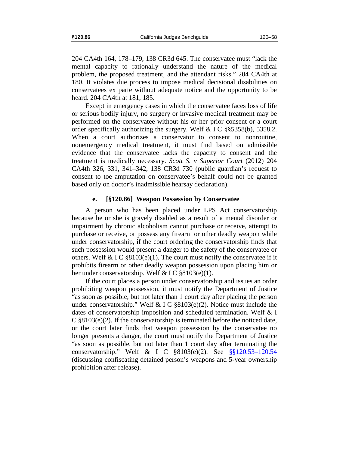conservatees ex parte without adequate notice and the opportunity to be

heard. 204 CA4th at 181, 185.

Except in emergency cases in which the conservatee faces loss of life or serious bodily injury, no surgery or invasive medical treatment may be performed on the conservatee without his or her prior consent or a court order specifically authorizing the surgery. Welf & I C  $\S$ \$5358(b), 5358.2. When a court authorizes a conservator to consent to nonroutine, nonemergency medical treatment, it must find based on admissible evidence that the conservatee lacks the capacity to consent and the treatment is medically necessary. *Scott S. v Superior Court* (2012) 204 CA4th 326, 331, 341–342, 138 CR3d 730 (public guardian's request to consent to toe amputation on conservatee's behalf could not be granted based only on doctor's inadmissible hearsay declaration).

#### <span id="page-59-0"></span>**e. [§120.86] Weapon Possession by Conservatee**

A person who has been placed under LPS Act conservatorship because he or she is gravely disabled as a result of a mental disorder or impairment by chronic alcoholism cannot purchase or receive, attempt to purchase or receive, or possess any firearm or other deadly weapon while under conservatorship, if the court ordering the conservatorship finds that such possession would present a danger to the safety of the conservatee or others. Welf & I C  $\S 8103(e)(1)$ . The court must notify the conservatee if it prohibits firearm or other deadly weapon possession upon placing him or her under conservatorship. Welf & I C §8103(e)(1).

If the court places a person under conservatorship and issues an order prohibiting weapon possession, it must notify the Department of Justice "as soon as possible, but not later than 1 court day after placing the person under conservatorship." Welf & I C §8103(e)(2). Notice must include the dates of conservatorship imposition and scheduled termination. Welf & I C  $\S 8103(e)(2)$ . If the conservatorship is terminated before the noticed date, or the court later finds that weapon possession by the conservatee no longer presents a danger, the court must notify the Department of Justice "as soon as possible, but not later than 1 court day after terminating the conservatorship." Welf & I C §8103(e)(2). See §[§120.53–](#page-38-0)[120.54](#page-39-0) (discussing confiscating detained person's weapons and 5-year ownership prohibition after release).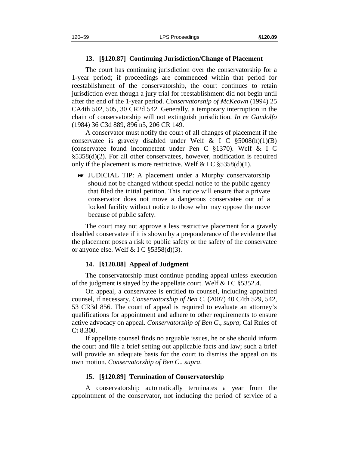## **13. [§120.87] Continuing Jurisdiction/Change of Placement**

The court has continuing jurisdiction over the conservatorship for a 1-year period; if proceedings are commenced within that period for reestablishment of the conservatorship, the court continues to retain jurisdiction even though a jury trial for reestablishment did not begin until after the end of the 1-year period. *Conservatorship of McKeown* (1994) 25 CA4th 502, 505, 30 CR2d 542. Generally, a temporary interruption in the chain of conservatorship will not extinguish jurisdiction. *In re Gandolfo*  (1984) 36 C3d 889, 896 n5, 206 CR 149.

A conservator must notify the court of all changes of placement if the conservatee is gravely disabled under Welf & I C  $$5008(h)(1)(B)$ (conservatee found incompetent under Pen C §1370). Welf & I C §5358(d)(2). For all other conservatees, however, notification is required only if the placement is more restrictive. Welf & IC  $\S 5358(d)(1)$ .

 JUDICIAL TIP: A placement under a Murphy conservatorship should not be changed without special notice to the public agency that filed the initial petition. This notice will ensure that a private conservator does not move a dangerous conservatee out of a locked facility without notice to those who may oppose the move because of public safety.

The court may not approve a less restrictive placement for a gravely disabled conservatee if it is shown by a preponderance of the evidence that the placement poses a risk to public safety or the safety of the conservatee or anyone else. Welf & I C  $\S 5358(d)(3)$ .

### **14. [§120.88] Appeal of Judgment**

The conservatorship must continue pending appeal unless execution of the judgment is stayed by the appellate court. Welf  $&$  I C §5352.4.

On appeal, a conservatee is entitled to counsel, including appointed counsel, if necessary. *Conservatorship of Ben C*. (2007) 40 C4th 529, 542, 53 CR3d 856. The court of appeal is required to evaluate an attorney's qualifications for appointment and adhere to other requirements to ensure active advocacy on appeal. *Conservatorship of Ben C*., *supra*; Cal Rules of Ct 8.300.

If appellate counsel finds no arguable issues, he or she should inform the court and file a brief setting out applicable facts and law; such a brief will provide an adequate basis for the court to dismiss the appeal on its own motion. *Conservatorship of Ben C*., *supra*.

#### **15. [§120.89] Termination of Conservatorship**

A conservatorship automatically terminates a year from the appointment of the conservator, not including the period of service of a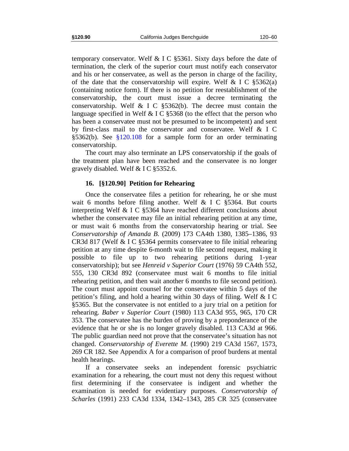temporary conservator. Welf & I C §5361. Sixty days before the date of termination, the clerk of the superior court must notify each conservator and his or her conservatee, as well as the person in charge of the facility, of the date that the conservatorship will expire. Welf & I C  $\S 5362(a)$ (containing notice form). If there is no petition for reestablishment of the conservatorship, the court must issue a decree terminating the conservatorship. Welf & I C  $\S$ 5362(b). The decree must contain the language specified in Welf & I C §5368 (to the effect that the person who has been a conservatee must not be presumed to be incompetent) and sent by first-class mail to the conservator and conservatee. Welf & I C §5362(b). See [§120.108](#page-75-0) for a sample form for an order terminating conservatorship.

The court may also terminate an LPS conservatorship if the goals of the treatment plan have been reached and the conservatee is no longer gravely disabled. Welf & I C §5352.6.

## **16. [§120.90] Petition for Rehearing**

Once the conservatee files a petition for rehearing, he or she must wait 6 months before filing another. Welf  $\&$  I C §5364. But courts interpreting Welf & I C §5364 have reached different conclusions about whether the conservatee may file an initial rehearing petition at any time, or must wait 6 months from the conservatorship hearing or trial. See *Conservatorship of Amanda B*. (2009) 173 CA4th 1380, 1385–1386, 93 CR3d 817 (Welf & I C §5364 permits conservatee to file initial rehearing petition at any time despite 6-month wait to file second request, making it possible to file up to two rehearing petitions during 1-year conservatorship); but see *Henreid v Superior Court* (1976) 59 CA4th 552, 555, 130 CR3d 892 (conservatee must wait 6 months to file initial rehearing petition, and then wait another 6 months to file second petition). The court must appoint counsel for the conservatee within 5 days of the petition's filing, and hold a hearing within 30 days of filing. Welf & I C §5365. But the conservatee is not entitled to a jury trial on a petition for rehearing. *Baber v Superior Court* (1980) 113 CA3d 955, 965, 170 CR 353. The conservatee has the burden of proving by a preponderance of the evidence that he or she is no longer gravely disabled. 113 CA3d at 966. The public guardian need not prove that the conservatee's situation has not changed. *Conservatorship of Everette M.* (1990) 219 CA3d 1567, 1573, 269 CR 182. See Appendix A for a comparison of proof burdens at mental health hearings.

If a conservatee seeks an independent forensic psychiatric examination for a rehearing, the court must not deny this request without first determining if the conservatee is indigent and whether the examination is needed for evidentiary purposes. *Conservatorship of Scharles* (1991) 233 CA3d 1334, 1342–1343, 285 CR 325 (conservatee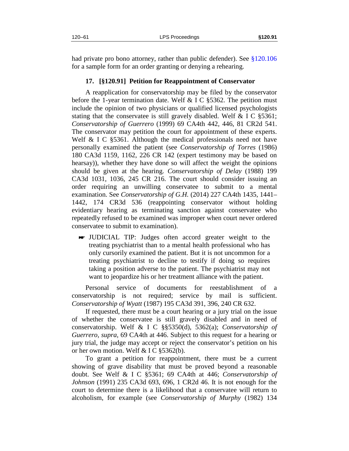had private pro bono attorney, rather than public defender). See [§120.106](#page-75-1) for a sample form for an order granting or denying a rehearing.

## <span id="page-62-0"></span>**17. [§120.91] Petition for Reappointment of Conservator**

A reapplication for conservatorship may be filed by the conservator before the 1-year termination date. Welf & I C  $\S 5362$ . The petition must include the opinion of two physicians or qualified licensed psychologists stating that the conservate is still gravely disabled. Welf  $& I \, C \, \S 5361;$ *Conservatorship of Guerrero* (1999) 69 CA4th 442, 446, 81 CR2d 541. The conservator may petition the court for appointment of these experts. Welf & I C §5361. Although the medical professionals need not have personally examined the patient (see *Conservatorship of Torres* (1986) 180 CA3d 1159, 1162, 226 CR 142 (expert testimony may be based on hearsay)), whether they have done so will affect the weight the opinions should be given at the hearing. *Conservatorship of Delay* (1988) 199 CA3d 1031, 1036, 245 CR 216. The court should consider issuing an order requiring an unwilling conservatee to submit to a mental examination. See *Conservatorship of G.H.* (2014) 227 CA4th 1435, 1441– 1442, 174 CR3d 536 (reappointing conservator without holding evidentiary hearing as terminating sanction against conservatee who repeatedly refused to be examined was improper when court never ordered conservatee to submit to examination).

 JUDICIAL TIP: Judges often accord greater weight to the treating psychiatrist than to a mental health professional who has only cursorily examined the patient. But it is not uncommon for a treating psychiatrist to decline to testify if doing so requires taking a position adverse to the patient. The psychiatrist may not want to jeopardize his or her treatment alliance with the patient.

Personal service of documents for reestablishment of a conservatorship is not required; service by mail is sufficient. *Conservatorship of Wyatt* (1987) 195 CA3d 391, 396, 240 CR 632.

If requested, there must be a court hearing or a jury trial on the issue of whether the conservatee is still gravely disabled and in need of conservatorship. Welf & I C §§5350(d), 5362(a); *Conservatorship of Guerrero, supra,* 69 CA4th at 446. Subject to this request for a hearing or jury trial, the judge may accept or reject the conservator's petition on his or her own motion. Welf & I C §5362(b).

To grant a petition for reappointment, there must be a current showing of grave disability that must be proved beyond a reasonable doubt. See Welf & I C §5361; 69 CA4th at 446; *Conservatorship of Johnson* (1991) 235 CA3d 693, 696, 1 CR2d 46. It is not enough for the court to determine there is a likelihood that a conservatee will return to alcoholism, for example (see *Conservatorship of Murphy* (1982) 134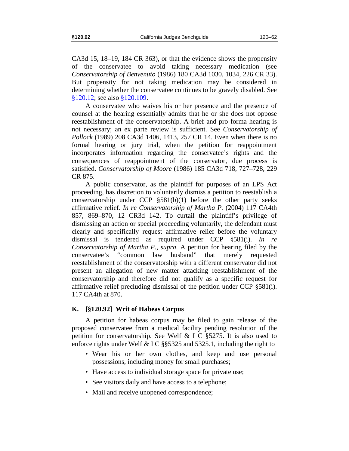CA3d 15, 18–19, 184 CR 363), or that the evidence shows the propensity of the conservatee to avoid taking necessary medication (see *Conservatorship of Benvenuto* (1986) 180 CA3d 1030, 1034, 226 CR 33). But propensity for not taking medication may be considered in determining whether the conservatee continues to be gravely disabled. See [§120.12;](#page-13-0) see also [§120.109.](#page-76-0)

A conservatee who waives his or her presence and the presence of counsel at the hearing essentially admits that he or she does not oppose reestablishment of the conservatorship. A brief and pro forma hearing is not necessary; an ex parte review is sufficient. See *Conservatorship of Pollock* (1989) 208 CA3d 1406, 1413, 257 CR 14. Even when there is no formal hearing or jury trial, when the petition for reappointment incorporates information regarding the conservatee's rights and the consequences of reappointment of the conservator, due process is satisfied. *Conservatorship of Moore* (1986) 185 CA3d 718, 727–728, 229 CR 875.

A public conservator, as the plaintiff for purposes of an LPS Act proceeding, has discretion to voluntarily dismiss a petition to reestablish a conservatorship under CCP §581(b)(1) before the other party seeks affirmative relief. *In re Conservatorship of Martha P.* (2004) 117 CA4th 857, 869–870, 12 CR3d 142. To curtail the plaintiff's privilege of dismissing an action or special proceeding voluntarily, the defendant must clearly and specifically request affirmative relief before the voluntary dismissal is tendered as required under CCP §581(i). *In re Conservatorship of Martha P., supra*. A petition for hearing filed by the conservatee's "common law husband" that merely requested reestablishment of the conservatorship with a different conservator did not present an allegation of new matter attacking reestablishment of the conservatorship and therefore did not qualify as a specific request for affirmative relief precluding dismissal of the petition under CCP §581(i). 117 CA4th at 870.

### <span id="page-63-0"></span>**K. [§120.92] Writ of Habeas Corpus**

A petition for habeas corpus may be filed to gain release of the proposed conservatee from a medical facility pending resolution of the petition for conservatorship. See Welf & I C  $\S$ 5275. It is also used to enforce rights under Welf & I C  $\S$ §5325 and 5325.1, including the right to

- Wear his or her own clothes, and keep and use personal possessions, including money for small purchases;
- Have access to individual storage space for private use;
- See visitors daily and have access to a telephone;
- Mail and receive unopened correspondence;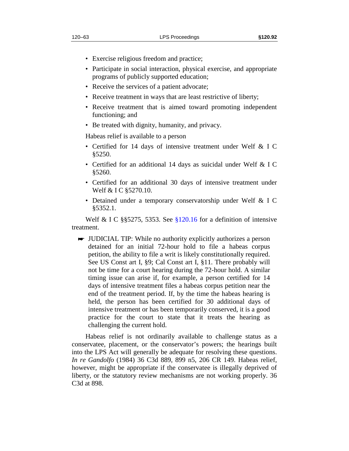- - Exercise religious freedom and practice;
	- Participate in social interaction, physical exercise, and appropriate programs of publicly supported education;
	- Receive the services of a patient advocate;
	- Receive treatment in ways that are least restrictive of liberty;
	- Receive treatment that is aimed toward promoting independent functioning; and
	- Be treated with dignity, humanity, and privacy.

Habeas relief is available to a person

- Certified for 14 days of intensive treatment under Welf & I C §5250.
- Certified for an additional 14 days as suicidal under Welf & I C §5260.
- Certified for an additional 30 days of intensive treatment under Welf & I C §5270.10.
- Detained under a temporary conservatorship under Welf & I C §5352.1.

Welf & I C §§5275, 5353. See [§120.16](#page-16-0) for a definition of intensive treatment.

 JUDICIAL TIP: While no authority explicitly authorizes a person detained for an initial 72-hour hold to file a habeas corpus petition, the ability to file a writ is likely constitutionally required. See US Const art I, §9; Cal Const art I, §11. There probably will not be time for a court hearing during the 72-hour hold. A similar timing issue can arise if, for example, a person certified for 14 days of intensive treatment files a habeas corpus petition near the end of the treatment period. If, by the time the habeas hearing is held, the person has been certified for 30 additional days of intensive treatment or has been temporarily conserved, it is a good practice for the court to state that it treats the hearing as challenging the current hold.

Habeas relief is not ordinarily available to challenge status as a conservatee, placement, or the conservator's powers; the hearings built into the LPS Act will generally be adequate for resolving these questions. *In re Gandolfo* (1984) 36 C3d 889, 899 n5, 206 CR 149. Habeas relief, however, might be appropriate if the conservatee is illegally deprived of liberty, or the statutory review mechanisms are not working properly. 36 C3d at 898.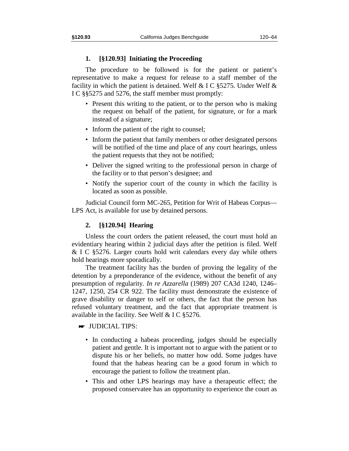# **1. [§120.93] Initiating the Proceeding**

The procedure to be followed is for the patient or patient's representative to make a request for release to a staff member of the facility in which the patient is detained. Welf & I C  $\S$ 5275. Under Welf & I C §§5275 and 5276, the staff member must promptly:

- Present this writing to the patient, or to the person who is making the request on behalf of the patient, for signature, or for a mark instead of a signature;
- Inform the patient of the right to counsel;
- Inform the patient that family members or other designated persons will be notified of the time and place of any court hearings, unless the patient requests that they not be notified;
- Deliver the signed writing to the professional person in charge of the facility or to that person's designee; and
- Notify the superior court of the county in which the facility is located as soon as possible.

Judicial Council form MC-265, Petition for Writ of Habeas Corpus— LPS Act, is available for use by detained persons.

# **2. [§120.94] Hearing**

Unless the court orders the patient released, the court must hold an evidentiary hearing within 2 judicial days after the petition is filed. Welf & I C §5276. Larger courts hold writ calendars every day while others hold hearings more sporadically.

The treatment facility has the burden of proving the legality of the detention by a preponderance of the evidence, without the benefit of any presumption of regularity*. In re Azzarella* (1989) 207 CA3d 1240, 1246– 1247, 1250, 254 CR 922. The facility must demonstrate the existence of grave disability or danger to self or others, the fact that the person has refused voluntary treatment, and the fact that appropriate treatment is available in the facility. See Welf & I C §5276*.*

# $\blacktriangleright$  JUDICIAL TIPS:

- In conducting a habeas proceeding, judges should be especially patient and gentle. It is important not to argue with the patient or to dispute his or her beliefs, no matter how odd. Some judges have found that the habeas hearing can be a good forum in which to encourage the patient to follow the treatment plan.
- This and other LPS hearings may have a therapeutic effect; the proposed conservatee has an opportunity to experience the court as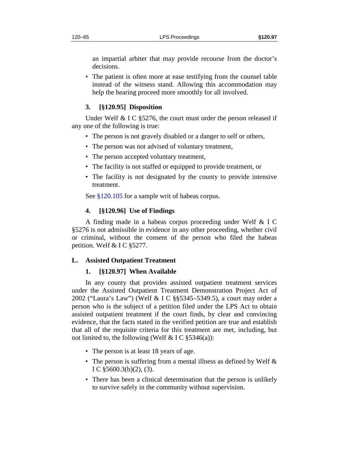an impartial arbiter that may provide recourse from the doctor's decisions.

• The patient is often more at ease testifying from the counsel table instead of the witness stand. Allowing this accommodation may help the hearing proceed more smoothly for all involved.

# **3. [§120.95] Disposition**

Under Welf & I C §5276, the court must order the person released if any one of the following is true:

- The person is not gravely disabled or a danger to self or others,
- The person was not advised of voluntary treatment,
- The person accepted voluntary treatment,
- The facility is not staffed or equipped to provide treatment, or
- The facility is not designated by the county to provide intensive treatment.

<span id="page-66-0"></span>See [§120.105](#page-74-0) for a sample writ of habeas corpus.

# **4. [§120.96] Use of Findings**

A finding made in a habeas corpus proceeding under Welf & I C §5276 is not admissible in evidence in any other proceeding, whether civil or criminal, without the consent of the person who filed the habeas petition. Welf & I C §5277.

# **L. Assisted Outpatient Treatment**

# <span id="page-66-1"></span>**1. [§120.97] When Available**

In any county that provides assisted outpatient treatment services under the Assisted Outpatient Treatment Demonstration Project Act of 2002 ("Laura's Law") (Welf & I C §§5345–5349.5), a court may order a person who is the subject of a petition filed under the LPS Act to obtain assisted outpatient treatment if the court finds, by clear and convincing evidence, that the facts stated in the verified petition are true and establish that all of the requisite criteria for this treatment are met, including, but not limited to, the following (Welf & I C  $\S 5346(a)$ ):

- The person is at least 18 years of age.
- The person is suffering from a mental illness as defined by Welf & I C §5600.3(b)(2), (3).
- There has been a clinical determination that the person is unlikely to survive safely in the community without supervision.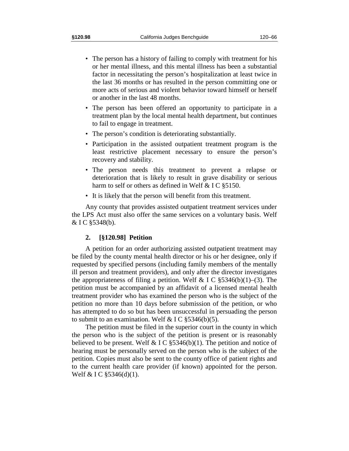- The person has a history of failing to comply with treatment for his or her mental illness, and this mental illness has been a substantial factor in necessitating the person's hospitalization at least twice in the last 36 months or has resulted in the person committing one or more acts of serious and violent behavior toward himself or herself or another in the last 48 months.
- The person has been offered an opportunity to participate in a treatment plan by the local mental health department, but continues to fail to engage in treatment.
- The person's condition is deteriorating substantially.
- Participation in the assisted outpatient treatment program is the least restrictive placement necessary to ensure the person's recovery and stability.
- The person needs this treatment to prevent a relapse or deterioration that is likely to result in grave disability or serious harm to self or others as defined in Welf & I C §5150.
- It is likely that the person will benefit from this treatment.

Any county that provides assisted outpatient treatment services under the LPS Act must also offer the same services on a voluntary basis. Welf & I C §5348(b).

#### **2. [§120.98] Petition**

A petition for an order authorizing assisted outpatient treatment may be filed by the county mental health director or his or her designee, only if requested by specified persons (including family members of the mentally ill person and treatment providers), and only after the director investigates the appropriateness of filing a petition. Welf & I C  $\S 5346(b)(1)$ –(3). The petition must be accompanied by an affidavit of a licensed mental health treatment provider who has examined the person who is the subject of the petition no more than 10 days before submission of the petition, or who has attempted to do so but has been unsuccessful in persuading the person to submit to an examination. Welf & I C  $\S 5346(b)(5)$ .

The petition must be filed in the superior court in the county in which the person who is the subject of the petition is present or is reasonably believed to be present. Welf & I C  $\S 5346(b)(1)$ . The petition and notice of hearing must be personally served on the person who is the subject of the petition. Copies must also be sent to the county office of patient rights and to the current health care provider (if known) appointed for the person. Welf & I C  $$5346(d)(1)$ .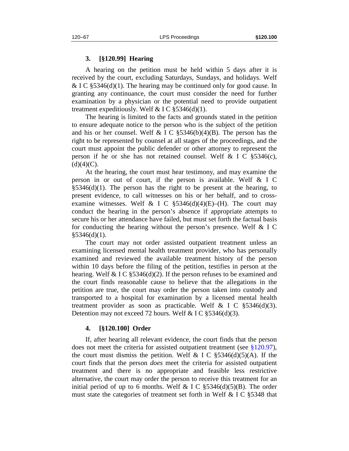# **3. [§120.99] Hearing**

A hearing on the petition must be held within 5 days after it is received by the court, excluding Saturdays, Sundays, and holidays. Welf & I C  $\S 5346(d)(1)$ . The hearing may be continued only for good cause. In granting any continuance, the court must consider the need for further examination by a physician or the potential need to provide outpatient treatment expeditiously. Welf & I C  $\S 5346(d)(1)$ .

The hearing is limited to the facts and grounds stated in the petition to ensure adequate notice to the person who is the subject of the petition and his or her counsel. Welf & I C  $\S$ 5346(b)(4)(B). The person has the right to be represented by counsel at all stages of the proceedings, and the court must appoint the public defender or other attorney to represent the person if he or she has not retained counsel. Welf & I C §5346(c),  $(d)(4)(C)$ .

At the hearing, the court must hear testimony, and may examine the person in or out of court, if the person is available. Welf & I C  $\S$ 5346(d)(1). The person has the right to be present at the hearing, to present evidence, to call witnesses on his or her behalf, and to crossexamine witnesses. Welf & I C  $\S$ 5346(d)(4)(E)–(H). The court may conduct the hearing in the person's absence if appropriate attempts to secure his or her attendance have failed, but must set forth the factual basis for conducting the hearing without the person's presence. Welf  $\&$  I C  $§$ 5346(d)(1).

The court may not order assisted outpatient treatment unless an examining licensed mental health treatment provider, who has personally examined and reviewed the available treatment history of the person within 10 days before the filing of the petition, testifies in person at the hearing. Welf & I C  $\S 5346(d)(2)$ . If the person refuses to be examined and the court finds reasonable cause to believe that the allegations in the petition are true, the court may order the person taken into custody and transported to a hospital for examination by a licensed mental health treatment provider as soon as practicable. Welf & I C  $\S 5346(d)(3)$ . Detention may not exceed 72 hours. Welf & I C §5346(d)(3).

# **4. [§120.100] Order**

If, after hearing all relevant evidence, the court finds that the person does not meet the criteria for assisted outpatient treatment (see  $\S 120.97$ ), the court must dismiss the petition. Welf & I C  $\S$ 5346(d)(5)(A). If the court finds that the person *does* meet the criteria for assisted outpatient treatment and there is no appropriate and feasible less restrictive alternative, the court may order the person to receive this treatment for an initial period of up to 6 months. Welf & I C  $\S 5346(d)(5)(B)$ . The order must state the categories of treatment set forth in Welf & I C §5348 that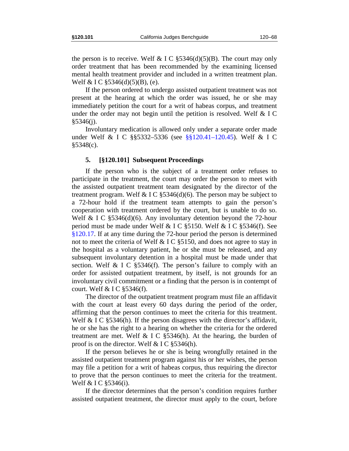the person is to receive. Welf & I C  $\S 5346(d)(5)(B)$ . The court may only order treatment that has been recommended by the examining licensed mental health treatment provider and included in a written treatment plan. Welf & I C  $$5346(d)(5)(B)$ , (e).

If the person ordered to undergo assisted outpatient treatment was not present at the hearing at which the order was issued, he or she may immediately petition the court for a writ of habeas corpus, and treatment under the order may not begin until the petition is resolved. Welf  $\&$  I C  $§5346(i).$ 

Involuntary medication is allowed only under a separate order made under Welf & I C §§5332–5336 (see §[§120.41–](#page-29-0)[120.45\)](#page-32-0). Welf & I C §5348(c).

#### **5. [§120.101] Subsequent Proceedings**

If the person who is the subject of a treatment order refuses to participate in the treatment, the court may order the person to meet with the assisted outpatient treatment team designated by the director of the treatment program. Welf & I C  $\S$ 5346(d)(6). The person may be subject to a 72-hour hold if the treatment team attempts to gain the person's cooperation with treatment ordered by the court, but is unable to do so. Welf & I C §5346(d)(6). Any involuntary detention beyond the 72-hour period must be made under Welf & I C §5150. Welf & I C §5346(f). See [§120.17.](#page-16-1) If at any time during the 72-hour period the person is determined not to meet the criteria of Welf & I C  $\S 5150$ , and does not agree to stay in the hospital as a voluntary patient, he or she must be released, and any subsequent involuntary detention in a hospital must be made under that section. Welf & I C  $\S 5346(f)$ . The person's failure to comply with an order for assisted outpatient treatment, by itself, is not grounds for an involuntary civil commitment or a finding that the person is in contempt of court. Welf & I C  $\S$ 5346(f).

The director of the outpatient treatment program must file an affidavit with the court at least every 60 days during the period of the order, affirming that the person continues to meet the criteria for this treatment. Welf & I C  $\S 5346(h)$ . If the person disagrees with the director's affidavit, he or she has the right to a hearing on whether the criteria for the ordered treatment are met. Welf & I C  $\S$ 5346(h). At the hearing, the burden of proof is on the director. Welf & I C §5346(h).

If the person believes he or she is being wrongfully retained in the assisted outpatient treatment program against his or her wishes, the person may file a petition for a writ of habeas corpus, thus requiring the director to prove that the person continues to meet the criteria for the treatment. Welf & I C §5346(i).

If the director determines that the person's condition requires further assisted outpatient treatment, the director must apply to the court, before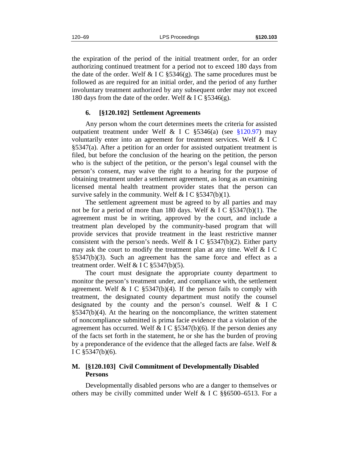the expiration of the period of the initial treatment order, for an order authorizing continued treatment for a period not to exceed 180 days from the date of the order. Welf & I C  $\S 5346(g)$ . The same procedures must be followed as are required for an initial order, and the period of any further involuntary treatment authorized by any subsequent order may not exceed 180 days from the date of the order. Welf & I C §5346(g).

## **6. [§120.102] Settlement Agreements**

Any person whom the court determines meets the criteria for assisted outpatient treatment under Welf & I C §5346(a) (see [§120.97\)](#page-66-1) may voluntarily enter into an agreement for treatment services. Welf & I C §5347(a). After a petition for an order for assisted outpatient treatment is filed, but before the conclusion of the hearing on the petition, the person who is the subject of the petition, or the person's legal counsel with the person's consent, may waive the right to a hearing for the purpose of obtaining treatment under a settlement agreement, as long as an examining licensed mental health treatment provider states that the person can survive safely in the community. Welf & I C  $\S 5347(b)(1)$ .

The settlement agreement must be agreed to by all parties and may not be for a period of more than 180 days. Welf & I C  $\S 5347(b)(1)$ . The agreement must be in writing, approved by the court, and include a treatment plan developed by the community-based program that will provide services that provide treatment in the least restrictive manner consistent with the person's needs. Welf & I C  $\S 5347(b)(2)$ . Either party may ask the court to modify the treatment plan at any time. Welf & I C  $§5347(b)(3)$ . Such an agreement has the same force and effect as a treatment order. Welf & I C  $\S 5347(b)(5)$ .

The court must designate the appropriate county department to monitor the person's treatment under, and compliance with, the settlement agreement. Welf & I C  $\S$ 5347(b)(4). If the person fails to comply with treatment, the designated county department must notify the counsel designated by the county and the person's counsel. Welf & I C §5347(b)(4). At the hearing on the noncompliance, the written statement of noncompliance submitted is prima facie evidence that a violation of the agreement has occurred. Welf & I C  $\S$ 5347(b)(6). If the person denies any of the facts set forth in the statement, he or she has the burden of proving by a preponderance of the evidence that the alleged facts are false. Welf & I C §5347(b)(6).

# **M. [§120.103] Civil Commitment of Developmentally Disabled Persons**

Developmentally disabled persons who are a danger to themselves or others may be civilly committed under Welf & I C §§6500–6513. For a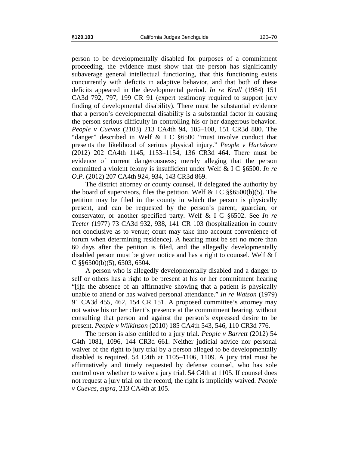person to be developmentally disabled for purposes of a commitment proceeding, the evidence must show that the person has significantly subaverage general intellectual functioning, that this functioning exists concurrently with deficits in adaptive behavior, and that both of these deficits appeared in the developmental period. *In re Krall* (1984) 151 CA3d 792, 797, 199 CR 91 (expert testimony required to support jury finding of developmental disability). There must be substantial evidence that a person's developmental disability is a substantial factor in causing the person serious difficulty in controlling his or her dangerous behavior. *People v Cuevas* (2103) 213 CA4th 94, 105–108, 151 CR3d 880. The "danger" described in Welf & I C §6500 "must involve conduct that presents the likelihood of serious physical injury." *People v Hartshorn* (2012) 202 CA4th 1145, 1153–1154, 136 CR3d 464. There must be evidence of current dangerousness; merely alleging that the person committed a violent felony is insufficient under Welf & I C §6500. *In re O.P.* (2012) 207 CA4th 924, 934, 143 CR3d 869.

The district attorney or county counsel, if delegated the authority by the board of supervisors, files the petition. Welf & I C  $\S$  $\S6500(b)(5)$ . The petition may be filed in the county in which the person is physically present, and can be requested by the person's parent, guardian, or conservator, or another specified party. Welf & I C §6502. See *In re Teeter* (1977) 73 CA3d 932, 938, 141 CR 103 (hospitalization in county not conclusive as to venue; court may take into account convenience of forum when determining residence). A hearing must be set no more than 60 days after the petition is filed, and the allegedly developmentally disabled person must be given notice and has a right to counsel. Welf & I  $C \$ §§6500(b)(5), 6503, 6504.

A person who is allegedly developmentally disabled and a danger to self or others has a right to be present at his or her commitment hearing "[i]n the absence of an affirmative showing that a patient is physically unable to attend or has waived personal attendance." *In re Watson* (1979) 91 CA3d 455, 462, 154 CR 151. A proposed committee's attorney may not waive his or her client's presence at the commitment hearing, without consulting that person and against the person's expressed desire to be present. *People v Wilkinson* (2010) 185 CA4th 543, 546, 110 CR3d 776.

The person is also entitled to a jury trial. *People v Barrett* (2012) 54 C4th 1081, 1096, 144 CR3d 661. Neither judicial advice nor personal waiver of the right to jury trial by a person alleged to be developmentally disabled is required. 54 C4th at 1105–1106, 1109. A jury trial must be affirmatively and timely requested by defense counsel, who has sole control over whether to waive a jury trial. 54 C4th at 1105. If counsel does not request a jury trial on the record, the right is implicitly waived. *People v Cuevas*, *supra*, 213 CA4th at 105.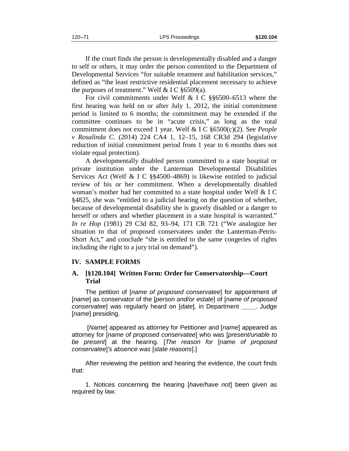If the court finds the person is developmentally disabled and a danger to self or others, it may order the person committed to the Department of Developmental Services "for suitable treatment and habilitation services," defined as "the least restrictive residential placement necessary to achieve the purposes of treatment." Welf & I C  $\S 6509(a)$ .

For civil commitments under Welf & I C §§6500–6513 where the first hearing was held on or after July 1, 2012, the initial commitment period is limited to 6 months; the commitment may be extended if the committee continues to be in "acute crisis," as long as the total commitment does not exceed 1 year. Welf & I C §6500(c)(2). See *People v Rosalinda C.* (2014) 224 CA4 1, 12–15, 168 CR3d 294 (legislative reduction of initial commitment period from 1 year to 6 months does not violate equal protection).

A developmentally disabled person committed to a state hospital or private institution under the Lanterman Developmental Disabilities Services Act (Welf & I C §§4500–4869) is likewise entitled to judicial review of his or her commitment. When a developmentally disabled woman's mother had her committed to a state hospital under Welf & I C §4825, she was "entitled to a judicial hearing on the question of whether, because of developmental disability she is gravely disabled or a danger to herself or others and whether placement in a state hospital is warranted." *In re Hop* (1981) 29 C3d 82, 93–94, 171 CR 721 ("We analogize her situation to that of proposed conservatees under the Lanterman-Petris-Short Act," and conclude "she is entitled to the same congeries of rights including the right to a jury trial on demand").

#### **IV. SAMPLE FORMS**

### <span id="page-72-0"></span>**A. [§120.104] Written Form: Order for Conservatorship—Court Trial**

The petition of [*name of proposed conservatee*] for appointment of [*name*] as conservator of the [*person and/or estate*] of [*name of proposed conservatee*] was regularly heard on [*date*]*,* in Department *\_\_\_\_,* Judge [*name*] presiding.

 [*Name*] appeared as attorney for Petitioner and [*name*] appeared as attorney for [*name of proposed conservatee*] who was [*present/unable to be present*] at the hearing. [*The reason for* [*name of proposed conservatee*]*'s absence was* [*state reasons*].]

After reviewing the petition and hearing the evidence, the court finds that:

1. Notices concerning the hearing [*have/have not*] been given as required by law.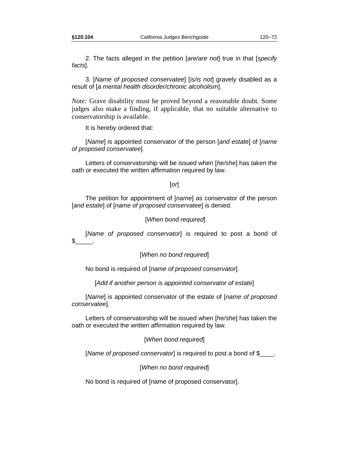2. The facts alleged in the petition [*are/are not*] true in that [*specify facts*].

3. [*Name of proposed conservatee*] [*is/is not*] gravely disabled as a result of [*a mental health disorder/chronic alcoholism*]*.*

*Note:* Grave disability must be proved beyond a reasonable doubt. Some judges also make a finding, if applicable*,* that no suitable alternative to conservatorship is available.

It is hereby ordered that:

[*Name*] is appointed conservator of the person [*and estate*] of [*name of proposed conservatee*].

Letters of conservatorship will be issued when [*he/she*] has taken the oath or executed the written affirmation required by law.

### [*or*]

The petition for appointment of [*name*] as conservator of the person [*and estate*] of [*name of proposed conservatee*] is denied.

#### [*When bond required*]

[*Name of proposed conservator*] is required to post a bond of  $\frac{1}{2}$ 

#### [*When no bond required*]

No bond is required of [*name of proposed conservator*].

[*Add if another person is appointed conservator of estate*]

[*Name*] is appointed conservator of the estate of [*name of proposed conservatee*].

Letters of conservatorship will be issued when [*he/she*] has taken the oath or executed the written affirmation required by law.

#### [*When bond required*]

[*Name of proposed conservator*] is required to post a bond of \$\_\_\_\_.

#### [*When no bond required*]

No bond is required of [name of proposed conservator].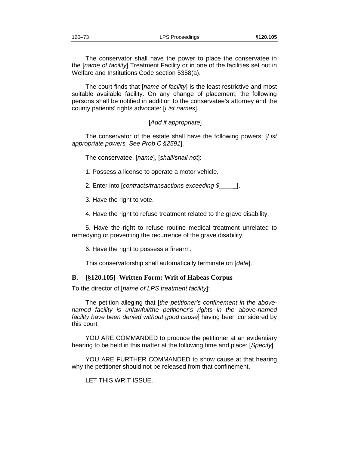The conservator shall have the power to place the conservatee in the [*name of facility*] Treatment Facility or in one of the facilities set out in Welfare and Institutions Code section 5358(a).

The court finds that [*name of facility*] is the least restrictive and most suitable available facility. On any change of placement, the following persons shall be notified in addition to the conservatee's attorney and the county patients' rights advocate: [*List names*].

#### [*Add if appropriate*]

The conservator of the estate shall have the following powers: [*List appropriate powers. See Prob C §2591*].

The conservatee, [*name*], [*shall/shall not*]:

- 1. Possess a license to operate a motor vehicle.
- 2. Enter into [*contracts/transactions exceeding \$\_\_\_\_*\_].
- 3. Have the right to vote.
- 4. Have the right to refuse treatment related to the grave disability.

5. Have the right to refuse routine medical treatment unrelated to remedying or preventing the recurrence of the grave disability.

6. Have the right to possess a firearm.

This conservatorship shall automatically terminate on [*date*].

#### **B. [§120.105] Written Form: Writ of Habeas Corpus**

To the director of [*name of LPS treatment facility*]:

The petition alleging that [*the petitioner's confinement in the abovenamed facility is unlawful/the petitioner's rights in the above-named facility have been denied without good cause*] having been considered by this court,

YOU ARE COMMANDED to produce the petitioner at an evidentiary hearing to be held in this matter at the following time and place: [*Specify*].

YOU ARE FURTHER COMMANDED to show cause at that hearing why the petitioner should not be released from that confinement.

LET THIS WRIT ISSUE.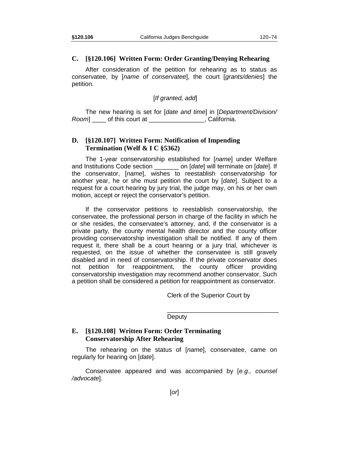#### **C. [§120.106] Written Form: Order Granting/Denying Rehearing**

After consideration of the petition for rehearing as to status as conservatee, by [*name of conservatee*], the court [*grants/denies*] the petition.

### [*If granted, add*]

The new hearing is set for [*date and time*] in [*Department/Division/ Room*] \_\_\_\_ of this court at \_\_\_\_\_\_\_\_\_\_\_\_\_\_\_\_, California.

# **D. [§120.107] Written Form: Notification of Impending Termination (Welf & I C §5362)**

The 1-year conservatorship established for [*name*] under Welfare and Institutions Code section \_\_\_\_\_\_\_ on [*date*] will terminate on [*date*]. If the conservator, [*name*], wishes to reestablish conservatorship for another year, he or she must petition the court by [*date*]. Subject to a request for a court hearing by jury trial, the judge may, on his or her own motion, accept or reject the conservator's petition.

If the conservator petitions to reestablish conservatorship, the conservatee, the professional person in charge of the facility in which he or she resides, the conservatee's attorney, and, if the conservator is a private party, the county mental health director and the county officer providing conservatorship investigation shall be notified. If any of them request it, there shall be a court hearing or a jury trial, whichever is requested, on the issue of whether the conservatee is still gravely disabled and in need of conservatorship. If the private conservator does not petition for reappointment, the county officer providing conservatorship investigation may recommend another conservator. Such a petition shall be considered a petition for reappointment as conservator.

Clerk of the Superior Court by

\_\_\_\_\_\_\_\_\_\_\_\_\_\_\_\_\_\_\_\_\_\_\_\_\_\_\_\_\_\_\_\_

#### **Deputy**

### **E. [§120.108] Written Form: Order Terminating Conservatorship After Rehearing**

The rehearing on the status of [*name*], conservatee, came on regularly for hearing on [*date*].

Conservatee appeared and was accompanied by [*e.g., counsel /advocate*].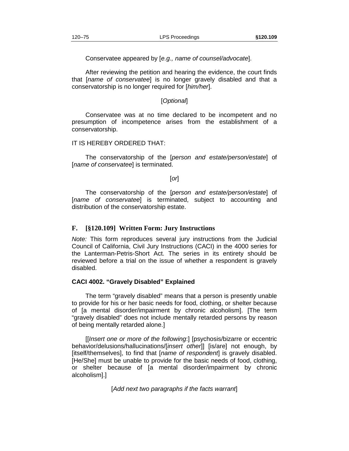Conservatee appeared by [*e.g., name of counsel/advocate*].

After reviewing the petition and hearing the evidence, the court finds that [*name of conservatee*] is no longer gravely disabled and that a conservatorship is no longer required for [*him/her*].

#### [*Optional*]

Conservatee was at no time declared to be incompetent and no presumption of incompetence arises from the establishment of a conservatorship.

#### IT IS HEREBY ORDERED THAT:

The conservatorship of the [*person and estate/person/estate*] of [*name of conservatee*] is terminated.

[*or*]

The conservatorship of the [*person and estate/person/estate*] of [*name of conservatee*] is terminated, subject to accounting and distribution of the conservatorship estate.

#### <span id="page-76-0"></span>**F. [§120.109] Written Form: Jury Instructions**

*Note:* This form reproduces several jury instructions from the Judicial Council of California, Civil Jury Instructions (CACI) in the 4000 series for the Lanterman-Petris-Short Act. The series in its entirety should be reviewed before a trial on the issue of whether a respondent is gravely disabled.

#### **CACI 4002. "Gravely Disabled" Explained**

The term "gravely disabled" means that a person is presently unable to provide for his or her basic needs for food, clothing, or shelter because of [a mental disorder/impairment by chronic alcoholism]. [The term "gravely disabled" does not include mentally retarded persons by reason of being mentally retarded alone.]

[[*Insert one or more of the following*:] [psychosis/bizarre or eccentric behavior/delusions/hallucinations/[*insert other*]] [is/are] not enough, by [itself/themselves], to find that [*name of respondent*] is gravely disabled. [He/She] must be unable to provide for the basic needs of food, clothing, or shelter because of [a mental disorder/impairment by chronic alcoholism].]

[*Add next two paragraphs if the facts warrant*]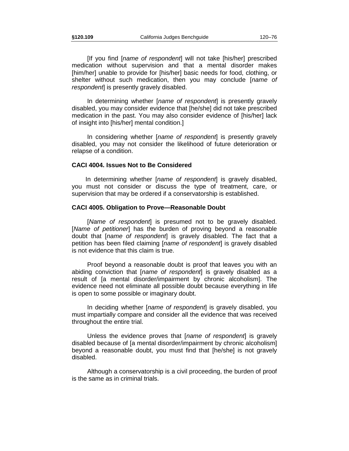[If you find [*name of respondent*] will not take [his/her] prescribed medication without supervision and that a mental disorder makes [him/her] unable to provide for [his/her] basic needs for food, clothing, or shelter without such medication, then you may conclude [*name of respondent*] is presently gravely disabled.

In determining whether [*name of respondent*] is presently gravely disabled, you may consider evidence that [he/she] did not take prescribed medication in the past. You may also consider evidence of [his/her] lack of insight into [his/her] mental condition.]

In considering whether [*name of respondent*] is presently gravely disabled, you may not consider the likelihood of future deterioration or relapse of a condition.

#### **CACI 4004. Issues Not to Be Considered**

In determining whether [*name of respondent*] is gravely disabled, you must not consider or discuss the type of treatment, care, or supervision that may be ordered if a conservatorship is established.

#### **CACI 4005. Obligation to Prove—Reasonable Doubt**

 [*Name of respondent*] is presumed not to be gravely disabled. [*Name of petitioner*] has the burden of proving beyond a reasonable doubt that [*name of respondent*] is gravely disabled. The fact that a petition has been filed claiming [*name of respondent*] is gravely disabled is not evidence that this claim is true.

Proof beyond a reasonable doubt is proof that leaves you with an abiding conviction that [*name of respondent*] is gravely disabled as a result of [a mental disorder/impairment by chronic alcoholism]. The evidence need not eliminate all possible doubt because everything in life is open to some possible or imaginary doubt.

In deciding whether [*name of respondent*] is gravely disabled, you must impartially compare and consider all the evidence that was received throughout the entire trial.

Unless the evidence proves that [*name of respondent*] is gravely disabled because of [a mental disorder/impairment by chronic alcoholism] beyond a reasonable doubt, you must find that [he/she] is not gravely disabled.

Although a conservatorship is a civil proceeding, the burden of proof is the same as in criminal trials.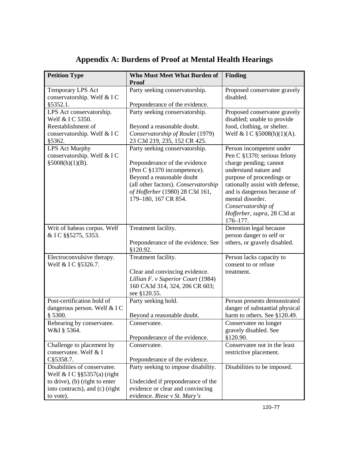| <b>Petition Type</b>                                                                                                                              | <b>Who Must Meet What Burden of</b>                                                                                                                                                                                            | Finding                                                                                                                                                                                                                                                                                            |
|---------------------------------------------------------------------------------------------------------------------------------------------------|--------------------------------------------------------------------------------------------------------------------------------------------------------------------------------------------------------------------------------|----------------------------------------------------------------------------------------------------------------------------------------------------------------------------------------------------------------------------------------------------------------------------------------------------|
|                                                                                                                                                   | <b>Proof</b>                                                                                                                                                                                                                   |                                                                                                                                                                                                                                                                                                    |
| Temporary LPS Act<br>conservatorship. Welf & IC<br>§5352.1.                                                                                       | Party seeking conservatorship.<br>Preponderance of the evidence.                                                                                                                                                               | Proposed conservatee gravely<br>disabled.                                                                                                                                                                                                                                                          |
| LPS Act conservatorship.<br>Welf & I C 5350.<br>Reestablishment of<br>conservatorship. Welf & IC<br>§5362.                                        | Party seeking conservatorship.<br>Beyond a reasonable doubt.<br>Conservatorship of Roulet (1979)<br>23 C3d 219, 235, 152 CR 425.                                                                                               | Proposed conservatee gravely<br>disabled; unable to provide<br>food, clothing, or shelter.<br>Welf & I C $$5008(h)(1)(A)$ .                                                                                                                                                                        |
| <b>LPS Act Murphy</b><br>conservatorship. Welf & IC<br>\$5008(h)(1)(B).                                                                           | Party seeking conservatorship.<br>Preponderance of the evidence<br>(Pen C §1370 incompetence).<br>Beyond a reasonable doubt<br>(all other factors). Conservatorship<br>of Hofferber (1980) 28 C3d 161,<br>179-180, 167 CR 854. | Person incompetent under<br>Pen C §1370; serious felony<br>charge pending; cannot<br>understand nature and<br>purpose of proceedings or<br>rationally assist with defense,<br>and is dangerous because of<br>mental disorder.<br>Conservatorship of<br>Hofferber, supra, 28 C3d at<br>$176 - 177.$ |
| Writ of habeas corpus. Welf<br>& I C §§5275, 5353.                                                                                                | Treatment facility.<br>Preponderance of the evidence. See<br>§120.92.                                                                                                                                                          | Detention legal because<br>person danger to self or<br>others, or gravely disabled.                                                                                                                                                                                                                |
| Electroconvulsive therapy.<br>Welf & I C §5326.7.                                                                                                 | Treatment facility.<br>Clear and convincing evidence.<br>Lillian F. v Superior Court (1984)<br>160 CA3d 314, 324, 206 CR 603;<br>see §120.55.                                                                                  | Person lacks capacity to<br>consent to or refuse<br>treatment.                                                                                                                                                                                                                                     |
| Post-certification hold of<br>dangerous person. Welf & IC<br>$§$ 5300.                                                                            | Party seeking hold.<br>Beyond a reasonable doubt.                                                                                                                                                                              | Person presents demonstrated<br>danger of substantial physical<br>harm to others. See §120.49.                                                                                                                                                                                                     |
| Rehearing by conservatee.<br>W&I § 5364.                                                                                                          | Conservatee.<br>Preponderance of the evidence.                                                                                                                                                                                 | Conservatee no longer<br>gravely disabled. See<br>§120.90.                                                                                                                                                                                                                                         |
| Challenge to placement by<br>conservatee. Welf & I<br>C§5358.7.                                                                                   | Conservatee.<br>Preponderance of the evidence.                                                                                                                                                                                 | Conservatee not in the least<br>restrictive placement.                                                                                                                                                                                                                                             |
| Disabilities of conservatee.<br>Welf & I C $\S$ §5357(a) (right<br>to drive), (b) (right to enter<br>into contracts), and (c) (right<br>to vote). | Party seeking to impose disability.<br>Undecided if preponderance of the<br>evidence or clear and convincing<br>evidence. Riese v St. Mary's                                                                                   | Disabilities to be imposed.                                                                                                                                                                                                                                                                        |

# **Appendix A: Burdens of Proof at Mental Health Hearings**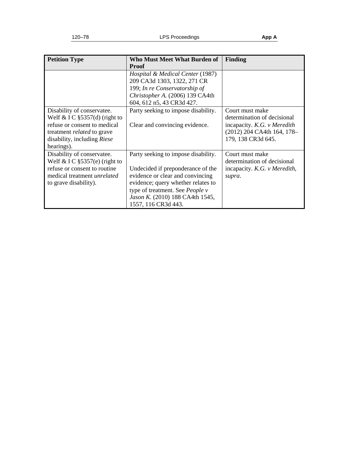| <b>Petition Type</b>                                                                                                                                                              | <b>Who Must Meet What Burden of</b><br><b>Proof</b>                                                                                                                                                                                             | <b>Finding</b>                                                                                                                    |
|-----------------------------------------------------------------------------------------------------------------------------------------------------------------------------------|-------------------------------------------------------------------------------------------------------------------------------------------------------------------------------------------------------------------------------------------------|-----------------------------------------------------------------------------------------------------------------------------------|
|                                                                                                                                                                                   | Hospital & Medical Center (1987)<br>209 CA3d 1303, 1322, 271 CR<br>199; In re Conservatorship of<br>Christopher A. (2006) 139 CA4th<br>604, 612 n5, 43 CR3d 427.                                                                                |                                                                                                                                   |
| Disability of conservatee.<br>Welf & I C $\S$ 5357(d) (right to<br>refuse or consent to medical<br>treatment <i>related</i> to grave<br>disability, including Riese<br>hearings). | Party seeking to impose disability.<br>Clear and convincing evidence.                                                                                                                                                                           | Court must make<br>determination of decisional<br>incapacity. K.G. v Meredith<br>(2012) 204 CA4th 164, 178-<br>179, 138 CR3d 645. |
| Disability of conservatee.<br>Welf & I C $\S$ 5357(e) (right to<br>refuse or consent to routine<br>medical treatment <i>unrelated</i><br>to grave disability).                    | Party seeking to impose disability.<br>Undecided if preponderance of the<br>evidence or clear and convincing<br>evidence; query whether relates to<br>type of treatment. See People v<br>Jason K. (2010) 188 CA4th 1545,<br>1557, 116 CR3d 443. | Court must make<br>determination of decisional<br>incapacity. $K.G.$ v Meredith,<br>supra.                                        |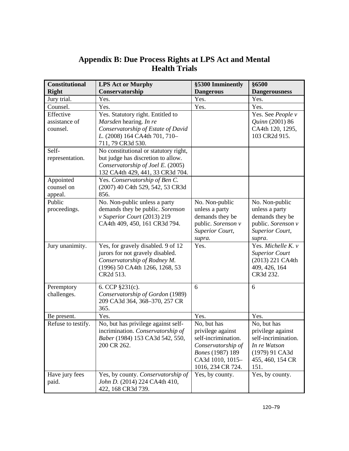# **Appendix B: Due Process Rights at LPS Act and Mental Health Trials**

| <b>Constitutional</b> | <b>LPS Act or Murphy</b>                 | §5300 Imminently    | §6500                 |
|-----------------------|------------------------------------------|---------------------|-----------------------|
| <b>Right</b>          | Conservatorship                          | <b>Dangerous</b>    | <b>Dangerousness</b>  |
| Jury trial.           | Yes.                                     | Yes.                | Yes.                  |
| Counsel.              | Yes.                                     | Yes.                | Yes.                  |
| Effective             | Yes. Statutory right. Entitled to        |                     | Yes. See People v     |
| assistance of         | Marsden hearing. In re                   |                     | Quinn (2001) 86       |
| counsel.              | Conservatorship of Estate of David       |                     | CA4th 120, 1295,      |
|                       | L. (2008) 164 CA4th 701, 710-            |                     | 103 CR2d 915.         |
|                       | 711, 79 CR3d 530.                        |                     |                       |
| Self-                 | No constitutional or statutory right,    |                     |                       |
| representation.       | but judge has discretion to allow.       |                     |                       |
|                       | Conservatorship of Joel E. (2005)        |                     |                       |
|                       | 132 CA4th 429, 441, 33 CR3d 704.         |                     |                       |
| Appointed             | Yes. Conservatorship of Ben C.           |                     |                       |
| counsel on            | (2007) 40 C4th 529, 542, 53 CR3d<br>856. |                     |                       |
| appeal.<br>Public     | No. Non-public unless a party            | No. Non-public      | No. Non-public        |
| proceedings.          | demands they be public. Sorenson         | unless a party      | unless a party        |
|                       | v Superior Court (2013) 219              | demands they be     | demands they be       |
|                       | CA4th 409, 450, 161 CR3d 794.            | public. Sorenson v  | public. Sorenson v    |
|                       |                                          | Superior Court,     | Superior Court,       |
|                       |                                          | supra.              | supra.                |
| Jury unanimity.       | Yes, for gravely disabled. 9 of 12       | Yes.                | Yes. Michelle K. v    |
|                       | jurors for not gravely disabled.         |                     | <b>Superior Court</b> |
|                       | Conservatorship of Rodney M.             |                     | (2013) 221 CA4th      |
|                       | (1996) 50 CA4th 1266, 1268, 53           |                     | 409, 426, 164         |
|                       | CR2d 513.                                |                     | CR3d 232.             |
| Peremptory            | 6. CCP $$231(c)$ .                       | 6                   | 6                     |
| challenges.           | Conservatorship of Gordon (1989)         |                     |                       |
|                       | 209 CA3d 364, 368-370, 257 CR            |                     |                       |
|                       | 365.                                     |                     |                       |
| Be present.           | Yes.                                     | Yes.                | Yes.                  |
| Refuse to testify.    | No, but has privilege against self-      | No, but has         | No, but has           |
|                       | incrimination. Conservatorship of        | privilege against   | privilege against     |
|                       | Baber (1984) 153 CA3d 542, 550,          | self-incrimination. | self-incrimination.   |
|                       | 200 CR 262.                              | Conservatorship of  | In re Watson          |
|                       |                                          | Bones (1987) 189    | (1979) 91 CA3d        |
|                       |                                          | CA3d 1010, 1015-    | 455, 460, 154 CR      |
|                       |                                          | 1016, 234 CR 724.   | 151.                  |
| Have jury fees        | Yes, by county. Conservatorship of       | Yes, by county.     | Yes, by county.       |
| paid.                 | John D. (2014) 224 CA4th 410,            |                     |                       |
|                       | 422, 168 CR3d 739.                       |                     |                       |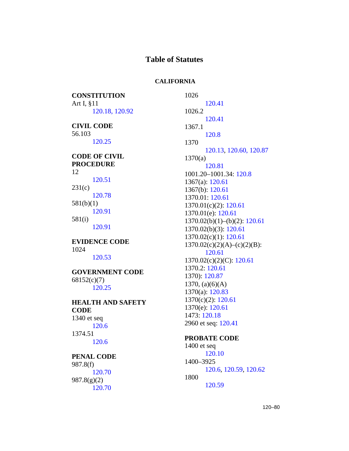# **Table of Statutes**

#### **CALIFORNIA**

**CONSTITUTION** Art I, §11 [120.18,](#page-16-0) [120.92](#page-63-0) **CIVIL CODE** 56.103 [120.25](#page-19-0) **CODE OF CIVIL PROCEDURE** 12 [120.51](#page-37-0) 231(c) [120.78](#page-55-0) 581(b)(1) [120.91](#page-62-0) 581(i) [120.91](#page-62-0) **EVIDENCE CODE** 1024 [120.53](#page-38-0) **GOVERNMENT CODE** 68152(c)(7) [120.25](#page-19-0) **HEALTH AND SAFETY CODE** 1340 et seq [120.6](#page-9-0) 1374.51 [120.6](#page-9-0) **PENAL CODE**

987.8(f) [120.70](#page-50-0) 987.8(g)(2) [120.70](#page-50-0)

1026 [120.41](#page-29-0) 1026.2 [120.41](#page-29-0) 1367.1 [120.8](#page-11-0) 1370 [120.13,](#page-15-0) [120.60,](#page-43-0) [120.87](#page-60-0) 1370(a) [120.81](#page-56-0) 1001.20–1001.34: [120.8](#page-11-0) 1367(a): [120.61](#page-43-1) 1367(b): [120.61](#page-43-1) 1370.01: [120.61](#page-43-1) 1370.01(c)(2): [120.61](#page-43-1) 1370.01(e): [120.61](#page-43-1) 1370.02(b)(1)–(b)(2): [120.61](#page-43-1) 1370.02(b)(3): [120.61](#page-43-1) 1370.02(c)(1): [120.61](#page-43-1)  $1370.02(c)(2)(A)–(c)(2)(B):$ [120.61](#page-43-1) 1370.02(c)(2)(C): [120.61](#page-43-1) 1370.2: [120.61](#page-43-1) 1370): [120.87](#page-60-0) 1370, (a)(6)(A) 1370(a): [120.83](#page-58-0) 1370(c)(2): [120.61](#page-43-1) 1370(e): [120.61](#page-43-1) 1473: [120.18](#page-16-0) 2960 et seq: [120.41](#page-29-0)

#### **PROBATE CODE**

 $1400$  et seq [120.10](#page-12-0) 1400–3925 [120.6,](#page-9-0) [120.59,](#page-41-0) [120.62](#page-45-0) 1800 [120.59](#page-41-0)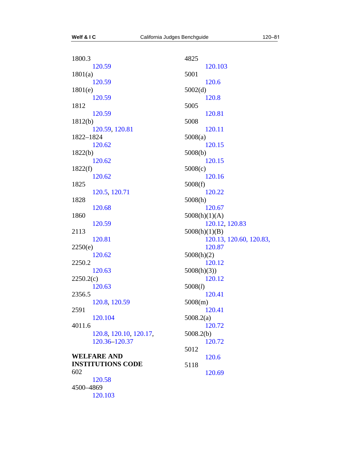1800.3 [120.59](#page-41-0) 1801(a) [120.59](#page-41-0) 1801(e) [120.59](#page-41-0) 1812 [120.59](#page-41-0) 1812(b) [120.59,](#page-41-0) [120.81](#page-56-0) 1822–1824 [120.62](#page-45-0) 1822(b) [120.62](#page-45-0) 1822(f) [120.62](#page-45-0) 1825 [120.5,](#page-8-0) [120.71](#page-51-0) 1828 [120.68](#page-48-0) 1860 [120.59](#page-41-0) 2113 [120.81](#page-56-0) 2250(e) [120.62](#page-45-0) 2250.2 [120.63](#page-46-0) 2250.2(c) [120.63](#page-46-0) 2356.5 [120.8,](#page-11-0) [120.59](#page-41-0) 2591 [120.104](#page-72-0) 4011.6 [120.8,](#page-11-0) [120.10,](#page-12-0) [120.17,](#page-16-1) [120.36–](#page-25-0)[120.37](#page-26-0) **WELFARE AND INSTITUTIONS CODE** 602 [120.58](#page-41-1)

4500–4869 [120.103](#page-70-0) 4825 [120.103](#page-70-0) 5001 [120.6](#page-9-0) 5002(d) [120.8](#page-11-0) 5005 [120.81](#page-56-0) 5008 [120.11](#page-13-0) 5008(a) [120.15](#page-15-1) 5008(b) [120.15](#page-15-1) 5008(c) [120.16](#page-16-2) 5008(f) [120.22](#page-18-0) 5008(h) [120.67](#page-48-1) 5008(h)(1)(A) [120.12,](#page-13-1) [120.83](#page-58-0) 5008(h)(1)(B) [120.13,](#page-15-0) [120.60,](#page-43-0) [120.83,](#page-58-0) [120.87](#page-60-0) 5008(h)(2) [120.12](#page-13-1) 5008(h)(3)) [120.12](#page-13-1) 5008(*l*) [120.41](#page-29-0) 5008(m) [120.41](#page-29-0) 5008.2(a) [120.72](#page-52-0) 5008.2(b) [120.72](#page-52-0) 5012 [120.6](#page-9-0) 5118 [120.69](#page-50-1)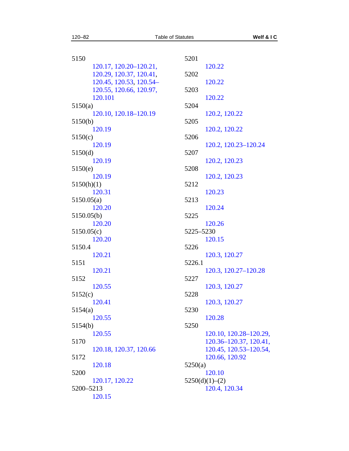| 5150                    | 5201                    |
|-------------------------|-------------------------|
| 120.17, 120.20–120.21,  | 120.22                  |
| 120.29, 120.37, 120.41, | 5202                    |
| 120.45, 120.53, 120.54- | 120.22                  |
| 120.55, 120.66, 120.97, | 5203                    |
| 120.101                 | 120.22                  |
| 5150(a)                 | 5204                    |
| 120.10, 120.18-120.19   | 120.2, 120.22           |
| 5150(b)<br>120.19       | 5205<br>120.2, 120.22   |
| 5150(c)                 | 5206                    |
| 120.19                  | 120.2, 120.23–120.24    |
| 5150(d)                 | 5207                    |
| 120.19                  | 120.2, 120.23           |
| 5150(e)                 | 5208                    |
| 120.19                  | 120.2, 120.23           |
| 5150(h)(1)              | 5212                    |
| 120.31                  | 120.23                  |
| 5150.05(a)              | 5213                    |
| 120.20                  | 120.24                  |
| 5150.05(b)              | 5225                    |
| 120.20                  | 120.26                  |
| 5150.05(c)              | 5225-5230               |
| 120.20                  | 120.15                  |
| 5150.4                  | 5226                    |
| 120.21                  | 120.3, 120.27<br>5226.1 |
| 5151<br>120.21          | 120.3, 120.27–120.28    |
| 5152                    | 5227                    |
| 120.55                  | 120.3, 120.27           |
| 5152(c)                 | 5228                    |
| 120.41                  | 120.3, 120.27           |
| 5154(a)                 | 5230                    |
| 120.55                  | 120.28                  |
| 5154(b)                 | 5250                    |
| 120.55                  | 120.10, 120.28-120.29,  |
| 5170                    | 120.36-120.37, 120.41,  |
| 120.18, 120.37, 120.66  | 120.45, 120.53-120.54,  |
| 5172                    | 120.66, 120.92          |
| 120.18                  | 5250(a)                 |
| 5200                    | 120.10                  |
| 120.17, 120.22          | 5250(d)(1)–(2)          |
| 5200-5213               | 120.4, 120.34           |
| 120.15                  |                         |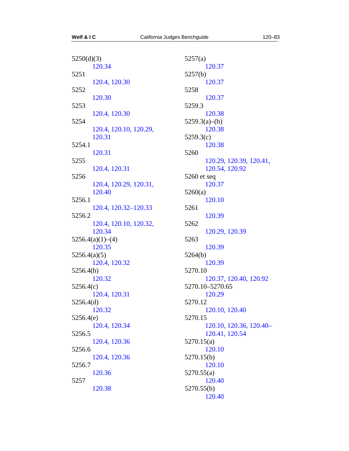5250(d)(3) [120.34](#page-24-0) 5251 [120.4,](#page-7-0) [120.30](#page-22-1) 5252 [120.30](#page-22-1) 5253 [120.4,](#page-7-0) [120.30](#page-22-1) 5254 [120.4,](#page-7-0) [120.10,](#page-12-0) [120.29,](#page-22-0) [120.31](#page-23-0) 5254.1 [120.31](#page-23-0) 5255 [120.4,](#page-7-0) [120.31](#page-23-0) 5256 [120.4,](#page-7-0) [120.29,](#page-22-0) [120.31,](#page-23-0) [120.40](#page-28-0) 5256.1 [120.4,](#page-7-0) [120.32–](#page-23-1)[120.33](#page-24-1) 5256.2 [120.4,](#page-7-0) [120.10,](#page-12-0) [120.32,](#page-23-1) [120.34](#page-24-0)  $5256.4(a)(1)–(4)$ [120.35](#page-25-1) 5256.4(a)(5) [120.4,](#page-7-0) [120.32](#page-23-1) 5256.4(b) [120.32](#page-23-1) 5256.4(c) [120.4,](#page-7-0) [120.31](#page-23-0) 5256.4(d) [120.32](#page-23-1) 5256.4(e) [120.4,](#page-7-0) [120.34](#page-24-0) 5256.5 [120.4,](#page-7-0) [120.36](#page-25-0) 5256.6 [120.4,](#page-7-0) [120.36](#page-25-0) 5256.7 [120.36](#page-25-0) 5257 [120.38](#page-27-0) 5257(a) [120.37](#page-26-0) 5257(b) [120.37](#page-26-0) 5258 [120.37](#page-26-0) 5259.3 [120.38](#page-27-0) 5259.3(a)–(b) [120.38](#page-27-0) 5259.3(c) [120.38](#page-27-0) 5260 [120.29,](#page-22-0) [120.39,](#page-27-1) [120.41,](#page-29-0) [120.54,](#page-39-0) [120.92](#page-63-0) 5260 et seq [120.37](#page-26-0) 5260(a) [120.10](#page-12-0) 5261 [120.39](#page-27-1) 5262 [120.29,](#page-22-0) [120.39](#page-27-1) 5263 [120.39](#page-27-1) 5264(b) [120.39](#page-27-1) 5270.10 [120.37,](#page-26-0) [120.40,](#page-28-0) [120.92](#page-63-0) 5270.10–5270.65 [120.29](#page-22-0) 5270.12 [120.10,](#page-12-0) [120.40](#page-28-0) 5270.15 [120.10,](#page-12-0) [120.36,](#page-25-0) [120.40–](#page-28-0) [120.41,](#page-29-0) [120.54](#page-39-0) 5270.15(a) [120.10](#page-12-0) 5270.15(b) [120.10](#page-12-0) 5270.55(a) [120.40](#page-28-0) 5270.55(b) [120.40](#page-28-0)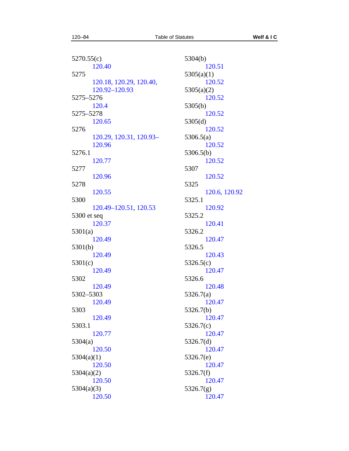5270.55(c) [120.40](#page-28-0) 5275 [120.18,](#page-16-0) [120.29,](#page-22-0) [120.40,](#page-28-0) [120.92–](#page-63-0)[120.93](#page-65-0) 5275–5276 [120.4](#page-7-0) 5275–5278 [120.65](#page-47-0) 5276 [120.29,](#page-22-0) [120.31,](#page-23-0) [120.93–](#page-65-0) [120.96](#page-66-1) 5276.1 [120.77](#page-54-0) 5277 [120.96](#page-66-1) 5278 [120.55](#page-39-1) 5300 [120.49–](#page-35-0)[120.51,](#page-37-0) [120.53](#page-38-0) 5300 et seq [120.37](#page-26-0) 5301(a) [120.49](#page-35-0) 5301(b) [120.49](#page-35-0) 5301(c) [120.49](#page-35-0) 5302 [120.49](#page-35-0) 5302–5303 [120.49](#page-35-0) 5303 [120.49](#page-35-0) 5303.1 [120.77](#page-54-0) 5304(a) [120.50](#page-36-0) 5304(a)(1) [120.50](#page-36-0) 5304(a)(2) [120.50](#page-36-0) 5304(a)(3) [120.50](#page-36-0)

5304(b) [120.51](#page-37-0) 5305(a)(1) [120.52](#page-37-1) 5305(a)(2) [120.52](#page-37-1) 5305(b) [120.52](#page-37-1) 5305(d) [120.52](#page-37-1) 5306.5(a) [120.52](#page-37-1) 5306.5(b) [120.52](#page-37-1) 5307 [120.52](#page-37-1) 5325 [120.6,](#page-9-0) [120.92](#page-63-0) 5325.1 [120.92](#page-63-0) 5325.2 [120.41](#page-29-0) 5326.2 [120.47](#page-33-0) 5326.5 [120.43](#page-31-0) 5326.5(c) [120.47](#page-33-0) 5326.6 [120.48](#page-35-1) 5326.7(a) [120.47](#page-33-0) 5326.7(b) [120.47](#page-33-0) 5326.7(c) [120.47](#page-33-0) 5326.7(d) [120.47](#page-33-0) 5326.7(e) [120.47](#page-33-0) 5326.7(f) [120.47](#page-33-0) 5326.7(g) [120.47](#page-33-0)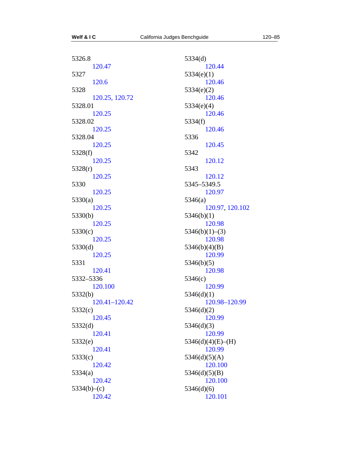5326.8 [120.47](#page-33-0) 5327 [120.6](#page-9-0) 5328 [120.25,](#page-19-0) [120.72](#page-52-0) 5328.01 [120.25](#page-19-0) 5328.02 [120.25](#page-19-0) 5328.04 [120.25](#page-19-0) 5328(f) [120.25](#page-19-0) 5328(r) [120.25](#page-19-0) 5330 [120.25](#page-19-0) 5330(a) [120.25](#page-19-0) 5330(b) [120.25](#page-19-0) 5330(c) [120.25](#page-19-0) 5330(d) [120.25](#page-19-0) 5331 [120.41](#page-29-0) 5332–5336 [120.100](#page-68-0) 5332(b) [120.41–](#page-29-0)[120.42](#page-30-0) 5332(c) [120.45](#page-32-0) 5332(d) [120.41](#page-29-0) 5332(e) [120.41](#page-29-0) 5333(c) [120.42](#page-30-0) 5334(a) [120.42](#page-30-0)  $5334(b)$ –(c) [120.42](#page-30-0)

5334(d) [120.44](#page-32-1) 5334(e)(1) [120.46](#page-33-1) 5334(e)(2) [120.46](#page-33-1) 5334(e)(4) [120.46](#page-33-1) 5334(f) [120.46](#page-33-1) 5336 [120.45](#page-32-0) 5342 [120.12](#page-13-1) 5343 [120.12](#page-13-1) 5345–5349.5 [120.97](#page-66-0) 5346(a) [120.97,](#page-66-0) [120.102](#page-70-1) 5346(b)(1) [120.98](#page-67-0)  $5346(b)(1)-(3)$ [120.98](#page-67-0) 5346(b)(4)(B) [120.99](#page-68-1) 5346(b)(5) [120.98](#page-67-0) 5346(c) [120.99](#page-68-1) 5346(d)(1) [120.98–](#page-67-0)[120.99](#page-68-1) 5346(d)(2) [120.99](#page-68-1) 5346(d)(3) [120.99](#page-68-1) 5346(d)(4)(E)–(H) [120.99](#page-68-1)  $5346(d)(5)(A)$ [120.100](#page-68-0) 5346(d)(5)(B) [120.100](#page-68-0) 5346(d)(6) [120.101](#page-69-0)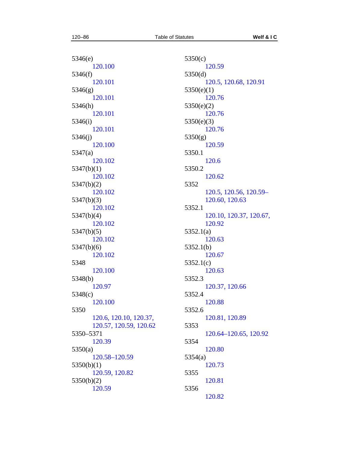5346(e) [120.100](#page-68-0) 5346(f) [120.101](#page-69-0) 5346(g) [120.101](#page-69-0) 5346(h) [120.101](#page-69-0) 5346(i) [120.101](#page-69-0) 5346(j) [120.100](#page-68-0) 5347(a) [120.102](#page-70-1) 5347(b)(1) [120.102](#page-70-1) 5347(b)(2) [120.102](#page-70-1) 5347(b)(3) [120.102](#page-70-1) 5347(b)(4) [120.102](#page-70-1) 5347(b)(5) [120.102](#page-70-1) 5347(b)(6) [120.102](#page-70-1) 5348 [120.100](#page-68-0) 5348(b) [120.97](#page-66-0) 5348(c) [120.100](#page-68-0) 5350 [120.6,](#page-9-0) [120.10,](#page-12-0) [120.37,](#page-26-0) [120.57,](#page-41-2) [120.59,](#page-41-0) [120.62](#page-45-0) 5350–5371 [120.39](#page-27-1) 5350(a) [120.58–](#page-41-1)[120.59](#page-41-0)  $5350(b)(1)$ [120.59,](#page-41-0) [120.82](#page-57-0) 5350(b)(2) [120.59](#page-41-0)

5350(c) [120.59](#page-41-0) 5350(d) [120.5,](#page-8-0) [120.68,](#page-48-0) [120.91](#page-62-0) 5350(e)(1) [120.76](#page-54-1) 5350(e)(2) [120.76](#page-54-1) 5350(e)(3) [120.76](#page-54-1) 5350(g) [120.59](#page-41-0) 5350.1 [120.6](#page-9-0) 5350.2 [120.62](#page-45-0) 5352 [120.5,](#page-8-0) [120.56,](#page-40-0) [120.59–](#page-41-0) [120.60,](#page-43-0) [120.63](#page-46-0) 5352.1 [120.10,](#page-12-0) [120.37,](#page-26-0) [120.67,](#page-48-1) [120.92](#page-63-0) 5352.1(a) [120.63](#page-46-0) 5352.1(b) [120.67](#page-48-1) 5352.1(c) [120.63](#page-46-0) 5352.3 [120.37,](#page-26-0) [120.66](#page-48-2) 5352.4 [120.88](#page-60-1) 5352.6 [120.81,](#page-56-0) [120.89](#page-60-2) 5353 [120.64–](#page-47-1)[120.65,](#page-47-0) [120.92](#page-63-0) 5354 [120.80](#page-56-1) 5354(a) [120.73](#page-53-0) 5355 [120.81](#page-56-0) 5356 [120.82](#page-57-0)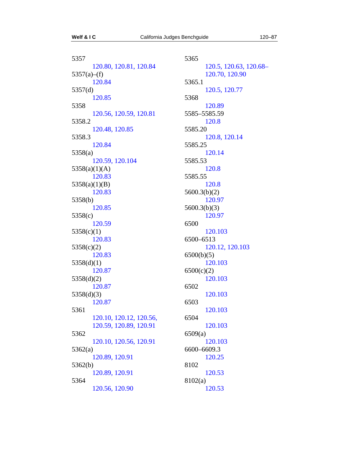5357 [120.80,](#page-56-1) [120.81,](#page-56-0) [120.84](#page-58-1)  $5357(a)–(f)$ [120.84](#page-58-1) 5357(d) [120.85](#page-58-2) 5358 [120.56,](#page-40-0) [120.59,](#page-41-0) [120.81](#page-56-0) 5358.2 [120.48,](#page-35-1) [120.85](#page-58-2) 5358.3 [120.84](#page-58-1) 5358(a) [120.59,](#page-41-0) [120.104](#page-72-0) 5358(a)(1)(A) [120.83](#page-58-0) 5358(a)(1)(B) [120.83](#page-58-0) 5358(b) [120.85](#page-58-2) 5358(c) [120.59](#page-41-0) 5358(c)(1) [120.83](#page-58-0) 5358(c)(2) [120.83](#page-58-0)  $5358(d)(1)$ [120.87](#page-60-0) 5358(d)(2) [120.87](#page-60-0) 5358(d)(3) [120.87](#page-60-0) 5361 [120.10,](#page-12-0) [120.12,](#page-13-1) [120.56,](#page-40-0) [120.59,](#page-41-0) [120.89,](#page-60-2) [120.91](#page-62-0) 5362 [120.10,](#page-12-0) [120.56,](#page-40-0) [120.91](#page-62-0) 5362(a) [120.89,](#page-60-2) [120.91](#page-62-0) 5362(b) [120.89,](#page-60-2) [120.91](#page-62-0) 5364 [120.56,](#page-40-0) [120.90](#page-61-0)

5365 [120.5,](#page-8-0) [120.63,](#page-46-0) [120.68–](#page-48-0) [120.70,](#page-50-0) [120.90](#page-61-0) 5365.1 [120.5,](#page-8-0) [120.77](#page-54-0) 5368 [120.89](#page-60-2) 5585–5585.59 [120.8](#page-11-0) 5585.20 [120.8,](#page-11-0) [120.14](#page-15-2) 5585.25 [120.14](#page-15-2) 5585.53 [120.8](#page-11-0) 5585.55 [120.8](#page-11-0) 5600.3(b)(2) [120.97](#page-66-0) 5600.3(b)(3) [120.97](#page-66-0) 6500 [120.103](#page-70-0) 6500–6513 [120.12,](#page-13-1) [120.103](#page-70-0) 6500(b)(5) [120.103](#page-70-0)  $6500(c)(2)$ [120.103](#page-70-0) 6502 [120.103](#page-70-0) 6503 [120.103](#page-70-0) 6504 [120.103](#page-70-0) 6509(a) [120.103](#page-70-0) 6600–6609.3 [120.25](#page-19-0) 8102 [120.53](#page-38-0) 8102(a) [120.53](#page-38-0)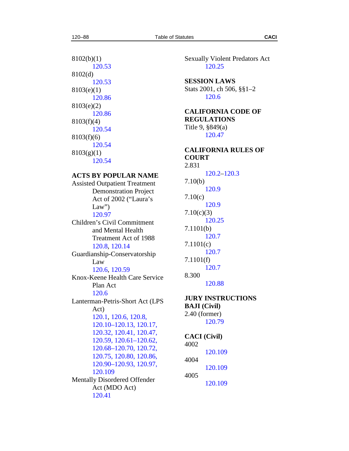$8102(b)(1)$ [120.53](#page-38-0) 8102(d) [120.53](#page-38-0) 8103(e)(1) [120.86](#page-59-0) 8103(e)(2) [120.86](#page-59-0) 8103(f)(4) [120.54](#page-39-0) 8103(f)(6) [120.54](#page-39-0)  $8103(g)(1)$ [120.54](#page-39-0)

### **ACTS BY POPULAR NAME**

Assisted Outpatient Treatment Demonstration Project Act of 2002 ("Laura's Law") [120.97](#page-66-0) Children's Civil Commitment and Mental Health Treatment Act of 1988 [120.8,](#page-11-0) [120.14](#page-15-2) Guardianship-Conservatorship Law [120.6,](#page-9-0) [120.59](#page-41-0) Knox-Keene Health Care Service Plan Act [120.6](#page-9-0) Lanterman-Petris-Short Act (LPS Act) [120.1,](#page-5-0) [120.6,](#page-9-0) [120.8,](#page-11-0) [120.10–](#page-12-0)[120.13,](#page-15-0) [120.17,](#page-16-1) [120.32,](#page-23-1) [120.41,](#page-29-0) [120.47,](#page-33-0) [120.59,](#page-41-0) [120.61–](#page-43-1)[120.62,](#page-45-0) [120.68–](#page-48-0)[120.70,](#page-50-0) [120.72,](#page-52-0) [120.75,](#page-53-1) [120.80,](#page-56-1) [120.86,](#page-59-0) [120.90–](#page-61-0)[120.93,](#page-65-0) [120.97,](#page-66-0) [120.109](#page-76-0) Mentally Disordered Offender Act (MDO Act) [120.41](#page-29-0)

Sexually Violent Predators Act [120.25](#page-19-0)

**SESSION LAWS** Stats 2001, ch 506, §§1–2 [120.6](#page-9-0)

# **CALIFORNIA CODE OF REGULATIONS** Title 9, §849(a)

[120.47](#page-33-0)

# **CALIFORNIA RULES OF COURT** 2.831

[120.2–](#page-6-0)[120.3](#page-6-1) 7.10(b) [120.9](#page-11-1) 7.10(c) [120.9](#page-11-1)  $7.10(c)(3)$ [120.25](#page-19-0) 7.1101(b) [120.7](#page-11-2) 7.1101(c) [120.7](#page-11-2) 7.1101(f) [120.7](#page-11-2) 8.300 [120.88](#page-60-1)

**JURY INSTRUCTIONS BAJI (Civil)** BAJI 2.40 (former) [120.79](#page-55-1) **CACI (Civil)** CACI 4002 [120.109](#page-76-0) 4004 [120.109](#page-76-0)

4005 [120.109](#page-76-0)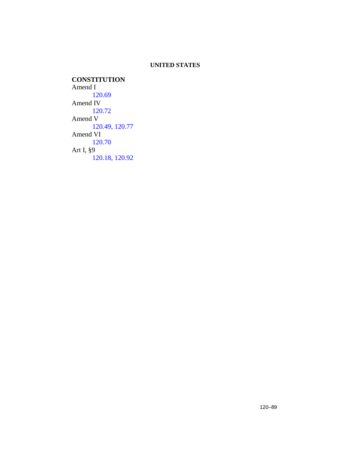#### **UNITED STATES**

# **CONSTITUTION** Amend I

[120.69](#page-50-1) Amend IV [120.72](#page-52-0) Amend V [120.49,](#page-35-0) [120.77](#page-54-0) Amend VI [120.70](#page-50-0) Art I, §9 [120.18,](#page-16-0) [120.92](#page-63-0)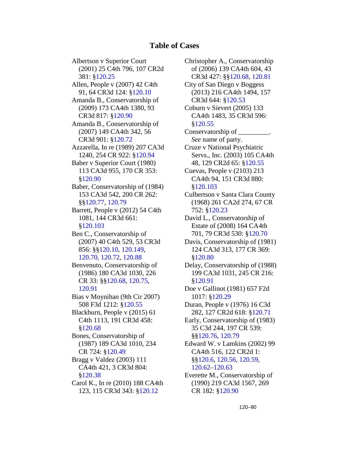# **Table of Cases**

Albertson v Superior Court (2001) 25 C4th 796, 107 CR2d 381: [§120.25](#page-19-0) Allen, People v (2007) 42 C4th 91, 64 CR3d 124: [§120.10](#page-12-0) Amanda B., Conservatorship of (2009) 173 CA4th 1380, 93 CR3d 817: [§120.90](#page-61-0) Amanda B., Conservatorship of (2007) 149 CA4th 342, 56 CR3d 901: [§120.72](#page-52-0) Azzarella, In re (1989) 207 CA3d 1240, 254 CR 922: [§120.94](#page-65-1) Baber v Superior Court (1980) 113 CA3d 955, 170 CR 353: [§120.90](#page-61-0) Baber, Conservatorship of (1984) 153 CA3d 542, 200 CR 262: §[§120.77,](#page-54-0) [120.79](#page-55-1) Barrett, People v (2012) 54 C4th 1081, 144 CR3d 661: [§120.103](#page-70-0) Ben C., Conservatorship of (2007) 40 C4th 529, 53 CR3d 856: §[§120.10,](#page-12-0) [120.149](#page-15-2), [120.70,](#page-50-0) [120.72,](#page-52-0) [120.88](#page-60-1) Benvenuto, Conservatorship of (1986) 180 CA3d 1030, 226 CR 33: §[§120.68,](#page-48-0) [120.75,](#page-53-1) [120.91](#page-62-0) Bias v Moynihan (9th Cir 2007) 508 F3d 1212: [§120.55](#page-39-1) Blackburn, People v (2015) 61 C4th 1113, 191 CR3d 458: [§120.68](#page-48-0) Bones, Conservatorship of (1987) 189 CA3d 1010, 234 CR 724: [§120.49](#page-35-0) Bragg v Valdez (2003) 111 CA4th 421, 3 CR3d 804: [§120.38](#page-27-0) Carol K., In re (2010) 188 CA4th 123, 115 CR3d 343: [§120.12](#page-13-1)

Christopher A., Conservatorship of (2006) 139 CA4th 604, 43 CR3d 427: §[§120.68,](#page-48-0) [120.81](#page-56-0) City of San Diego v Boggess (2013) 216 CA4th 1494, 157 CR3d 644: [§120.53](#page-38-0) Coburn v Sievert (2005) 133 CA4th 1483, 35 CR3d 596: [§120.55](#page-39-1) Conservatorship of *See* name of party. Cruze v National Psychiatric Servs., Inc. (2003) 105 CA4th 48, 129 CR2d 65: [§120.55](#page-39-1) Cuevas, People v (2103) 213 CA4th 94, 151 CR3d 880: [§120.103](#page-70-0) Culbertson v Santa Clara County (1968) 261 CA2d 274, 67 CR 752: [§120.23](#page-19-1) David L., Conservatorship of Estate of (2008) 164 CA4th 701, 79 CR3d 530: [§120.70](#page-50-0) Davis, Conservatorship of (1981) 124 CA3d 313, 177 CR 369: [§120.80](#page-56-1) Delay, Conservatorship of (1988) 199 CA3d 1031, 245 CR 216: [§120.91](#page-62-0) Doe v Gallinot (1981) 657 F2d 1017: [§120.29](#page-22-0) Duran, People v (1976) 16 C3d 282, 127 CR2d 618: [§120.71](#page-51-0) Early, Conservatorship of (1983) 35 C3d 244, 197 CR 539: §[§120.76,](#page-54-1) [120.79](#page-55-1) Edward W. v Lamkins (2002) 99 CA4th 516, 122 CR2d 1: §[§120.6,](#page-9-0) [120.56,](#page-40-0) [120.59,](#page-41-0) [120.62–](#page-45-0)[120.63](#page-46-0) Everette M., Conservatorship of (1990) 219 CA3d 1567, 269

CR 182: [§120.90](#page-61-0)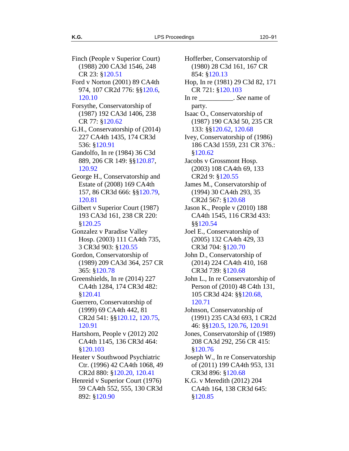Finch (People v Superior Court) (1988) 200 CA3d 1546, 248 CR 23: [§120.51](#page-37-0) Ford v Norton (2001) 89 CA4th 974, 107 CR2d 776: §[§120.6,](#page-9-0) [120.10](#page-12-0) Forsythe, Conservatorship of (1987) 192 CA3d 1406, 238 CR 77: [§120.62](#page-45-0) G.H., Conservatorship of (2014) 227 CA4th 1435, 174 CR3d 536: [§120.91](#page-62-0) Gandolfo, In re (1984) 36 C3d 889, 206 CR 149: §[§120.87,](#page-60-0) [120.92](#page-63-0) George H., Conservatorship and Estate of (2008) 169 CA4th 157, 86 CR3d 666: §[§120.79,](#page-55-1) [120.81](#page-56-0) Gilbert v Superior Court (1987) 193 CA3d 161, 238 CR 220: [§120.25](#page-19-0) Gonzalez v Paradise Valley Hosp. (2003) 111 CA4th 735, 3 CR3d 903: [§120.55](#page-39-1) Gordon, Conservatorship of (1989) 209 CA3d 364, 257 CR 365: [§120.78](#page-55-0) Greenshields, In re (2014) 227 CA4th 1284, 174 CR3d 482: §120.41 Guerrero, Conservatorship of (1999) 69 CA4th 442, 81 CR2d 541: §[§120.12,](#page-13-1) [120.75,](#page-53-1) [120.91](#page-62-0) Hartshorn, People v (2012) 202 CA4th 1145, 136 CR3d 464: [§120.103](#page-70-0) Heater v Southwood Psychiatric Ctr. (1996) 42 CA4th 1068, 49 CR2d 880: [§120.20,](#page-17-0) [120.41](#page-29-0) Henreid v Superior Court (1976) 59 CA4th 552, 555, 130 CR3d 892: [§120.90](#page-61-0)

Hofferber, Conservatorship of (1980) 28 C3d 161, 167 CR 854: [§120.13](#page-15-0) Hop, In re (1981) 29 C3d 82, 171 CR 721: [§120.103](#page-70-0) In re  $\qquad \qquad . \text{ See name of}$ party. Isaac O., Conservatorship of (1987) 190 CA3d 50, 235 CR 133: §[§120.62,](#page-45-0) [120.68](#page-48-0) Ivey, Conservatorship of (1986) 186 CA3d 1559, 231 CR 376.: [§120.62](#page-45-0) Jacobs v Grossmont Hosp. (2003) 108 CA4th 69, 133 CR2d 9: [§120.55](#page-39-1) James M., Conservatorship of (1994) 30 CA4th 293, 35 CR2d 567: [§120.68](#page-48-0) Jason K., People v (2010) 188 CA4th 1545, 116 CR3d 433: §[§120.54](#page-39-0) Joel E., Conservatorship of (2005) 132 CA4th 429, 33 CR3d 704: [§120.70](#page-50-0) John D., Conservatorship of (2014) 224 CA4th 410, 168 CR3d 739: [§120.68](#page-48-0) John L., In re Conservatorship of Person of (2010) 48 C4th 131, 105 CR3d 424: §[§120.68,](#page-48-0) 120.71 Johnson, Conservatorship of (1991) 235 CA3d 693, 1 CR2d 46: §[§120.5,](#page-8-0) [120.76,](#page-54-1) [120.91](#page-62-0) Jones, Conservatorship of (1989) 208 CA3d 292, 256 CR 415: [§120.76](#page-54-1) Joseph W., In re Conservatorship of (2011) 199 CA4th 953, 131 CR3d 896: [§120.68](#page-48-0) K.G. v Meredith (2012) 204 CA4th 164, 138 CR3d 645: [§120.85](#page-58-2)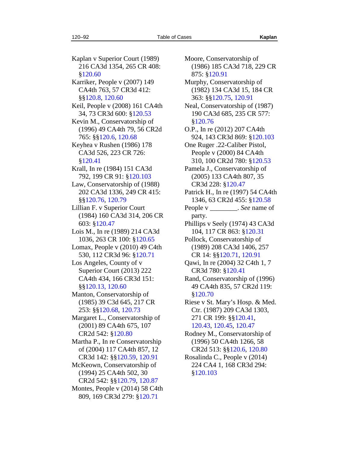Kaplan v Superior Court (1989) 216 CA3d 1354, 265 CR 408: [§120.60](#page-43-0) Karriker, People v (2007) 149 CA4th 763, 57 CR3d 412: §[§120.8,](#page-11-0) [120.60](#page-43-0) Keil, People v (2008) 161 CA4th 34, 73 CR3d 600: [§120.53](#page-38-0) Kevin M., Conservatorship of (1996) 49 CA4th 79, 56 CR2d 765: §[§120.6,](#page-9-0) [120.68](#page-48-0) Keyhea v Rushen (1986) 178 CA3d 526, 223 CR 726: [§120.41](#page-29-0) Krall, In re (1984) 151 CA3d 792, 199 CR 91: [§120.103](#page-70-0) Law, Conservatorship of (1988) 202 CA3d 1336, 249 CR 415: §[§120.76,](#page-54-1) [120.79](#page-55-1) Lillian F. v Superior Court (1984) 160 CA3d 314, 206 CR 603: [§120.47](#page-33-0) Lois M., In re (1989) 214 CA3d 1036, 263 CR 100: [§120.65](#page-47-0) Lomax, People v (2010) 49 C4th 530, 112 CR3d 96: [§120.71](#page-51-0) Los Angeles, County of v Superior Court (2013) 222 CA4th 434, 166 CR3d 151: §[§120.13,](#page-15-0) 120.60 Manton, Conservatorship of (1985) 39 C3d 645, 217 CR 253: §[§120.68,](#page-48-0) [120.73](#page-53-0) Margaret L., Conservatorship of (2001) 89 CA4th 675, 107 CR2d 542: [§120.80](#page-56-1) Martha P., In re Conservatorship of (2004) 117 CA4th 857, 12 CR3d 142: §[§120.59,](#page-41-0) [120.91](#page-62-0) McKeown, Conservatorship of (1994) 25 CA4th 502, 30 CR2d 542: §[§120.79,](#page-55-1) [120.87](#page-60-0) Montes, People v (2014) 58 C4th

809, 169 CR3d 279: [§120.71](#page-51-0)

Moore, Conservatorship of (1986) 185 CA3d 718, 229 CR 875: [§120.91](#page-62-0) Murphy, Conservatorship of (1982) 134 CA3d 15, 184 CR 363: §[§120.75,](#page-53-1) [120.91](#page-62-0) Neal, Conservatorship of (1987) 190 CA3d 685, 235 CR 577: [§120.76](#page-54-1) O.P., In re (2012) 207 CA4th 924, 143 CR3d 869: [§120.103](#page-70-0) One Ruger .22-Caliber Pistol, People v (2000) 84 CA4th 310, 100 CR2d 780: [§120.53](#page-38-0) Pamela J., Conservatorship of (2005) 133 CA4th 807, 35 CR3d 228: [§120.47](#page-33-0) Patrick H., In re (1997) 54 CA4th 1346, 63 CR2d 455: [§120.58](#page-41-1) People v \_\_\_\_\_\_\_\_. *See* name of party. Phillips v Seely (1974) 43 CA3d 104, 117 CR 863: [§120.31](#page-23-0) Pollock, Conservatorship of (1989) 208 CA3d 1406, 257 CR 14: §[§120.71,](#page-51-0) [120.91](#page-62-0) Qawi, In re (2004) 32 C4th 1, 7 CR3d 780: [§120.41](#page-29-0) Rand, Conservatorship of (1996) 49 CA4th 835, 57 CR2d 119: [§120.70](#page-50-0) Riese v St. Mary's Hosp. & Med. Ctr. (1987) 209 CA3d 1303, 271 CR 199: §[§120.41,](#page-29-0) [120.43,](#page-31-0) [120.45,](#page-32-0) [120.47](#page-33-0) Rodney M., Conservatorship of (1996) 50 CA4th 1266, 58 CR2d 513: §[§120.6,](#page-9-0) [120.80](#page-56-1) Rosalinda C., People v (2014) 224 CA4 1, 168 CR3d 294: [§120.103](#page-70-0)